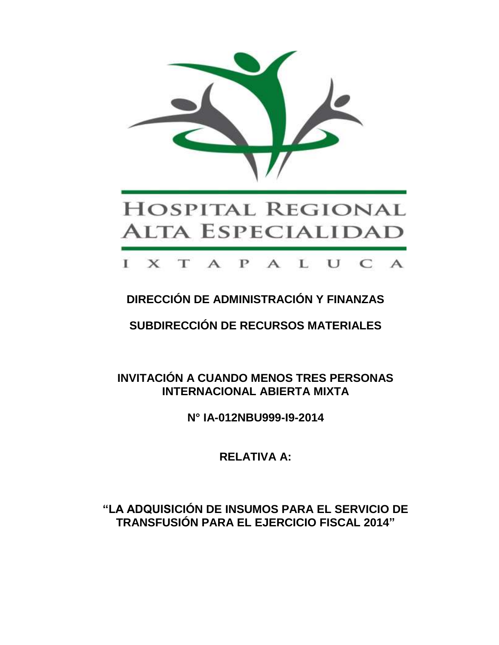

# **DIRECCIÓN DE ADMINISTRACIÓN Y FINANZAS**

**SUBDIRECCIÓN DE RECURSOS MATERIALES**

**INVITACIÓN A CUANDO MENOS TRES PERSONAS INTERNACIONAL ABIERTA MIXTA**

**N° IA-012NBU999-I9-2014**

**RELATIVA A:**

**"LA ADQUISICIÓN DE INSUMOS PARA EL SERVICIO DE TRANSFUSIÓN PARA EL EJERCICIO FISCAL 2014"**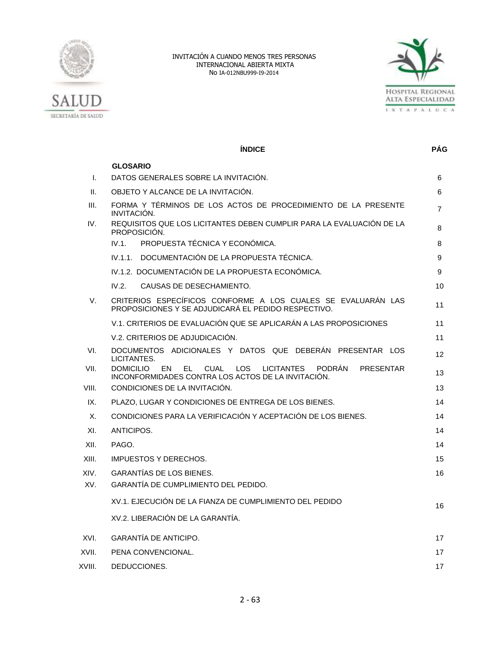



|       | <b>ÍNDICE</b>                                                                                                                                                 | <b>PÁG</b>        |
|-------|---------------------------------------------------------------------------------------------------------------------------------------------------------------|-------------------|
|       | <b>GLOSARIO</b>                                                                                                                                               |                   |
| I.    | DATOS GENERALES SOBRE LA INVITACIÓN.                                                                                                                          | 6                 |
| Ш.    | OBJETO Y ALCANCE DE LA INVITACIÓN.                                                                                                                            | 6                 |
| III.  | FORMA Y TÉRMINOS DE LOS ACTOS DE PROCEDIMIENTO DE LA PRESENTE<br>INVITACIÓN.                                                                                  | 7                 |
| IV.   | REQUISITOS QUE LOS LICITANTES DEBEN CUMPLIR PARA LA EVALUACIÓN DE LA<br>PROPOSICIÓN.                                                                          | 8                 |
|       | PROPUESTA TÉCNICA Y ECONÓMICA.<br>$IV.1$ .                                                                                                                    | 8                 |
|       | IV.1.1. DOCUMENTACIÓN DE LA PROPUESTA TÉCNICA.                                                                                                                | 9                 |
|       | IV.1.2. DOCUMENTACIÓN DE LA PROPUESTA ECONÓMICA.                                                                                                              | 9                 |
|       | IV.2.<br>CAUSAS DE DESECHAMIENTO.                                                                                                                             | 10                |
| V.    | CRITERIOS ESPECÍFICOS CONFORME A LOS CUALES SE EVALUARÁN LAS<br>PROPOSICIONES Y SE ADJUDICARÁ EL PEDIDO RESPECTIVO.                                           | 11                |
|       | V.1. CRITERIOS DE EVALUACIÓN QUE SE APLICARÁN A LAS PROPOSICIONES                                                                                             | 11                |
|       | V.2. CRITERIOS DE ADJUDICACIÓN.                                                                                                                               | 11                |
| VI.   | DOCUMENTOS ADICIONALES Y DATOS QUE DEBERÁN PRESENTAR LOS<br>LICITANTES.                                                                                       | $12 \overline{ }$ |
| VII.  | <b>PODRÁN</b><br><b>DOMICILIO</b><br>EN.<br>EL<br><b>CUAL</b><br>LOS.<br>LICITANTES<br><b>PRESENTAR</b><br>INCONFORMIDADES CONTRA LOS ACTOS DE LA INVITACIÓN. | 13                |
| VIII. | CONDICIONES DE LA INVITACIÓN.                                                                                                                                 | 13                |
| IX.   | PLAZO, LUGAR Y CONDICIONES DE ENTREGA DE LOS BIENES.                                                                                                          | 14                |
| Х.    | CONDICIONES PARA LA VERIFICACIÓN Y ACEPTACIÓN DE LOS BIENES.                                                                                                  | 14                |
| XI.   | ANTICIPOS.                                                                                                                                                    | 14                |
| XII.  | PAGO.                                                                                                                                                         | 14                |
| XIII. | <b>IMPUESTOS Y DERECHOS.</b>                                                                                                                                  | 15                |
| XIV.  | <b>GARANTÍAS DE LOS BIENES.</b>                                                                                                                               | 16                |
| XV.   | GARANTÍA DE CUMPLIMIENTO DEL PEDIDO.                                                                                                                          |                   |
|       | XV.1. EJECUCIÓN DE LA FIANZA DE CUMPLIMIENTO DEL PEDIDO                                                                                                       | 16                |
|       | XV.2. LIBERACIÓN DE LA GARANTÍA.                                                                                                                              |                   |
| XVI.  | <b>GARANTÍA DE ANTICIPO.</b>                                                                                                                                  | 17                |
| XVII. | PENA CONVENCIONAL.                                                                                                                                            | 17                |

XVIII. DEDUCCIONES. 17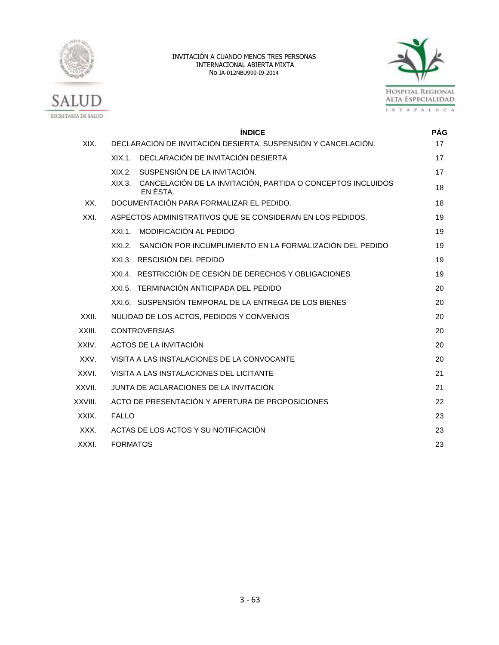



|         | <b>ÍNDICE</b>                                                                     | <b>PÁG</b> |  |  |  |  |  |  |
|---------|-----------------------------------------------------------------------------------|------------|--|--|--|--|--|--|
| XIX.    | DECLARACIÓN DE INVITACIÓN DESIERTA, SUSPENSIÓN Y CANCELACIÓN.                     | 17         |  |  |  |  |  |  |
|         | XIX.1. DECLARACIÓN DE INVITACIÓN DESIERTA                                         | 17         |  |  |  |  |  |  |
|         | SUSPENSIÓN DE LA INVITACIÓN.<br>XIX.2                                             | 17         |  |  |  |  |  |  |
|         | CANCELACIÓN DE LA INVITACIÓN, PARTIDA O CONCEPTOS INCLUIDOS<br>XIX.3.<br>EN ÉSTA. | 18         |  |  |  |  |  |  |
| XX.     | DOCUMENTACIÓN PARA FORMALIZAR EL PEDIDO.                                          | 18         |  |  |  |  |  |  |
| XXI.    | ASPECTOS ADMINISTRATIVOS QUE SE CONSIDERAN EN LOS PEDIDOS.                        | 19         |  |  |  |  |  |  |
|         | MODIFICACIÓN AL PEDIDO<br>$XXL1$ .                                                | 19         |  |  |  |  |  |  |
|         | SANCIÓN POR INCUMPLIMIENTO EN LA FORMALIZACIÓN DEL PEDIDO<br>XXL2.                | 19         |  |  |  |  |  |  |
|         | XXI.3. RESCISIÓN DEL PEDIDO                                                       | 19         |  |  |  |  |  |  |
|         | XXI.4. RESTRICCIÓN DE CESIÓN DE DERECHOS Y OBLIGACIONES                           | 19         |  |  |  |  |  |  |
|         | XXI.5. TERMINACIÓN ANTICIPADA DEL PEDIDO                                          | 20         |  |  |  |  |  |  |
|         | XXI.6. SUSPENSIÓN TEMPORAL DE LA ENTREGA DE LOS BIENES                            | 20         |  |  |  |  |  |  |
| XXII.   | NULIDAD DE LOS ACTOS, PEDIDOS Y CONVENIOS                                         | 20         |  |  |  |  |  |  |
| XXIII.  | <b>CONTROVERSIAS</b>                                                              | 20         |  |  |  |  |  |  |
| XXIV.   | ACTOS DE LA INVITACIÓN                                                            | 20         |  |  |  |  |  |  |
| XXV.    | VISITA A LAS INSTALACIONES DE LA CONVOCANTE                                       | 20         |  |  |  |  |  |  |
| XXVI.   | VISITA A LAS INSTALACIONES DEL LICITANTE                                          | 21         |  |  |  |  |  |  |
| XXVII.  | JUNTA DE ACLARACIONES DE LA INVITACIÓN                                            |            |  |  |  |  |  |  |
| XXVIII. | ACTO DE PRESENTACIÓN Y APERTURA DE PROPOSICIONES                                  |            |  |  |  |  |  |  |
| XXIX.   | <b>FALLO</b>                                                                      |            |  |  |  |  |  |  |
| XXX.    | ACTAS DE LOS ACTOS Y SU NOTIFICACIÓN                                              | 23         |  |  |  |  |  |  |
| XXXI.   | <b>FORMATOS</b>                                                                   | 23         |  |  |  |  |  |  |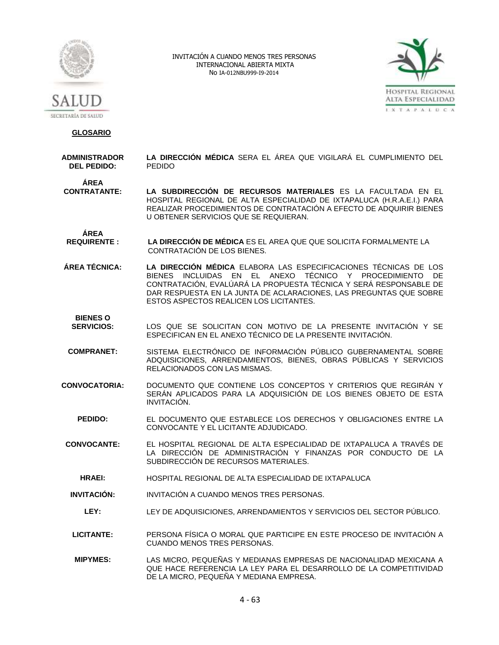



 **GLOSARIO**

**ADMINISTRADOR DEL PEDIDO: LA DIRECCIÓN MÉDICA** SERA EL ÁREA QUE VIGILARÁ EL CUMPLIMIENTO DEL PEDIDO

**ÁREA** 

**CONTRATANTE: LA SUBDIRECCIÓN DE RECURSOS MATERIALES** ES LA FACULTADA EN EL HOSPITAL REGIONAL DE ALTA ESPECIALIDAD DE IXTAPALUCA (H.R.A.E.I.) PARA REALIZAR PROCEDIMIENTOS DE CONTRATACIÓN A EFECTO DE ADQUIRIR BIENES U OBTENER SERVICIOS QUE SE REQUIERAN.

ÁREA<br>**REQUIRENTE :** LA DIRECCIÓN DE MÉDICA ES EL AREA QUE QUE SOLICITA FORMALMENTE LA CONTRATACIÓN DE LOS BIENES.

**ÁREA TÉCNICA: LA DIRECCIÓN MÉDICA** ELABORA LAS ESPECIFICACIONES TÉCNICAS DE LOS BIENES INCLUIDAS EN EL ANEXO TÉCNICO Y PROCEDIMIENTO DE CONTRATACIÓN, EVALÚARÁ LA PROPUESTA TÉCNICA Y SERÁ RESPONSABLE DE DAR RESPUESTA EN LA JUNTA DE ACLARACIONES, LAS PREGUNTAS QUE SOBRE ESTOS ASPECTOS REALICEN LOS LICITANTES.

**BIENES O** 

- **SERVICIOS:** LOS QUE SE SOLICITAN CON MOTIVO DE LA PRESENTE INVITACIÓN Y SE ESPECIFICAN EN EL ANEXO TÉCNICO DE LA PRESENTE INVITACIÓN.
- **COMPRANET:** SISTEMA ELECTRÓNICO DE INFORMACIÓN PÚBLICO GUBERNAMENTAL SOBRE ADQUISICIONES, ARRENDAMIENTOS, BIENES, OBRAS PÚBLICAS Y SERVICIOS RELACIONADOS CON LAS MISMAS.
- **CONVOCATORIA:** DOCUMENTO QUE CONTIENE LOS CONCEPTOS Y CRITERIOS QUE REGIRÁN Y SERÁN APLICADOS PARA LA ADQUISICIÓN DE LOS BIENES OBJETO DE ESTA INVITACIÓN.
	- **PEDIDO:** EL DOCUMENTO QUE ESTABLECE LOS DERECHOS Y OBLIGACIONES ENTRE LA CONVOCANTE Y EL LICITANTE ADJUDICADO.
- **CONVOCANTE:** EL HOSPITAL REGIONAL DE ALTA ESPECIALIDAD DE IXTAPALUCA A TRAVÉS DE LA DIRECCIÓN DE ADMINISTRACIÓN Y FINANZAS POR CONDUCTO DE LA SUBDIRECCIÓN DE RECURSOS MATERIALES.
	- **HRAEI:** HOSPITAL REGIONAL DE ALTA ESPECIALIDAD DE IXTAPALUCA
- **INVITACIÓN:** INVITACIÓN A CUANDO MENOS TRES PERSONAS.
	- **LEY:** LEY DE ADQUISICIONES, ARRENDAMIENTOS Y SERVICIOS DEL SECTOR PÚBLICO.
- **LICITANTE:** PERSONA FÍSICA O MORAL QUE PARTICIPE EN ESTE PROCESO DE INVITACIÓN A CUANDO MENOS TRES PERSONAS.
- **MIPYMES:** LAS MICRO, PEQUEÑAS Y MEDIANAS EMPRESAS DE NACIONALIDAD MEXICANA A QUE HACE REFERENCIA LA LEY PARA EL DESARROLLO DE LA COMPETITIVIDAD DE LA MICRO, PEQUEÑA Y MEDIANA EMPRESA.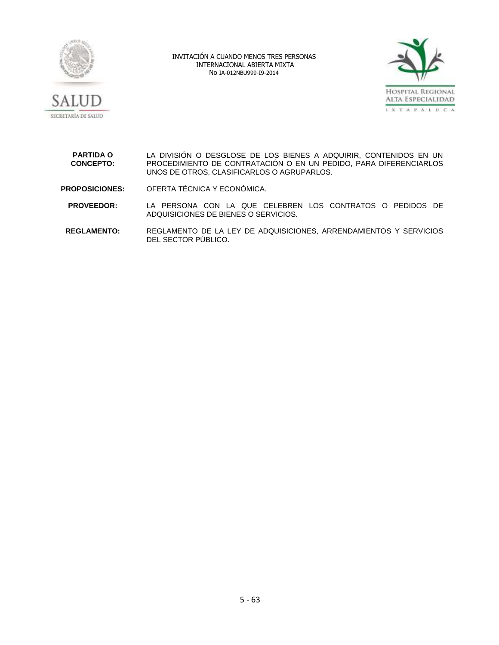



**PARTIDA O CONCEPTO:** LA DIVISIÓN O DESGLOSE DE LOS BIENES A ADQUIRIR, CONTENIDOS EN UN PROCEDIMIENTO DE CONTRATACIÓN O EN UN PEDIDO, PARA DIFERENCIARLOS UNOS DE OTROS, CLASIFICARLOS O AGRUPARLOS.

**PROPOSICIONES:** OFERTA TÉCNICA Y ECONÓMICA.

**PROVEEDOR:** LA PERSONA CON LA QUE CELEBREN LOS CONTRATOS O PEDIDOS DE ADQUISICIONES DE BIENES O SERVICIOS.

**REGLAMENTO:** REGLAMENTO DE LA LEY DE ADQUISICIONES, ARRENDAMIENTOS Y SERVICIOS DEL SECTOR PÚBLICO.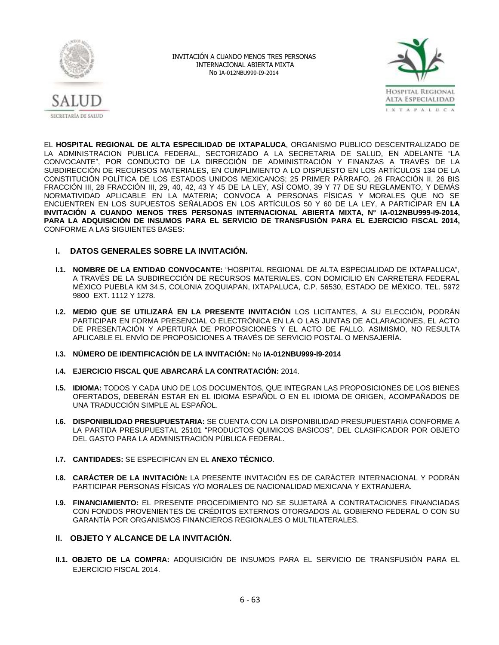



EL **HOSPITAL REGIONAL DE ALTA ESPECILIDAD DE IXTAPALUCA**, ORGANISMO PUBLICO DESCENTRALIZADO DE LA ADMINISTRACION PUBLICA FEDERAL, SECTORIZADO A LA SECRETARIA DE SALUD, EN ADELANTE "LA CONVOCANTE", POR CONDUCTO DE LA DIRECCIÓN DE ADMINISTRACIÓN Y FINANZAS A TRAVÉS DE LA SUBDIRECCIÓN DE RECURSOS MATERIALES, EN CUMPLIMIENTO A LO DISPUESTO EN LOS ARTÍCULOS 134 DE LA CONSTITUCIÓN POLÍTICA DE LOS ESTADOS UNIDOS MEXICANOS; 25 PRIMER PÁRRAFO, 26 FRACCIÓN II, 26 BIS FRACCIÓN III, 28 FRACCIÓN III, 29, 40, 42, 43 Y 45 DE LA LEY, ASÍ COMO, 39 Y 77 DE SU REGLAMENTO, Y DEMÁS NORMATIVIDAD APLICABLE EN LA MATERIA; CONVOCA A PERSONAS FÍSICAS Y MORALES QUE NO SE ENCUENTREN EN LOS SUPUESTOS SEÑALADOS EN LOS ARTÍCULOS 50 Y 60 DE LA LEY, A PARTICIPAR EN **LA INVITACIÓN A CUANDO MENOS TRES PERSONAS INTERNACIONAL ABIERTA MIXTA, N° IA-012NBU999-I9-2014, PARA LA ADQUISICIÓN DE INSUMOS PARA EL SERVICIO DE TRANSFUSIÓN PARA EL EJERCICIO FISCAL 2014,** CONFORME A LAS SIGUIENTES BASES:

#### **I. DATOS GENERALES SOBRE LA INVITACIÓN.**

- **I.1. NOMBRE DE LA ENTIDAD CONVOCANTE:** "HOSPITAL REGIONAL DE ALTA ESPECIALIDAD DE IXTAPALUCA", A TRAVÉS DE LA SUBDIRECCIÓN DE RECURSOS MATERIALES, CON DOMICILIO EN CARRETERA FEDERAL MÉXICO PUEBLA KM 34.5, COLONIA ZOQUIAPAN, IXTAPALUCA, C.P. 56530, ESTADO DE MÉXICO. TEL. 5972 9800 EXT. 1112 Y 1278.
- **I.2. MEDIO QUE SE UTILIZARÁ EN LA PRESENTE INVITACIÓN** LOS LICITANTES, A SU ELECCIÓN, PODRÁN PARTICIPAR EN FORMA PRESENCIAL O ELECTRÓNICA EN LA O LAS JUNTAS DE ACLARACIONES, EL ACTO DE PRESENTACIÓN Y APERTURA DE PROPOSICIONES Y EL ACTO DE FALLO. ASIMISMO, NO RESULTA APLICABLE EL ENVÍO DE PROPOSICIONES A TRAVÉS DE SERVICIO POSTAL O MENSAJERÍA.
- **I.3. NÚMERO DE IDENTIFICACIÓN DE LA INVITACIÓN:** No **IA-012NBU999-I9-2014**
- **I.4. EJERCICIO FISCAL QUE ABARCARÁ LA CONTRATACIÓN:** 2014.
- **I.5. IDIOMA:** TODOS Y CADA UNO DE LOS DOCUMENTOS, QUE INTEGRAN LAS PROPOSICIONES DE LOS BIENES OFERTADOS, DEBERÁN ESTAR EN EL IDIOMA ESPAÑOL O EN EL IDIOMA DE ORIGEN, ACOMPAÑADOS DE UNA TRADUCCIÓN SIMPLE AL ESPAÑOL.
- **I.6. DISPONIBILIDAD PRESUPUESTARIA:** SE CUENTA CON LA DISPONIBILIDAD PRESUPUESTARIA CONFORME A LA PARTIDA PRESUPUESTAL 25101 "PRODUCTOS QUIMICOS BASICOS", DEL CLASIFICADOR POR OBJETO DEL GASTO PARA LA ADMINISTRACIÓN PÚBLICA FEDERAL.
- **I.7. CANTIDADES:** SE ESPECIFICAN EN EL **ANEXO TÉCNICO**.
- **I.8. CARÁCTER DE LA INVITACIÓN:** LA PRESENTE INVITACIÓN ES DE CARÁCTER INTERNACIONAL Y PODRÁN PARTICIPAR PERSONAS FÍSICAS Y/O MORALES DE NACIONALIDAD MEXICANA Y EXTRANJERA.
- **I.9. FINANCIAMIENTO:** EL PRESENTE PROCEDIMIENTO NO SE SUJETARÁ A CONTRATACIONES FINANCIADAS CON FONDOS PROVENIENTES DE CRÉDITOS EXTERNOS OTORGADOS AL GOBIERNO FEDERAL O CON SU GARANTÍA POR ORGANISMOS FINANCIEROS REGIONALES O MULTILATERALES.
- **II. OBJETO Y ALCANCE DE LA INVITACIÓN.**
- **II.1. OBJETO DE LA COMPRA:** ADQUISICIÓN DE INSUMOS PARA EL SERVICIO DE TRANSFUSIÓN PARA EL EJERCICIO FISCAL 2014.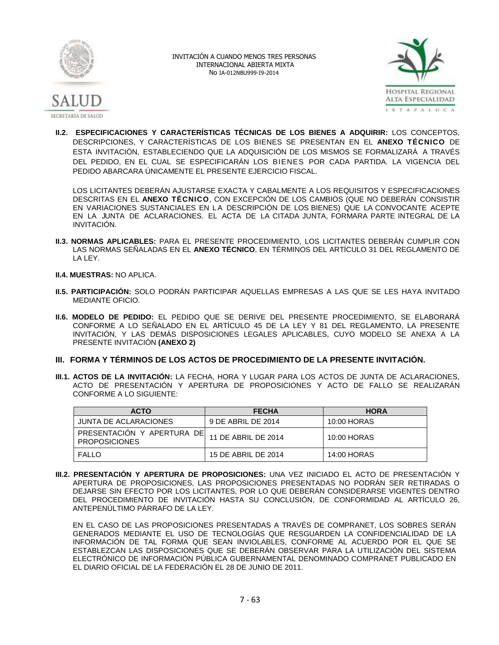



**II.2. ESPECIFICACIONES Y CARACTERÍSTICAS TÉCNICAS DE LOS BIENES A ADQUIRIR:** LOS CONCEPTOS, DESCRIPCIONES, Y CARACTERÍSTICAS DE LOS BIENES SE PRESENTAN EN EL **ANEXO TÉCNICO** DE ESTA INVITACIÓN, ESTABLECIENDO QUE LA ADQUISICIÓN DE LOS MISMOS SE FORMALIZARÁ A TRAVÉS DEL PEDIDO, EN EL CUAL SE ESPECIFICARÁN LOS BIENES POR CADA PARTIDA. LA VIGENCIA DEL PEDIDO ABARCARA ÚNICAMENTE EL PRESENTE EJERCICIO FISCAL.

LOS LICITANTES DEBERÁN AJUSTARSE EXACTA Y CABALMENTE A LOS REQUISITOS Y ESPECIFICACIONES DESCRITAS EN EL **ANEXO TÉCNICO**, CON EXCEPCIÓN DE LOS CAMBIOS (QUE NO DEBERÁN CONSISTIR EN VARIACIONES SUSTANCIALES EN LA DESCRIPCIÓN DE LOS BIENES) QUE LA CONVOCANTE ACEPTE EN LA JUNTA DE ACLARACIONES. EL ACTA DE LA CITADA JUNTA, FORMARA PARTE INTEGRAL DE LA INVITACIÓN.

**II.3. NORMAS APLICABLES:** PARA EL PRESENTE PROCEDIMIENTO, LOS LICITANTES DEBERÁN CUMPLIR CON LAS NORMAS SEÑALADAS EN EL **ANEXO TÉCNICO**, EN TÉRMINOS DEL ARTÍCULO 31 DEL REGLAMENTO DE LA LEY.

#### **II.4. MUESTRAS:** NO APLICA.

- **II.5. PARTICIPACIÓN:** SOLO PODRÁN PARTICIPAR AQUELLAS EMPRESAS A LAS QUE SE LES HAYA INVITADO MEDIANTE OFICIO.
- **II.6. MODELO DE PEDIDO:** EL PEDIDO QUE SE DERIVE DEL PRESENTE PROCEDIMIENTO, SE ELABORARÁ CONFORME A LO SEÑALADO EN EL ARTÍCULO 45 DE LA LEY Y 81 DEL REGLAMENTO, LA PRESENTE INVITACIÓN, Y LAS DEMÁS DISPOSICIONES LEGALES APLICABLES, CUYO MODELO SE ANEXA A LA PRESENTE INVITACIÓN **(ANEXO 2)**

#### **III. FORMA Y TÉRMINOS DE LOS ACTOS DE PROCEDIMIENTO DE LA PRESENTE INVITACIÓN.**

**III.1. ACTOS DE LA INVITACIÓN:** LA FECHA, HORA Y LUGAR PARA LOS ACTOS DE JUNTA DE ACLARACIONES, ACTO DE PRESENTACIÓN Y APERTURA DE PROPOSICIONES Y ACTO DE FALLO SE REALIZARÁN CONFORME A LO SIGUIENTE:

| <b>ACTO</b>                                        | <b>FECHA</b>        | <b>HORA</b> |
|----------------------------------------------------|---------------------|-------------|
| JUNTA DE ACLARACIONES                              | 9 DE ABRIL DE 2014  | 10:00 HORAS |
| PRESENTACIÓN Y APERTURA DE<br><b>PROPOSICIONES</b> | 11 DE ABRIL DE 2014 | 10:00 HORAS |
| FALLO                                              | 15 DE ABRIL DE 2014 | 14:00 HORAS |

**III.2. PRESENTACIÓN Y APERTURA DE PROPOSICIONES:** UNA VEZ INICIADO EL ACTO DE PRESENTACIÓN Y APERTURA DE PROPOSICIONES, LAS PROPOSICIONES PRESENTADAS NO PODRÁN SER RETIRADAS O DEJARSE SIN EFECTO POR LOS LICITANTES, POR LO QUE DEBERÁN CONSIDERARSE VIGENTES DENTRO DEL PROCEDIMIENTO DE INVITACIÓN HASTA SU CONCLUSIÓN, DE CONFORMIDAD AL ARTÍCULO 26, ANTEPENÚLTIMO PÁRRAFO DE LA LEY.

EN EL CASO DE LAS PROPOSICIONES PRESENTADAS A TRAVÉS DE COMPRANET, LOS SOBRES SERÁN GENERADOS MEDIANTE EL USO DE TECNOLOGÍAS QUE RESGUARDEN LA CONFIDENCIALIDAD DE LA INFORMACIÓN DE TAL FORMA QUE SEAN INVIOLABLES, CONFORME AL ACUERDO POR EL QUE SE ESTABLEZCAN LAS DISPOSICIONES QUE SE DEBERÁN OBSERVAR PARA LA UTILIZACIÓN DEL SISTEMA ELECTRÓNICO DE INFORMACIÓN PÚBLICA GUBERNAMENTAL DENOMINADO COMPRANET PUBLICADO EN EL DIARIO OFICIAL DE LA FEDERACIÓN EL 28 DE JUNIO DE 2011.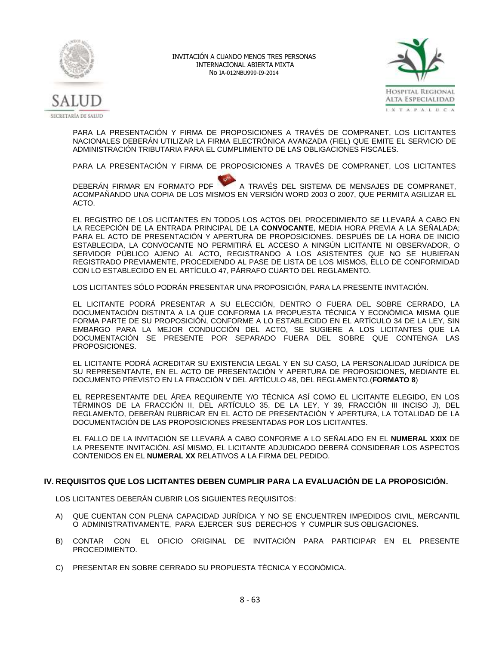



PARA LA PRESENTACIÓN Y FIRMA DE PROPOSICIONES A TRAVÉS DE COMPRANET, LOS LICITANTES NACIONALES DEBERÁN UTILIZAR LA FIRMA ELECTRÓNICA AVANZADA (FIEL) QUE EMITE EL SERVICIO DE ADMINISTRACIÓN TRIBUTARIA PARA EL CUMPLIMIENTO DE LAS OBLIGACIONES FISCALES.

PARA LA PRESENTACIÓN Y FIRMA DE PROPOSICIONES A TRAVÉS DE COMPRANET, LOS LICITANTES

DEBERÁN FIRMAR EN FORMATO PDF A TRAVÉS DEL SISTEMA DE MENSAJES DE COMPRANET, ACOMPAÑANDO UNA COPIA DE LOS MISMOS EN VERSIÓN WORD 2003 O 2007, QUE PERMITA AGILIZAR EL ACTO.

EL REGISTRO DE LOS LICITANTES EN TODOS LOS ACTOS DEL PROCEDIMIENTO SE LLEVARÁ A CABO EN LA RECEPCIÓN DE LA ENTRADA PRINCIPAL DE LA **CONVOCANTE**, MEDIA HORA PREVIA A LA SEÑALADA; PARA EL ACTO DE PRESENTACIÓN Y APERTURA DE PROPOSICIONES. DESPUÉS DE LA HORA DE INICIO ESTABLECIDA, LA CONVOCANTE NO PERMITIRÁ EL ACCESO A NINGÚN LICITANTE NI OBSERVADOR, O SERVIDOR PÚBLICO AJENO AL ACTO, REGISTRANDO A LOS ASISTENTES QUE NO SE HUBIERAN REGISTRADO PREVIAMENTE, PROCEDIENDO AL PASE DE LISTA DE LOS MISMOS, ELLO DE CONFORMIDAD CON LO ESTABLECIDO EN EL ARTÍCULO 47, PÁRRAFO CUARTO DEL REGLAMENTO.

LOS LICITANTES SÓLO PODRÁN PRESENTAR UNA PROPOSICIÓN, PARA LA PRESENTE INVITACIÓN.

EL LICITANTE PODRÁ PRESENTAR A SU ELECCIÓN, DENTRO O FUERA DEL SOBRE CERRADO, LA DOCUMENTACIÓN DISTINTA A LA QUE CONFORMA LA PROPUESTA TÉCNICA Y ECONÓMICA MISMA QUE FORMA PARTE DE SU PROPOSICIÓN, CONFORME A LO ESTABLECIDO EN EL ARTÍCULO 34 DE LA LEY, SIN EMBARGO PARA LA MEJOR CONDUCCIÓN DEL ACTO, SE SUGIERE A LOS LICITANTES QUE LA DOCUMENTACIÓN SE PRESENTE POR SEPARADO FUERA DEL SOBRE QUE CONTENGA LAS PROPOSICIONES.

EL LICITANTE PODRÁ ACREDITAR SU EXISTENCIA LEGAL Y EN SU CASO, LA PERSONALIDAD JURÍDICA DE SU REPRESENTANTE, EN EL ACTO DE PRESENTACIÓN Y APERTURA DE PROPOSICIONES, MEDIANTE EL DOCUMENTO PREVISTO EN LA FRACCIÓN V DEL ARTÍCULO 48, DEL REGLAMENTO.(**FORMATO 8**)

EL REPRESENTANTE DEL ÁREA REQUIRENTE Y/O TÉCNICA ASÍ COMO EL LICITANTE ELEGIDO, EN LOS TÉRMINOS DE LA FRACCIÓN II, DEL ARTÍCULO 35, DE LA LEY, Y 39, FRACCIÓN III INCISO J), DEL REGLAMENTO, DEBERÁN RUBRICAR EN EL ACTO DE PRESENTACIÓN Y APERTURA, LA TOTALIDAD DE LA DOCUMENTACIÓN DE LAS PROPOSICIONES PRESENTADAS POR LOS LICITANTES.

EL FALLO DE LA INVITACIÓN SE LLEVARÁ A CABO CONFORME A LO SEÑALADO EN EL **NUMERAL XXIX** DE LA PRESENTE INVITACIÓN. ASÍ MISMO, EL LICITANTE ADJUDICADO DEBERÁ CONSIDERAR LOS ASPECTOS CONTENIDOS EN EL **NUMERAL XX** RELATIVOS A LA FIRMA DEL PEDIDO.

#### **IV. REQUISITOS QUE LOS LICITANTES DEBEN CUMPLIR PARA LA EVALUACIÓN DE LA PROPOSICIÓN.**

LOS LICITANTES DEBERÁN CUBRIR LOS SIGUIENTES REQUISITOS:

- A) QUE CUENTAN CON PLENA CAPACIDAD JURÍDICA Y NO SE ENCUENTREN IMPEDIDOS CIVIL, MERCANTIL O ADMINISTRATIVAMENTE, PARA EJERCER SUS DERECHOS Y CUMPLIR SUS OBLIGACIONES.
- B) CONTAR CON EL OFICIO ORIGINAL DE INVITACIÓN PARA PARTICIPAR EN EL PRESENTE PROCEDIMIENTO.
- C) PRESENTAR EN SOBRE CERRADO SU PROPUESTA TÉCNICA Y ECONÓMICA.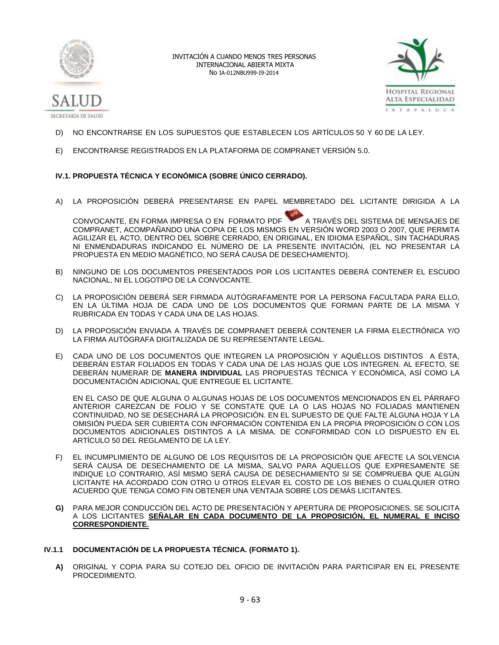



- D) NO ENCONTRARSE EN LOS SUPUESTOS QUE ESTABLECEN LOS ARTÍCULOS 50 Y 60 DE LA LEY.
- E) ENCONTRARSE REGISTRADOS EN LA PLATAFORMA DE COMPRANET VERSIÓN 5.0.

#### **IV.1. PROPUESTA TÉCNICA Y ECONÓMICA (SOBRE ÚNICO CERRADO).**

A) LA PROPOSICIÓN DEBERÁ PRESENTARSE EN PAPEL MEMBRETADO DEL LICITANTE DIRIGIDA A LA

CONVOCANTE, EN FORMA IMPRESA O EN FORMATO PDF A TRAVÉS DEL SISTEMA DE MENSAJES DE COMPRANET, ACOMPAÑANDO UNA COPIA DE LOS MISMOS EN VERSIÓN WORD 2003 O 2007, QUE PERMITA AGILIZAR EL ACTO, DENTRO DEL SOBRE CERRADO, EN ORIGINAL, EN IDIOMA ESPAÑOL, SIN TACHADURAS NI ENMENDADURAS INDICANDO EL NÚMERO DE LA PRESENTE INVITACIÓN, (EL NO PRESENTAR LA PROPUESTA EN MEDIO MAGNÉTICO, NO SERÁ CAUSA DE DESECHAMIENTO).

- B) NINGUNO DE LOS DOCUMENTOS PRESENTADOS POR LOS LICITANTES DEBERÁ CONTENER EL ESCUDO NACIONAL, NI EL LOGOTIPO DE LA CONVOCANTE.
- C) LA PROPOSICIÓN DEBERÁ SER FIRMADA AUTÓGRAFAMENTE POR LA PERSONA FACULTADA PARA ELLO, EN LA ÚLTIMA HOJA DE CADA UNO DE LOS DOCUMENTOS QUE FORMAN PARTE DE LA MISMA Y RUBRICADA EN TODAS Y CADA UNA DE LAS HOJAS.
- D) LA PROPOSICIÓN ENVIADA A TRAVÉS DE COMPRANET DEBERÁ CONTENER LA FIRMA ELECTRÓNICA Y/O LA FIRMA AUTÓGRAFA DIGITALIZADA DE SU REPRESENTANTE LEGAL.
- E) CADA UNO DE LOS DOCUMENTOS QUE INTEGREN LA PROPOSICIÓN Y AQUÉLLOS DISTINTOS A ÉSTA, DEBERÁN ESTAR FOLIADOS EN TODAS Y CADA UNA DE LAS HOJAS QUE LOS INTEGREN. AL EFECTO, SE DEBERÁN NUMERAR DE **MANERA INDIVIDUAL** LAS PROPUESTAS TÉCNICA Y ECONÓMICA, ASÍ COMO LA DOCUMENTACIÓN ADICIONAL QUE ENTREGUE EL LICITANTE.

EN EL CASO DE QUE ALGUNA O ALGUNAS HOJAS DE LOS DOCUMENTOS MENCIONADOS EN EL PÁRRAFO ANTERIOR CAREZCAN DE FOLIO Y SE CONSTATE QUE LA O LAS HOJAS NO FOLIADAS MANTIENEN CONTINUIDAD, NO SE DESECHARÁ LA PROPOSICIÓN. EN EL SUPUESTO DE QUE FALTE ALGUNA HOJA Y LA OMISIÓN PUEDA SER CUBIERTA CON INFORMACIÓN CONTENIDA EN LA PROPIA PROPOSICIÓN O CON LOS DOCUMENTOS ADICIONALES DISTINTOS A LA MISMA. DE CONFORMIDAD CON LO DISPUESTO EN EL ARTÍCULO 50 DEL REGLAMENTO DE LA LEY.

- F) EL INCUMPLIMIENTO DE ALGUNO DE LOS REQUISITOS DE LA PROPOSICIÓN QUE AFECTE LA SOLVENCIA SERÁ CAUSA DE DESECHAMIENTO DE LA MISMA, SALVO PARA AQUELLOS QUE EXPRESAMENTE SE INDIQUE LO CONTRARIO, ASÍ MISMO SERÁ CAUSA DE DESECHAMIENTO SI SE COMPRUEBA QUE ALGÚN LICITANTE HA ACORDADO CON OTRO U OTROS ELEVAR EL COSTO DE LOS BIENES O CUALQUIER OTRO ACUERDO QUE TENGA COMO FIN OBTENER UNA VENTAJA SOBRE LOS DEMÁS LICITANTES.
- **G)** PARA MEJOR CONDUCCIÓN DEL ACTO DE PRESENTACIÓN Y APERTURA DE PROPOSICIONES, SE SOLICITA A LOS LICITANTES **SEÑALAR EN CADA DOCUMENTO DE LA PROPOSICIÓN, EL NUMERAL E INCISO CORRESPONDIENTE.**

#### **IV.1.1 DOCUMENTACIÓN DE LA PROPUESTA TÉCNICA. (FORMATO 1).**

**A)** ORIGINAL Y COPIA PARA SU COTEJO DEL OFICIO DE INVITACIÓN PARA PARTICIPAR EN EL PRESENTE PROCEDIMIENTO.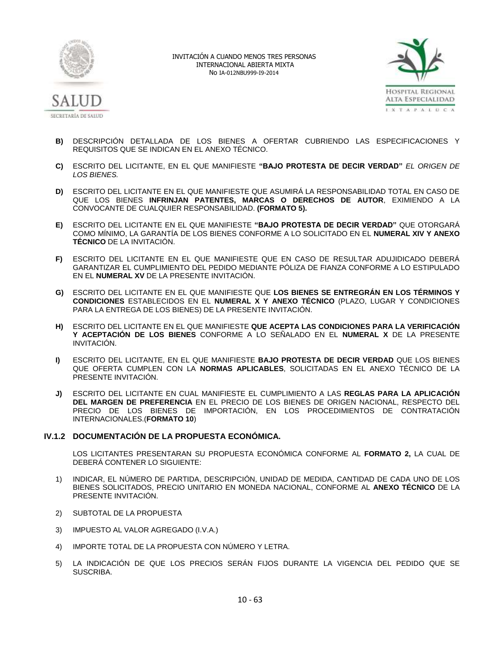



- **B)** DESCRIPCIÓN DETALLADA DE LOS BIENES A OFERTAR CUBRIENDO LAS ESPECIFICACIONES Y REQUISITOS QUE SE INDICAN EN EL ANEXO TÉCNICO.
- **C)** ESCRITO DEL LICITANTE, EN EL QUE MANIFIESTE **"BAJO PROTESTA DE DECIR VERDAD"** *EL ORIGEN DE LOS BIENES.*
- **D)** ESCRITO DEL LICITANTE EN EL QUE MANIFIESTE QUE ASUMIRÁ LA RESPONSABILIDAD TOTAL EN CASO DE QUE LOS BIENES **INFRINJAN PATENTES, MARCAS O DERECHOS DE AUTOR**, EXIMIENDO A LA CONVOCANTE DE CUALQUIER RESPONSABILIDAD. **(FORMATO 5).**
- **E)** ESCRITO DEL LICITANTE EN EL QUE MANIFIESTE **"BAJO PROTESTA DE DECIR VERDAD"** QUE OTORGARÁ COMO MÍNIMO, LA GARANTÍA DE LOS BIENES CONFORME A LO SOLICITADO EN EL **NUMERAL XIV Y ANEXO TÉCNICO** DE LA INVITACIÓN.
- **F)** ESCRITO DEL LICITANTE EN EL QUE MANIFIESTE QUE EN CASO DE RESULTAR ADUJIDICADO DEBERÁ GARANTIZAR EL CUMPLIMIENTO DEL PEDIDO MEDIANTE PÓLIZA DE FIANZA CONFORME A LO ESTIPULADO EN EL **NUMERAL XV** DE LA PRESENTE INVITACIÓN.
- **G)** ESCRITO DEL LICITANTE EN EL QUE MANIFIESTE QUE **LOS BIENES SE ENTREGRÁN EN LOS TÉRMINOS Y CONDICIONES** ESTABLECIDOS EN EL **NUMERAL X Y ANEXO TÉCNICO** (PLAZO, LUGAR Y CONDICIONES PARA LA ENTREGA DE LOS BIENES) DE LA PRESENTE INVITACIÓN.
- **H)** ESCRITO DEL LICITANTE EN EL QUE MANIFIESTE **QUE ACEPTA LAS CONDICIONES PARA LA VERIFICACIÓN Y ACEPTACIÓN DE LOS BIENES** CONFORME A LO SEÑALADO EN EL **NUMERAL X** DE LA PRESENTE INVITACIÓN.
- **I)** ESCRITO DEL LICITANTE, EN EL QUE MANIFIESTE **BAJO PROTESTA DE DECIR VERDAD** QUE LOS BIENES QUE OFERTA CUMPLEN CON LA **NORMAS APLICABLES**, SOLICITADAS EN EL ANEXO TÉCNICO DE LA PRESENTE INVITACIÓN.
- **J)** ESCRITO DEL LICITANTE EN CUAL MANIFIESTE EL CUMPLIMIENTO A LAS **REGLAS PARA LA APLICACIÓN DEL MARGEN DE PREFERENCIA** EN EL PRECIO DE LOS BIENES DE ORIGEN NACIONAL, RESPECTO DEL PRECIO DE LOS BIENES DE IMPORTACIÓN, EN LOS PROCEDIMIENTOS DE CONTRATACIÓN INTERNACIONALES.(**FORMATO 10**)

#### **IV.1.2 DOCUMENTACIÓN DE LA PROPUESTA ECONÓMICA.**

LOS LICITANTES PRESENTARAN SU PROPUESTA ECONÓMICA CONFORME AL **FORMATO 2,** LA CUAL DE DEBERÁ CONTENER LO SIGUIENTE:

- 1) INDICAR, EL NÚMERO DE PARTIDA, DESCRIPCIÓN, UNIDAD DE MEDIDA, CANTIDAD DE CADA UNO DE LOS BIENES SOLICITADOS, PRECIO UNITARIO EN MONEDA NACIONAL, CONFORME AL **ANEXO TÉCNICO** DE LA PRESENTE INVITACIÓN.
- 2) SUBTOTAL DE LA PROPUESTA
- 3) IMPUESTO AL VALOR AGREGADO (I.V.A.)
- 4) IMPORTE TOTAL DE LA PROPUESTA CON NÚMERO Y LETRA.
- 5) LA INDICACIÓN DE QUE LOS PRECIOS SERÁN FIJOS DURANTE LA VIGENCIA DEL PEDIDO QUE SE SUSCRIBA.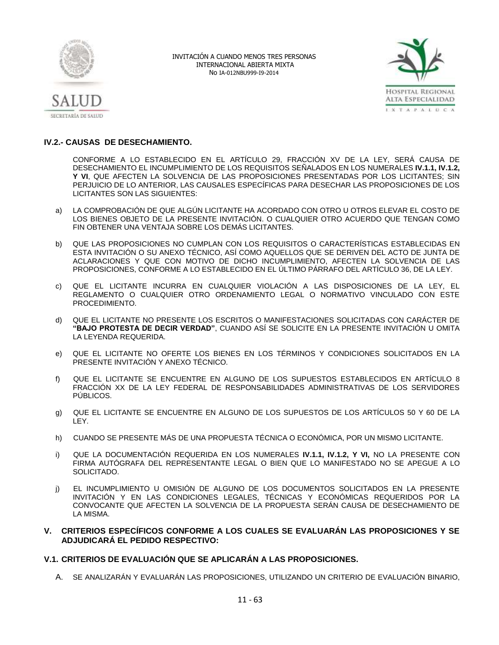



#### **IV.2.- CAUSAS DE DESECHAMIENTO.**

CONFORME A LO ESTABLECIDO EN EL ARTÍCULO 29, FRACCIÓN XV DE LA LEY, SERÁ CAUSA DE DESECHAMIENTO EL INCUMPLIMIENTO DE LOS REQUISITOS SEÑALADOS EN LOS NUMERALES **IV.1.1, IV.1.2, Y VI**, QUE AFECTEN LA SOLVENCIA DE LAS PROPOSICIONES PRESENTADAS POR LOS LICITANTES; SIN PERJUICIO DE LO ANTERIOR, LAS CAUSALES ESPECÍFICAS PARA DESECHAR LAS PROPOSICIONES DE LOS LICITANTES SON LAS SIGUIENTES:

- a) LA COMPROBACIÓN DE QUE ALGÚN LICITANTE HA ACORDADO CON OTRO U OTROS ELEVAR EL COSTO DE LOS BIENES OBJETO DE LA PRESENTE INVITACIÓN. O CUALQUIER OTRO ACUERDO QUE TENGAN COMO FIN OBTENER UNA VENTAJA SOBRE LOS DEMÁS LICITANTES.
- b) QUE LAS PROPOSICIONES NO CUMPLAN CON LOS REQUISITOS O CARACTERÍSTICAS ESTABLECIDAS EN ESTA INVITACIÓN O SU ANEXO TÉCNICO, ASÍ COMO AQUELLOS QUE SE DERIVEN DEL ACTO DE JUNTA DE ACLARACIONES Y QUE CON MOTIVO DE DICHO INCUMPLIMIENTO, AFECTEN LA SOLVENCIA DE LAS PROPOSICIONES, CONFORME A LO ESTABLECIDO EN EL ÚLTIMO PÁRRAFO DEL ARTÍCULO 36, DE LA LEY.
- c) QUE EL LICITANTE INCURRA EN CUALQUIER VIOLACIÓN A LAS DISPOSICIONES DE LA LEY, EL REGLAMENTO O CUALQUIER OTRO ORDENAMIENTO LEGAL O NORMATIVO VINCULADO CON ESTE PROCEDIMIENTO.
- d) QUE EL LICITANTE NO PRESENTE LOS ESCRITOS O MANIFESTACIONES SOLICITADAS CON CARÁCTER DE **"BAJO PROTESTA DE DECIR VERDAD"**, CUANDO ASÍ SE SOLICITE EN LA PRESENTE INVITACIÓN U OMITA LA LEYENDA REQUERIDA.
- e) QUE EL LICITANTE NO OFERTE LOS BIENES EN LOS TÉRMINOS Y CONDICIONES SOLICITADOS EN LA PRESENTE INVITACIÓN Y ANEXO TÉCNICO.
- f) QUE EL LICITANTE SE ENCUENTRE EN ALGUNO DE LOS SUPUESTOS ESTABLECIDOS EN ARTÍCULO 8 FRACCIÓN XX DE LA LEY FEDERAL DE RESPONSABILIDADES ADMINISTRATIVAS DE LOS SERVIDORES PÚBLICOS.
- g) QUE EL LICITANTE SE ENCUENTRE EN ALGUNO DE LOS SUPUESTOS DE LOS ARTÍCULOS 50 Y 60 DE LA LEY.
- h) CUANDO SE PRESENTE MÁS DE UNA PROPUESTA TÉCNICA O ECONÓMICA, POR UN MISMO LICITANTE.
- i) QUE LA DOCUMENTACIÓN REQUERIDA EN LOS NUMERALES **IV.1.1, IV.1.2, Y VI,** NO LA PRESENTE CON FIRMA AUTÓGRAFA DEL REPRESENTANTE LEGAL O BIEN QUE LO MANIFESTADO NO SE APEGUE A LO SOLICITADO.
- j) EL INCUMPLIMIENTO U OMISIÓN DE ALGUNO DE LOS DOCUMENTOS SOLICITADOS EN LA PRESENTE INVITACIÓN Y EN LAS CONDICIONES LEGALES, TÉCNICAS Y ECONÓMICAS REQUERIDOS POR LA CONVOCANTE QUE AFECTEN LA SOLVENCIA DE LA PROPUESTA SERÁN CAUSA DE DESECHAMIENTO DE LA MISMA.

#### **V. CRITERIOS ESPECÍFICOS CONFORME A LOS CUALES SE EVALUARÁN LAS PROPOSICIONES Y SE ADJUDICARÁ EL PEDIDO RESPECTIVO:**

#### **V.1. CRITERIOS DE EVALUACIÓN QUE SE APLICARÁN A LAS PROPOSICIONES.**

A. SE ANALIZARÁN Y EVALUARÁN LAS PROPOSICIONES, UTILIZANDO UN CRITERIO DE EVALUACIÓN BINARIO,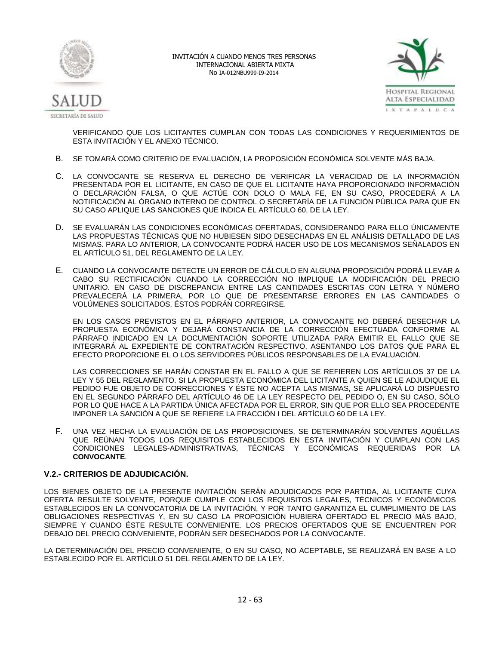



VERIFICANDO QUE LOS LICITANTES CUMPLAN CON TODAS LAS CONDICIONES Y REQUERIMIENTOS DE ESTA INVITACIÓN Y EL ANEXO TÉCNICO.

- B. SE TOMARÁ COMO CRITERIO DE EVALUACIÓN, LA PROPOSICIÓN ECONÓMICA SOLVENTE MÁS BAJA.
- C. LA CONVOCANTE SE RESERVA EL DERECHO DE VERIFICAR LA VERACIDAD DE LA INFORMACIÓN PRESENTADA POR EL LICITANTE, EN CASO DE QUE EL LICITANTE HAYA PROPORCIONADO INFORMACIÓN O DECLARACIÓN FALSA, O QUE ACTÚE CON DOLO O MALA FE, EN SU CASO, PROCEDERÁ A LA NOTIFICACIÓN AL ÓRGANO INTERNO DE CONTROL O SECRETARÍA DE LA FUNCIÓN PÚBLICA PARA QUE EN SU CASO APLIQUE LAS SANCIONES QUE INDICA EL ARTÍCULO 60, DE LA LEY.
- D. SE EVALUARÁN LAS CONDICIONES ECONÓMICAS OFERTADAS, CONSIDERANDO PARA ELLO ÚNICAMENTE LAS PROPUESTAS TÉCNICAS QUE NO HUBIESEN SIDO DESECHADAS EN EL ANÁLISIS DETALLADO DE LAS MISMAS. PARA LO ANTERIOR, LA CONVOCANTE PODRÁ HACER USO DE LOS MECANISMOS SEÑALADOS EN EL ARTÍCULO 51, DEL REGLAMENTO DE LA LEY.
- E. CUANDO LA CONVOCANTE DETECTE UN ERROR DE CÁLCULO EN ALGUNA PROPOSICIÓN PODRÁ LLEVAR A CABO SU RECTIFICACIÓN CUANDO LA CORRECCIÓN NO IMPLIQUE LA MODIFICACIÓN DEL PRECIO UNITARIO. EN CASO DE DISCREPANCIA ENTRE LAS CANTIDADES ESCRITAS CON LETRA Y NÚMERO PREVALECERÁ LA PRIMERA, POR LO QUE DE PRESENTARSE ERRORES EN LAS CANTIDADES O VOLÚMENES SOLICITADOS, ÉSTOS PODRÁN CORREGIRSE.

EN LOS CASOS PREVISTOS EN EL PÁRRAFO ANTERIOR, LA CONVOCANTE NO DEBERÁ DESECHAR LA PROPUESTA ECONÓMICA Y DEJARÁ CONSTANCIA DE LA CORRECCIÓN EFECTUADA CONFORME AL PÁRRAFO INDICADO EN LA DOCUMENTACIÓN SOPORTE UTILIZADA PARA EMITIR EL FALLO QUE SE INTEGRARÁ AL EXPEDIENTE DE CONTRATACIÓN RESPECTIVO, ASENTANDO LOS DATOS QUE PARA EL EFECTO PROPORCIONE EL O LOS SERVIDORES PÚBLICOS RESPONSABLES DE LA EVALUACIÓN.

LAS CORRECCIONES SE HARÁN CONSTAR EN EL FALLO A QUE SE REFIEREN LOS ARTÍCULOS 37 DE LA LEY Y 55 DEL REGLAMENTO. SI LA PROPUESTA ECONÓMICA DEL LICITANTE A QUIEN SE LE ADJUDIQUE EL PEDIDO FUE OBJETO DE CORRECCIONES Y ÉSTE NO ACEPTA LAS MISMAS, SE APLICARÁ LO DISPUESTO EN EL SEGUNDO PÁRRAFO DEL ARTÍCULO 46 DE LA LEY RESPECTO DEL PEDIDO O, EN SU CASO, SÓLO POR LO QUE HACE A LA PARTIDA ÚNICA AFECTADA POR EL ERROR, SIN QUE POR ELLO SEA PROCEDENTE IMPONER LA SANCIÓN A QUE SE REFIERE LA FRACCIÓN I DEL ARTÍCULO 60 DE LA LEY.

F. UNA VEZ HECHA LA EVALUACIÓN DE LAS PROPOSICIONES, SE DETERMINARÁN SOLVENTES AQUÉLLAS QUE REÚNAN TODOS LOS REQUISITOS ESTABLECIDOS EN ESTA INVITACIÓN Y CUMPLAN CON LAS CONDICIONES LEGALES-ADMINISTRATIVAS, TÉCNICAS Y ECONÓMICAS REQUERIDAS POR LA **CONVOCANTE**.

#### **V.2.- CRITERIOS DE ADJUDICACIÓN.**

LOS BIENES OBJETO DE LA PRESENTE INVITACIÓN SERÁN ADJUDICADOS POR PARTIDA, AL LICITANTE CUYA OFERTA RESULTE SOLVENTE, PORQUE CUMPLE CON LOS REQUISITOS LEGALES, TÉCNICOS Y ECONÓMICOS ESTABLECIDOS EN LA CONVOCATORIA DE LA INVITACIÓN, Y POR TANTO GARANTIZA EL CUMPLIMIENTO DE LAS OBLIGACIONES RESPECTIVAS Y, EN SU CASO LA PROPOSICIÓN HUBIERA OFERTADO EL PRECIO MÁS BAJO, SIEMPRE Y CUANDO ÉSTE RESULTE CONVENIENTE. LOS PRECIOS OFERTADOS QUE SE ENCUENTREN POR DEBAJO DEL PRECIO CONVENIENTE, PODRÁN SER DESECHADOS POR LA CONVOCANTE.

LA DETERMINACIÓN DEL PRECIO CONVENIENTE, O EN SU CASO, NO ACEPTABLE, SE REALIZARÁ EN BASE A LO ESTABLECIDO POR EL ARTÍCULO 51 DEL REGLAMENTO DE LA LEY.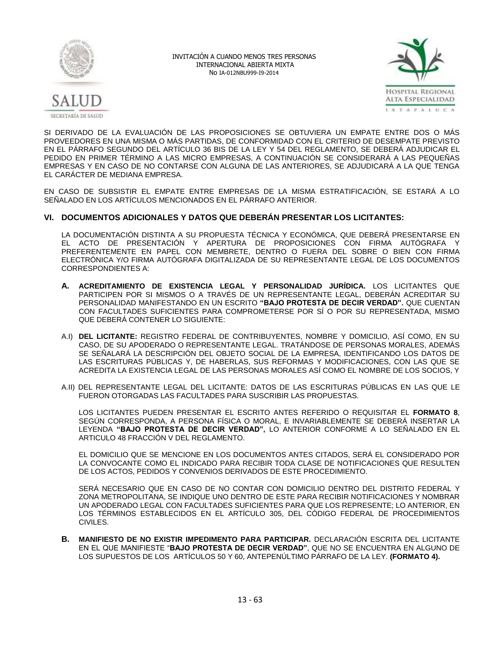



SI DERIVADO DE LA EVALUACIÓN DE LAS PROPOSICIONES SE OBTUVIERA UN EMPATE ENTRE DOS O MÁS PROVEEDORES EN UNA MISMA O MÁS PARTIDAS, DE CONFORMIDAD CON EL CRITERIO DE DESEMPATE PREVISTO EN EL PÁRRAFO SEGUNDO DEL ARTÍCULO 36 BIS DE LA LEY Y 54 DEL REGLAMENTO, SE DEBERÁ ADJUDICAR EL PEDIDO EN PRIMER TÉRMINO A LAS MICRO EMPRESAS, A CONTINUACIÓN SE CONSIDERARÁ A LAS PEQUEÑAS EMPRESAS Y EN CASO DE NO CONTARSE CON ALGUNA DE LAS ANTERIORES, SE ADJUDICARÁ A LA QUE TENGA EL CARÁCTER DE MEDIANA EMPRESA.

EN CASO DE SUBSISTIR EL EMPATE ENTRE EMPRESAS DE LA MISMA ESTRATIFICACIÓN, SE ESTARÁ A LO SEÑALADO EN LOS ARTÍCULOS MENCIONADOS EN EL PÁRRAFO ANTERIOR.

#### **VI. DOCUMENTOS ADICIONALES Y DATOS QUE DEBERÁN PRESENTAR LOS LICITANTES:**

LA DOCUMENTACIÓN DISTINTA A SU PROPUESTA TÉCNICA Y ECONÓMICA, QUE DEBERÁ PRESENTARSE EN EL ACTO DE PRESENTACIÓN Y APERTURA DE PROPOSICIONES CON FIRMA AUTÓGRAFA Y PREFERENTEMENTE EN PAPEL CON MEMBRETE, DENTRO O FUERA DEL SOBRE O BIEN CON FIRMA ELECTRÓNICA Y/O FIRMA AUTÓGRAFA DIGITALIZADA DE SU REPRESENTANTE LEGAL DE LOS DOCUMENTOS CORRESPONDIENTES A:

- **A. ACREDITAMIENTO DE EXISTENCIA LEGAL Y PERSONALIDAD JURÍDICA.** LOS LICITANTES QUE PARTICIPEN POR SI MISMOS O A TRAVÉS DE UN REPRESENTANTE LEGAL, DEBERÁN ACREDITAR SU PERSONALIDAD MANIFESTANDO EN UN ESCRITO **"BAJO PROTESTA DE DECIR VERDAD".** QUE CUENTAN CON FACULTADES SUFICIENTES PARA COMPROMETERSE POR SÍ O POR SU REPRESENTADA, MISMO QUE DEBERÁ CONTENER LO SIGUIENTE:
- A.I) **DEL LICITANTE:** REGISTRO FEDERAL DE CONTRIBUYENTES, NOMBRE Y DOMICILIO, ASÍ COMO, EN SU CASO, DE SU APODERADO O REPRESENTANTE LEGAL. TRATÁNDOSE DE PERSONAS MORALES, ADEMÁS SE SEÑALARÁ LA DESCRIPCIÓN DEL OBJETO SOCIAL DE LA EMPRESA, IDENTIFICANDO LOS DATOS DE LAS ESCRITURAS PÚBLICAS Y, DE HABERLAS, SUS REFORMAS Y MODIFICACIONES, CON LAS QUE SE ACREDITA LA EXISTENCIA LEGAL DE LAS PERSONAS MORALES ASÍ COMO EL NOMBRE DE LOS SOCIOS, Y
- A.II) DEL REPRESENTANTE LEGAL DEL LICITANTE: DATOS DE LAS ESCRITURAS PÚBLICAS EN LAS QUE LE FUERON OTORGADAS LAS FACULTADES PARA SUSCRIBIR LAS PROPUESTAS.

LOS LICITANTES PUEDEN PRESENTAR EL ESCRITO ANTES REFERIDO O REQUISITAR EL **FORMATO 8**, SEGÚN CORRESPONDA, A PERSONA FÍSICA O MORAL, E INVARIABLEMENTE SE DEBERÁ INSERTAR LA LEYENDA **"BAJO PROTESTA DE DECIR VERDAD",** LO ANTERIOR CONFORME A LO SEÑALADO EN EL ARTICULO 48 FRACCIÓN V DEL REGLAMENTO.

EL DOMICILIO QUE SE MENCIONE EN LOS DOCUMENTOS ANTES CITADOS, SERÁ EL CONSIDERADO POR LA CONVOCANTE COMO EL INDICADO PARA RECIBIR TODA CLASE DE NOTIFICACIONES QUE RESULTEN DE LOS ACTOS, PEDIDOS Y CONVENIOS DERIVADOS DE ESTE PROCEDIMIENTO.

SERÁ NECESARIO QUE EN CASO DE NO CONTAR CON DOMICILIO DENTRO DEL DISTRITO FEDERAL Y ZONA METROPOLITANA, SE INDIQUE UNO DENTRO DE ESTE PARA RECIBIR NOTIFICACIONES Y NOMBRAR UN APODERADO LEGAL CON FACULTADES SUFICIENTES PARA QUE LOS REPRESENTE; LO ANTERIOR, EN LOS TÉRMINOS ESTABLECIDOS EN EL ARTÍCULO 305, DEL CÓDIGO FEDERAL DE PROCEDIMIENTOS CIVILES.

**B. MANIFIESTO DE NO EXISTIR IMPEDIMENTO PARA PARTICIPAR.** DECLARACIÓN ESCRITA DEL LICITANTE EN EL QUE MANIFIESTE "**BAJO PROTESTA DE DECIR VERDAD"**, QUE NO SE ENCUENTRA EN ALGUNO DE LOS SUPUESTOS DE LOS ARTÍCULOS 50 Y 60, ANTEPENÚLTIMO PÁRRAFO DE LA LEY. **(FORMATO 4).**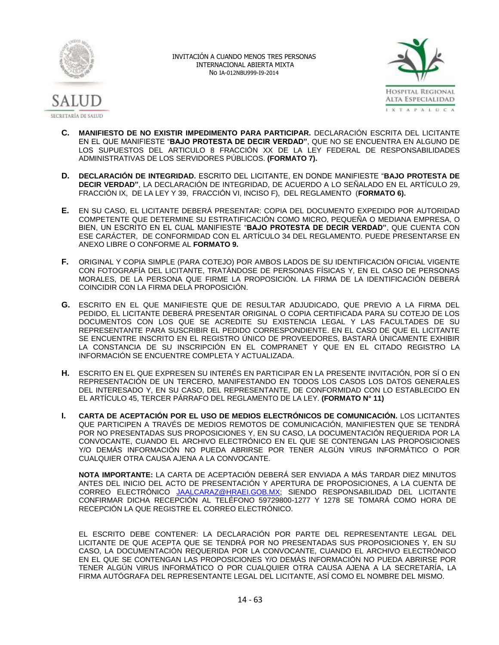



- **C. MANIFIESTO DE NO EXISTIR IMPEDIMENTO PARA PARTICIPAR.** DECLARACIÓN ESCRITA DEL LICITANTE EN EL QUE MANIFIESTE "**BAJO PROTESTA DE DECIR VERDAD"**, QUE NO SE ENCUENTRA EN ALGUNO DE LOS SUPUESTOS DEL ARTICULO 8 FRACCIÓN XX DE LA LEY FEDERAL DE RESPONSABILIDADES ADMINISTRATIVAS DE LOS SERVIDORES PÚBLICOS. **(FORMATO 7).**
- **D. DECLARACIÓN DE INTEGRIDAD.** ESCRITO DEL LICITANTE, EN DONDE MANIFIESTE "**BAJO PROTESTA DE DECIR VERDAD"**, LA DECLARACIÓN DE INTEGRIDAD, DE ACUERDO A LO SEÑALADO EN EL ARTÍCULO 29, FRACCIÓN IX, DE LA LEY Y 39, FRACCIÓN VI, INCISO F), DEL REGLAMENTO (**FORMATO 6).**
- **E.** EN SU CASO, EL LICITANTE DEBERÁ PRESENTAR: COPIA DEL DOCUMENTO EXPEDIDO POR AUTORIDAD COMPETENTE QUE DETERMINE SU ESTRATIFICACIÓN COMO MICRO, PEQUEÑA O MEDIANA EMPRESA, O BIEN, UN ESCRITO EN EL CUAL MANIFIESTE "**BAJO PROTESTA DE DECIR VERDAD"**, QUE CUENTA CON ESE CARÁCTER, DE CONFORMIDAD CON EL ARTÍCULO 34 DEL REGLAMENTO. PUEDE PRESENTARSE EN ANEXO LIBRE O CONFORME AL **FORMATO 9.**
- **F.** ORIGINAL Y COPIA SIMPLE (PARA COTEJO) POR AMBOS LADOS DE SU IDENTIFICACIÓN OFICIAL VIGENTE CON FOTOGRAFÍA DEL LICITANTE, TRATÁNDOSE DE PERSONAS FÍSICAS Y, EN EL CASO DE PERSONAS MORALES, DE LA PERSONA QUE FIRME LA PROPOSICIÓN. LA FIRMA DE LA IDENTIFICACIÓN DEBERÁ COINCIDIR CON LA FIRMA DELA PROPOSICIÓN.
- **G.** ESCRITO EN EL QUE MANIFIESTE QUE DE RESULTAR ADJUDICADO, QUE PREVIO A LA FIRMA DEL PEDIDO, EL LICITANTE DEBERÁ PRESENTAR ORIGINAL O COPIA CERTIFICADA PARA SU COTEJO DE LOS DOCUMENTOS CON LOS QUE SE ACREDITE SU EXISTENCIA LEGAL Y LAS FACULTADES DE SU REPRESENTANTE PARA SUSCRIBIR EL PEDIDO CORRESPONDIENTE. EN EL CASO DE QUE EL LICITANTE SE ENCUENTRE INSCRITO EN EL REGISTRO ÚNICO DE PROVEEDORES, BASTARÁ ÚNICAMENTE EXHIBIR LA CONSTANCIA DE SU INSCRIPCIÓN EN EL COMPRANET Y QUE EN EL CITADO REGISTRO LA INFORMACIÓN SE ENCUENTRE COMPLETA Y ACTUALIZADA.
- **H.** ESCRITO EN EL QUE EXPRESEN SU INTERÉS EN PARTICIPAR EN LA PRESENTE INVITACIÓN, POR SÍ O EN REPRESENTACIÓN DE UN TERCERO, MANIFESTANDO EN TODOS LOS CASOS LOS DATOS GENERALES DEL INTERESADO Y, EN SU CASO, DEL REPRESENTANTE, DE CONFORMIDAD CON LO ESTABLECIDO EN EL ARTÍCULO 45, TERCER PÁRRAFO DEL REGLAMENTO DE LA LEY. **(FORMATO N° 11)**
- **I. CARTA DE ACEPTACIÓN POR EL USO DE MEDIOS ELECTRÓNICOS DE COMUNICACIÓN.** LOS LICITANTES QUE PARTICIPEN A TRAVÉS DE MEDIOS REMOTOS DE COMUNICACIÓN, MANIFIESTEN QUE SE TENDRÁ POR NO PRESENTADAS SUS PROPOSICIONES Y, EN SU CASO, LA DOCUMENTACIÓN REQUERIDA POR LA CONVOCANTE, CUANDO EL ARCHIVO ELECTRÓNICO EN EL QUE SE CONTENGAN LAS PROPOSICIONES Y/O DEMÁS INFORMACIÓN NO PUEDA ABRIRSE POR TENER ALGÚN VIRUS INFORMÁTICO O POR CUALQUIER OTRA CAUSA AJENA A LA CONVOCANTE.

**NOTA IMPORTANTE:** LA CARTA DE ACEPTACIÓN DEBERÁ SER ENVIADA A MÁS TARDAR DIEZ MINUTOS ANTES DEL INICIO DEL ACTO DE PRESENTACIÓN Y APERTURA DE PROPOSICIONES, A LA CUENTA DE CORREO ELECTRÓNICO [JAALCARAZ@HRAEI.GOB.MX;](mailto:JAALCARAZ@HRAEI.GOB.MX) SIENDO RESPONSABILIDAD DEL LICITANTE CONFIRMAR DICHA RECEPCIÓN AL TELÉFONO 59729800-1277 Y 1278 SE TOMARÁ COMO HORA DE RECEPCIÓN LA QUE REGISTRE EL CORREO ELECTRÓNICO.

EL ESCRITO DEBE CONTENER: LA DECLARACIÓN POR PARTE DEL REPRESENTANTE LEGAL DEL LICITANTE DE QUE ACEPTA QUE SE TENDRÁ POR NO PRESENTADAS SUS PROPOSICIONES Y, EN SU CASO, LA DOCUMENTACIÓN REQUERIDA POR LA CONVOCANTE, CUANDO EL ARCHIVO ELECTRÓNICO EN EL QUE SE CONTENGAN LAS PROPOSICIONES Y/O DEMÁS INFORMACIÓN NO PUEDA ABRIRSE POR TENER ALGÚN VIRUS INFORMÁTICO O POR CUALQUIER OTRA CAUSA AJENA A LA SECRETARÍA, LA FIRMA AUTÓGRAFA DEL REPRESENTANTE LEGAL DEL LICITANTE, ASÍ COMO EL NOMBRE DEL MISMO.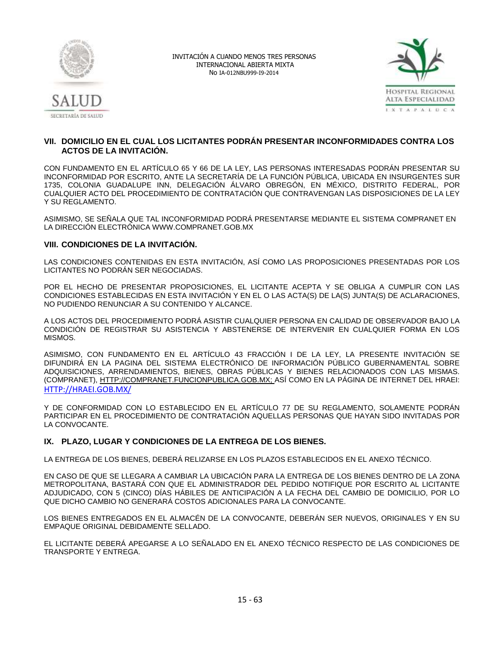



#### **VII. DOMICILIO EN EL CUAL LOS LICITANTES PODRÁN PRESENTAR INCONFORMIDADES CONTRA LOS ACTOS DE LA INVITACIÓN.**

CON FUNDAMENTO EN EL ARTÍCULO 65 Y 66 DE LA LEY, LAS PERSONAS INTERESADAS PODRÁN PRESENTAR SU INCONFORMIDAD POR ESCRITO, ANTE LA SECRETARÍA DE LA FUNCIÓN PÚBLICA, UBICADA EN INSURGENTES SUR 1735, COLONIA GUADALUPE INN, DELEGACIÓN ÁLVARO OBREGÓN, EN MÉXICO, DISTRITO FEDERAL, POR CUALQUIER ACTO DEL PROCEDIMIENTO DE CONTRATACIÓN QUE CONTRAVENGAN LAS DISPOSICIONES DE LA LEY Y SU REGLAMENTO.

ASIMISMO, SE SEÑALA QUE TAL INCONFORMIDAD PODRÁ PRESENTARSE MEDIANTE EL SISTEMA COMPRANET EN LA DIRECCIÓN ELECTRÓNICA [WWW.COMPRANET.GOB.MX](http://www.compranet.gob.mx/)

#### **VIII. CONDICIONES DE LA INVITACIÓN.**

LAS CONDICIONES CONTENIDAS EN ESTA INVITACIÓN, ASÍ COMO LAS PROPOSICIONES PRESENTADAS POR LOS LICITANTES NO PODRÁN SER NEGOCIADAS.

POR EL HECHO DE PRESENTAR PROPOSICIONES, EL LICITANTE ACEPTA Y SE OBLIGA A CUMPLIR CON LAS CONDICIONES ESTABLECIDAS EN ESTA INVITACIÓN Y EN EL O LAS ACTA(S) DE LA(S) JUNTA(S) DE ACLARACIONES, NO PUDIENDO RENUNCIAR A SU CONTENIDO Y ALCANCE.

A LOS ACTOS DEL PROCEDIMIENTO PODRÁ ASISTIR CUALQUIER PERSONA EN CALIDAD DE OBSERVADOR BAJO LA CONDICIÓN DE REGISTRAR SU ASISTENCIA Y ABSTENERSE DE INTERVENIR EN CUALQUIER FORMA EN LOS MISMOS.

ASIMISMO, CON FUNDAMENTO EN EL ARTÍCULO 43 FRACCIÓN I DE LA LEY, LA PRESENTE INVITACIÓN SE DIFUNDIRÁ EN LA PAGINA DEL SISTEMA ELECTRÓNICO DE INFORMACIÓN PÚBLICO GUBERNAMENTAL SOBRE ADQUISICIONES, ARRENDAMIENTOS, BIENES, OBRAS PÚBLICAS Y BIENES RELACIONADOS CON LAS MISMAS. (COMPRANET), [HTTP://COMPRANET.FUNCIONPUBLICA.GOB.MX;](http://compranet.funcionpublica.gob.mx/) ASÍ COMO EN LA PÁGINA DE INTERNET DEL HRAEI: [HTTP://HRAEI.GOB.MX/](http://hraei.gob.mx/)

Y DE CONFORMIDAD CON LO ESTABLECIDO EN EL ARTÍCULO 77 DE SU REGLAMENTO, SOLAMENTE PODRÁN PARTICIPAR EN EL PROCEDIMIENTO DE CONTRATACIÓN AQUELLAS PERSONAS QUE HAYAN SIDO INVITADAS POR LA CONVOCANTE.

#### **IX. PLAZO, LUGAR Y CONDICIONES DE LA ENTREGA DE LOS BIENES.**

LA ENTREGA DE LOS BIENES, DEBERÁ RELIZARSE EN LOS PLAZOS ESTABLECIDOS EN EL ANEXO TÉCNICO.

EN CASO DE QUE SE LLEGARA A CAMBIAR LA UBICACIÓN PARA LA ENTREGA DE LOS BIENES DENTRO DE LA ZONA METROPOLITANA, BASTARÁ CON QUE EL ADMINISTRADOR DEL PEDIDO NOTIFIQUE POR ESCRITO AL LICITANTE ADJUDICADO, CON 5 (CINCO) DÍAS HÁBILES DE ANTICIPACIÓN A LA FECHA DEL CAMBIO DE DOMICILIO, POR LO QUE DICHO CAMBIO NO GENERARÁ COSTOS ADICIONALES PARA LA CONVOCANTE.

LOS BIENES ENTREGADOS EN EL ALMACÉN DE LA CONVOCANTE, DEBERÁN SER NUEVOS, ORIGINALES Y EN SU EMPAQUE ORIGINAL DEBIDAMENTE SELLADO.

EL LICITANTE DEBERÁ APEGARSE A LO SEÑALADO EN EL ANEXO TÉCNICO RESPECTO DE LAS CONDICIONES DE TRANSPORTE Y ENTREGA.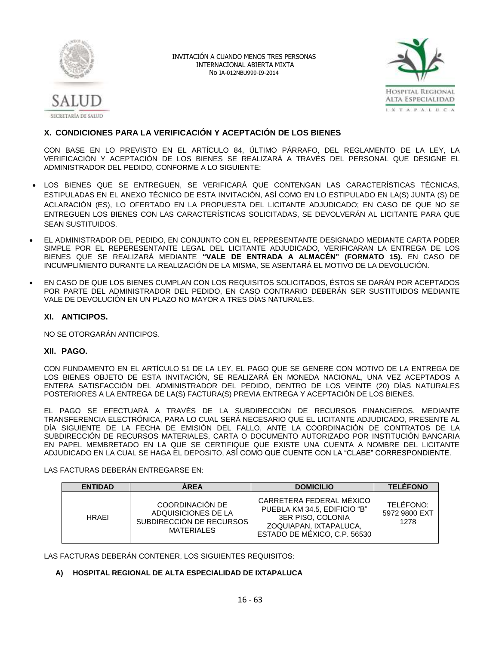



#### **X. CONDICIONES PARA LA VERIFICACIÓN Y ACEPTACIÓN DE LOS BIENES**

CON BASE EN LO PREVISTO EN EL ARTÍCULO 84, ÚLTIMO PÁRRAFO, DEL REGLAMENTO DE LA LEY, LA VERIFICACIÓN Y ACEPTACIÓN DE LOS BIENES SE REALIZARÁ A TRAVÉS DEL PERSONAL QUE DESIGNE EL ADMINISTRADOR DEL PEDIDO, CONFORME A LO SIGUIENTE:

- LOS BIENES QUE SE ENTREGUEN, SE VERIFICARÁ QUE CONTENGAN LAS CARACTERÍSTICAS TÉCNICAS, ESTIPULADAS EN EL ANEXO TÉCNICO DE ESTA INVITACIÓN, ASÍ COMO EN LO ESTIPULADO EN LA(S) JUNTA (S) DE ACLARACIÓN (ES), LO OFERTADO EN LA PROPUESTA DEL LICITANTE ADJUDICADO; EN CASO DE QUE NO SE ENTREGUEN LOS BIENES CON LAS CARACTERÍSTICAS SOLICITADAS, SE DEVOLVERÁN AL LICITANTE PARA QUE SEAN SUSTITUIDOS.
- EL ADMINISTRADOR DEL PEDIDO, EN CONJUNTO CON EL REPRESENTANTE DESIGNADO MEDIANTE CARTA PODER SIMPLE POR EL REPERESENTANTE LEGAL DEL LICITANTE ADJUDICADO, VERIFICARAN LA ENTREGA DE LOS BIENES QUE SE REALIZARÁ MEDIANTE **"VALE DE ENTRADA A ALMACÉN" (FORMATO 15).** EN CASO DE INCUMPLIMIENTO DURANTE LA REALIZACIÓN DE LA MISMA, SE ASENTARÁ EL MOTIVO DE LA DEVOLUCIÓN.
- EN CASO DE QUE LOS BIENES CUMPLAN CON LOS REQUISITOS SOLICITADOS, ÉSTOS SE DARÁN POR ACEPTADOS POR PARTE DEL ADMINISTRADOR DEL PEDIDO, EN CASO CONTRARIO DEBERÁN SER SUSTITUIDOS MEDIANTE VALE DE DEVOLUCIÓN EN UN PLAZO NO MAYOR A TRES DÍAS NATURALES.

#### **XI. ANTICIPOS.**

NO SE OTORGARÁN ANTICIPOS*.*

#### **XII. PAGO.**

CON FUNDAMENTO EN EL ARTÍCULO 51 DE LA LEY, EL PAGO QUE SE GENERE CON MOTIVO DE LA ENTREGA DE LOS BIENES OBJETO DE ESTA INVITACIÓN, SE REALIZARÁ EN MONEDA NACIONAL, UNA VEZ ACEPTADOS A ENTERA SATISFACCIÓN DEL ADMINISTRADOR DEL PEDIDO, DENTRO DE LOS VEINTE (20) DÍAS NATURALES POSTERIORES A LA ENTREGA DE LA(S) FACTURA(S) PREVIA ENTREGA Y ACEPTACIÓN DE LOS BIENES.

EL PAGO SE EFECTUARÁ A TRAVÉS DE LA SUBDIRECCIÓN DE RECURSOS FINANCIEROS, MEDIANTE TRANSFERENCIA ELECTRÓNICA, PARA LO CUAL SERÁ NECESARIO QUE EL LICITANTE ADJUDICADO, PRESENTE AL DÍA SIGUIENTE DE LA FECHA DE EMISIÓN DEL FALLO, ANTE LA COORDINACIÓN DE CONTRATOS DE LA SUBDIRECCIÓN DE RECURSOS MATERIALES, CARTA O DOCUMENTO AUTORIZADO POR INSTITUCIÓN BANCARIA EN PAPEL MEMBRETADO EN LA QUE SE CERTIFIQUE QUE EXISTE UNA CUENTA A NOMBRE DEL LICITANTE ADJUDICADO EN LA CUAL SE HAGA EL DEPOSITO, ASÍ COMO QUE CUENTE CON LA "CLABE" CORRESPONDIENTE.

#### LAS FACTURAS DEBERÁN ENTREGARSE EN:

| <b>ENTIDAD</b> | <b>AREA</b>                                                                             | <b>DOMICILIO</b>                                                                                                                        | <b>TELÉFONO</b>                    |
|----------------|-----------------------------------------------------------------------------------------|-----------------------------------------------------------------------------------------------------------------------------------------|------------------------------------|
| <b>HRAFI</b>   | COORDINACIÓN DE<br>ADQUISICIONES DE LA<br>SUBDIRECCIÓN DE RECURSOS<br><b>MATERIALES</b> | CARRETERA FEDERAL MÉXICO<br>PUEBLA KM 34.5, EDIFICIO "B"<br>3ER PISO, COLONIA<br>ZOQUIAPAN, IXTAPALUCA.<br>ESTADO DE MÉXICO, C.P. 56530 | TELÉFONO:<br>5972 9800 EXT<br>1278 |

LAS FACTURAS DEBERÁN CONTENER, LOS SIGUIENTES REQUISITOS:

#### **A) HOSPITAL REGIONAL DE ALTA ESPECIALIDAD DE IXTAPALUCA**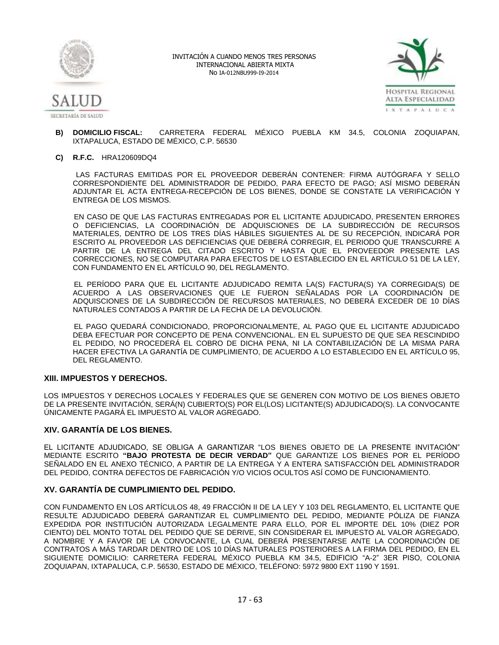



- **B) DOMICILIO FISCAL:** CARRETERA FEDERAL MÉXICO PUEBLA KM 34.5, COLONIA ZOQUIAPAN, IXTAPALUCA, ESTADO DE MÉXICO, C.P. 56530
- **C) R.F.C.** HRA120609DQ4

 LAS FACTURAS EMITIDAS POR EL PROVEEDOR DEBERÁN CONTENER: FIRMA AUTÓGRAFA Y SELLO CORRESPONDIENTE DEL ADMINISTRADOR DE PEDIDO, PARA EFECTO DE PAGO; ASÍ MISMO DEBERÁN ADJUNTAR EL ACTA ENTREGA-RECEPCIÓN DE LOS BIENES, DONDE SE CONSTATE LA VERIFICACIÓN Y ENTREGA DE LOS MISMOS.

 EN CASO DE QUE LAS FACTURAS ENTREGADAS POR EL LICITANTE ADJUDICADO, PRESENTEN ERRORES O DEFICIENCIAS, LA COORDINACIÓN DE ADQUISCIONES DE LA SUBDIRECCIÓN DE RECURSOS MATERIALES, DENTRO DE LOS TRES DÍAS HÁBILES SIGUIENTES AL DE SU RECEPCIÓN, INDICARÁ POR ESCRITO AL PROVEEDOR LAS DEFICIENCIAS QUE DEBERÁ CORREGIR, EL PERIODO QUE TRANSCURRE A PARTIR DE LA ENTREGA DEL CITADO ESCRITO Y HASTA QUE EL PROVEEDOR PRESENTE LAS CORRECCIONES, NO SE COMPUTARA PARA EFECTOS DE LO ESTABLECIDO EN EL ARTÍCULO 51 DE LA LEY, CON FUNDAMENTO EN EL ARTÍCULO 90, DEL REGLAMENTO.

 EL PERÍODO PARA QUE EL LICITANTE ADJUDICADO REMITA LA(S) FACTURA(S) YA CORREGIDA(S) DE ACUERDO A LAS OBSERVACIONES QUE LE FUERON SEÑALADAS POR LA COORDINACIÓN DE ADQUISCIONES DE LA SUBDIRECCIÓN DE RECURSOS MATERIALES, NO DEBERÁ EXCEDER DE 10 DÍAS NATURALES CONTADOS A PARTIR DE LA FECHA DE LA DEVOLUCIÓN.

 EL PAGO QUEDARÁ CONDICIONADO, PROPORCIONALMENTE, AL PAGO QUE EL LICITANTE ADJUDICADO DEBA EFECTUAR POR CONCEPTO DE PENA CONVENCIONAL. EN EL SUPUESTO DE QUE SEA RESCINDIDO EL PEDIDO, NO PROCEDERÁ EL COBRO DE DICHA PENA, NI LA CONTABILIZACIÓN DE LA MISMA PARA HACER EFECTIVA LA GARANTÍA DE CUMPLIMIENTO, DE ACUERDO A LO ESTABLECIDO EN EL ARTÍCULO 95, DEL REGLAMENTO.

#### **XIII. IMPUESTOS Y DERECHOS.**

LOS IMPUESTOS Y DERECHOS LOCALES Y FEDERALES QUE SE GENEREN CON MOTIVO DE LOS BIENES OBJETO DE LA PRESENTE INVITACIÓN, SERÁ(N) CUBIERTO(S) POR EL(LOS) LICITANTE(S) ADJUDICADO(S). LA CONVOCANTE ÚNICAMENTE PAGARÁ EL IMPUESTO AL VALOR AGREGADO.

#### **XIV. GARANTÍA DE LOS BIENES.**

EL LICITANTE ADJUDICADO, SE OBLIGA A GARANTIZAR "LOS BIENES OBJETO DE LA PRESENTE INVITACIÓN" MEDIANTE ESCRITO **"BAJO PROTESTA DE DECIR VERDAD"** QUE GARANTIZE LOS BIENES POR EL PERÍODO SEÑALADO EN EL ANEXO TÉCNICO, A PARTIR DE LA ENTREGA Y A ENTERA SATISFACCIÓN DEL ADMINISTRADOR DEL PEDIDO, CONTRA DEFECTOS DE FABRICACIÓN Y/O VICIOS OCULTOS ASÍ COMO DE FUNCIONAMIENTO.

#### **XV. GARANTÍA DE CUMPLIMIENTO DEL PEDIDO.**

CON FUNDAMENTO EN LOS ARTÍCULOS 48, 49 FRACCIÓN II DE LA LEY Y 103 DEL REGLAMENTO, EL LICITANTE QUE RESULTE ADJUDICADO DEBERÁ GARANTIZAR EL CUMPLIMIENTO DEL PEDIDO, MEDIANTE PÓLIZA DE FIANZA EXPEDIDA POR INSTITUCIÓN AUTORIZADA LEGALMENTE PARA ELLO, POR EL IMPORTE DEL 10% (DIEZ POR CIENTO) DEL MONTO TOTAL DEL PEDIDO QUE SE DERIVE, SIN CONSIDERAR EL IMPUESTO AL VALOR AGREGADO, A NOMBRE Y A FAVOR DE LA CONVOCANTE, LA CUAL DEBERÁ PRESENTARSE ANTE LA COORDINACIÓN DE CONTRATOS A MÁS TARDAR DENTRO DE LOS 10 DÍAS NATURALES POSTERIORES A LA FIRMA DEL PEDIDO, EN EL SIGUIENTE DOMICILIO: CARRETERA FEDERAL MÉXICO PUEBLA KM 34.5, EDIFICIO "A-2" 3ER PISO, COLONIA ZOQUIAPAN, IXTAPALUCA, C.P. 56530, ESTADO DE MÉXICO, TELÉFONO: 5972 9800 EXT 1190 Y 1591.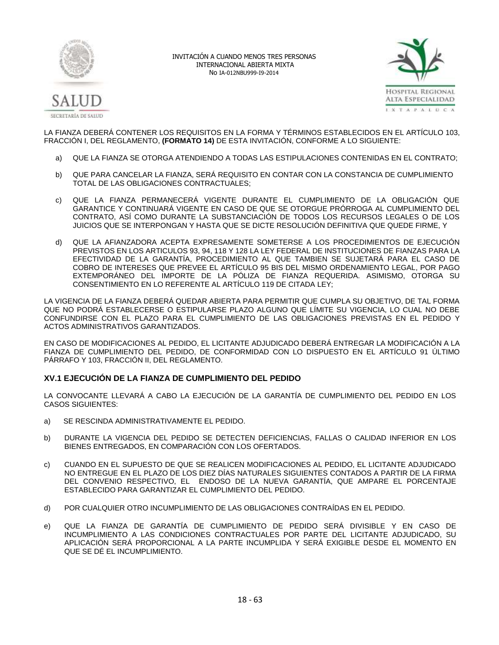



LA FIANZA DEBERÁ CONTENER LOS REQUISITOS EN LA FORMA Y TÉRMINOS ESTABLECIDOS EN EL ARTÍCULO 103, FRACCIÓN I, DEL REGLAMENTO, **(FORMATO 14)** DE ESTA INVITACIÓN, CONFORME A LO SIGUIENTE:

- a) QUE LA FIANZA SE OTORGA ATENDIENDO A TODAS LAS ESTIPULACIONES CONTENIDAS EN EL CONTRATO;
- b) QUE PARA CANCELAR LA FIANZA, SERÁ REQUISITO EN CONTAR CON LA CONSTANCIA DE CUMPLIMIENTO TOTAL DE LAS OBLIGACIONES CONTRACTUALES;
- c) QUE LA FIANZA PERMANECERÁ VIGENTE DURANTE EL CUMPLIMIENTO DE LA OBLIGACIÓN QUE GARANTICE Y CONTINUARÁ VIGENTE EN CASO DE QUE SE OTORGUE PRÓRROGA AL CUMPLIMIENTO DEL CONTRATO, ASÍ COMO DURANTE LA SUBSTANCIACIÓN DE TODOS LOS RECURSOS LEGALES O DE LOS JUICIOS QUE SE INTERPONGAN Y HASTA QUE SE DICTE RESOLUCIÓN DEFINITIVA QUE QUEDE FIRME, Y
- d) QUE LA AFIANZADORA ACEPTA EXPRESAMENTE SOMETERSE A LOS PROCEDIMIENTOS DE EJECUCIÓN PREVISTOS EN LOS ARTICULOS 93, 94, 118 Y 128 LA LEY FEDERAL DE INSTITUCIONES DE FIANZAS PARA LA EFECTIVIDAD DE LA GARANTÍA, PROCEDIMIENTO AL QUE TAMBIEN SE SUJETARÁ PARA EL CASO DE COBRO DE INTERESES QUE PREVEE EL ARTÍCULO 95 BIS DEL MISMO ORDENAMIENTO LEGAL, POR PAGO EXTEMPORÁNEO DEL IMPORTE DE LA PÓLIZA DE FIANZA REQUERIDA. ASIMISMO, OTORGA SU CONSENTIMIENTO EN LO REFERENTE AL ARTÍCULO 119 DE CITADA LEY;

LA VIGENCIA DE LA FIANZA DEBERÁ QUEDAR ABIERTA PARA PERMITIR QUE CUMPLA SU OBJETIVO, DE TAL FORMA QUE NO PODRÁ ESTABLECERSE O ESTIPULARSE PLAZO ALGUNO QUE LÍMITE SU VIGENCIA, LO CUAL NO DEBE CONFUNDIRSE CON EL PLAZO PARA EL CUMPLIMIENTO DE LAS OBLIGACIONES PREVISTAS EN EL PEDIDO Y ACTOS ADMINISTRATIVOS GARANTIZADOS.

EN CASO DE MODIFICACIONES AL PEDIDO, EL LICITANTE ADJUDICADO DEBERÁ ENTREGAR LA MODIFICACIÓN A LA FIANZA DE CUMPLIMIENTO DEL PEDIDO, DE CONFORMIDAD CON LO DISPUESTO EN EL ARTÍCULO 91 ÚLTIMO PÁRRAFO Y 103, FRACCIÓN II, DEL REGLAMENTO.

#### **XV.1 EJECUCIÓN DE LA FIANZA DE CUMPLIMIENTO DEL PEDIDO**

LA CONVOCANTE LLEVARÁ A CABO LA EJECUCIÓN DE LA GARANTÍA DE CUMPLIMIENTO DEL PEDIDO EN LOS CASOS SIGUIENTES:

- a) SE RESCINDA ADMINISTRATIVAMENTE EL PEDIDO.
- b) DURANTE LA VIGENCIA DEL PEDIDO SE DETECTEN DEFICIENCIAS, FALLAS O CALIDAD INFERIOR EN LOS BIENES ENTREGADOS, EN COMPARACIÓN CON LOS OFERTADOS.
- c) CUANDO EN EL SUPUESTO DE QUE SE REALICEN MODIFICACIONES AL PEDIDO, EL LICITANTE ADJUDICADO NO ENTREGUE EN EL PLAZO DE LOS DIEZ DÍAS NATURALES SIGUIENTES CONTADOS A PARTIR DE LA FIRMA DEL CONVENIO RESPECTIVO, EL ENDOSO DE LA NUEVA GARANTÍA, QUE AMPARE EL PORCENTAJE ESTABLECIDO PARA GARANTIZAR EL CUMPLIMIENTO DEL PEDIDO.
- d) POR CUALQUIER OTRO INCUMPLIMIENTO DE LAS OBLIGACIONES CONTRAÍDAS EN EL PEDIDO.
- e) QUE LA FIANZA DE GARANTÍA DE CUMPLIMIENTO DE PEDIDO SERÁ DIVISIBLE Y EN CASO DE INCUMPLIMIENTO A LAS CONDICIONES CONTRACTUALES POR PARTE DEL LICITANTE ADJUDICADO, SU APLICACIÓN SERÁ PROPORCIONAL A LA PARTE INCUMPLIDA Y SERÁ EXIGIBLE DESDE EL MOMENTO EN QUE SE DÉ EL INCUMPLIMIENTO.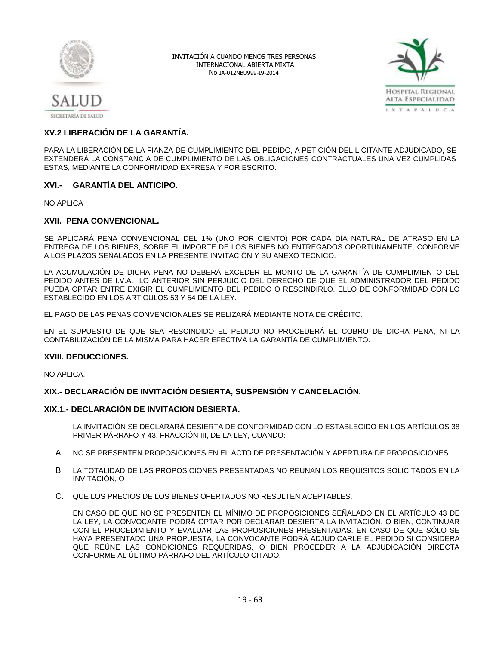



#### **XV.2 LIBERACIÓN DE LA GARANTÍA.**

PARA LA LIBERACIÓN DE LA FIANZA DE CUMPLIMIENTO DEL PEDIDO, A PETICIÓN DEL LICITANTE ADJUDICADO, SE EXTENDERÁ LA CONSTANCIA DE CUMPLIMIENTO DE LAS OBLIGACIONES CONTRACTUALES UNA VEZ CUMPLIDAS ESTAS, MEDIANTE LA CONFORMIDAD EXPRESA Y POR ESCRITO.

#### **XVI.- GARANTÍA DEL ANTICIPO.**

NO APLICA

#### **XVII. PENA CONVENCIONAL.**

SE APLICARÁ PENA CONVENCIONAL DEL 1% (UNO POR CIENTO) POR CADA DÍA NATURAL DE ATRASO EN LA ENTREGA DE LOS BIENES, SOBRE EL IMPORTE DE LOS BIENES NO ENTREGADOS OPORTUNAMENTE, CONFORME A LOS PLAZOS SEÑALADOS EN LA PRESENTE INVITACIÓN Y SU ANEXO TÉCNICO.

LA ACUMULACIÓN DE DICHA PENA NO DEBERÁ EXCEDER EL MONTO DE LA GARANTÍA DE CUMPLIMIENTO DEL PEDIDO ANTES DE I.V.A. LO ANTERIOR SIN PERJUICIO DEL DERECHO DE QUE EL ADMINISTRADOR DEL PEDIDO PUEDA OPTAR ENTRE EXIGIR EL CUMPLIMIENTO DEL PEDIDO O RESCINDIRLO. ELLO DE CONFORMIDAD CON LO ESTABLECIDO EN LOS ARTÍCULOS 53 Y 54 DE LA LEY.

EL PAGO DE LAS PENAS CONVENCIONALES SE RELIZARÁ MEDIANTE NOTA DE CRÉDITO.

EN EL SUPUESTO DE QUE SEA RESCINDIDO EL PEDIDO NO PROCEDERÁ EL COBRO DE DICHA PENA, NI LA CONTABILIZACIÓN DE LA MISMA PARA HACER EFECTIVA LA GARANTÍA DE CUMPLIMIENTO.

#### **XVIII. DEDUCCIONES.**

NO APLICA.

#### **XIX.- DECLARACIÓN DE INVITACIÓN DESIERTA, SUSPENSIÓN Y CANCELACIÓN.**

#### **XIX.1.- DECLARACIÓN DE INVITACIÓN DESIERTA.**

LA INVITACIÓN SE DECLARARÁ DESIERTA DE CONFORMIDAD CON LO ESTABLECIDO EN LOS ARTÍCULOS 38 PRIMER PÁRRAFO Y 43, FRACCIÓN III, DE LA LEY, CUANDO:

- A. NO SE PRESENTEN PROPOSICIONES EN EL ACTO DE PRESENTACIÓN Y APERTURA DE PROPOSICIONES.
- B. LA TOTALIDAD DE LAS PROPOSICIONES PRESENTADAS NO REÚNAN LOS REQUISITOS SOLICITADOS EN LA INVITACIÓN, O
- C. QUE LOS PRECIOS DE LOS BIENES OFERTADOS NO RESULTEN ACEPTABLES.

EN CASO DE QUE NO SE PRESENTEN EL MÍNIMO DE PROPOSICIONES SEÑALADO EN EL ARTÍCULO 43 DE LA LEY, LA CONVOCANTE PODRÁ OPTAR POR DECLARAR DESIERTA LA INVITACIÓN, O BIEN, CONTINUAR CON EL PROCEDIMIENTO Y EVALUAR LAS PROPOSICIONES PRESENTADAS. EN CASO DE QUE SÓLO SE HAYA PRESENTADO UNA PROPUESTA, LA CONVOCANTE PODRÁ ADJUDICARLE EL PEDIDO SI CONSIDERA QUE REÚNE LAS CONDICIONES REQUERIDAS, O BIEN PROCEDER A LA ADJUDICACIÓN DIRECTA CONFORME AL ÚLTIMO PÁRRAFO DEL ARTÍCULO CITADO.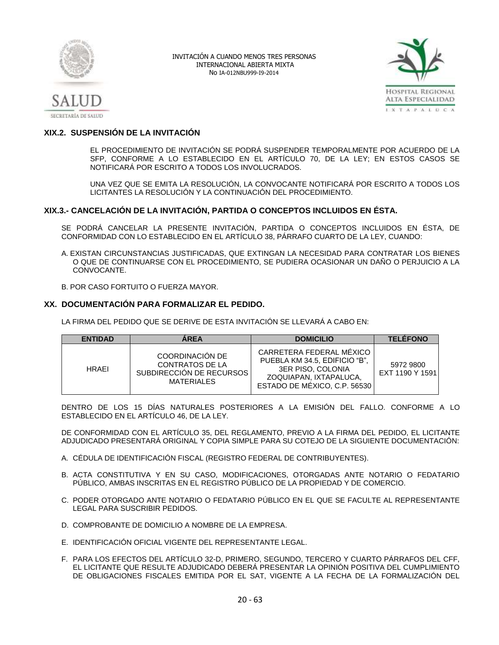



#### **XIX.2. SUSPENSIÓN DE LA INVITACIÓN**

EL PROCEDIMIENTO DE INVITACIÓN SE PODRÁ SUSPENDER TEMPORALMENTE POR ACUERDO DE LA SFP, CONFORME A LO ESTABLECIDO EN EL ARTÍCULO 70, DE LA LEY; EN ESTOS CASOS SE NOTIFICARÁ POR ESCRITO A TODOS LOS INVOLUCRADOS.

UNA VEZ QUE SE EMITA LA RESOLUCIÓN, LA CONVOCANTE NOTIFICARÁ POR ESCRITO A TODOS LOS LICITANTES LA RESOLUCIÓN Y LA CONTINUACIÓN DEL PROCEDIMIENTO.

#### **XIX.3.- CANCELACIÓN DE LA INVITACIÓN, PARTIDA O CONCEPTOS INCLUIDOS EN ÉSTA.**

SE PODRÁ CANCELAR LA PRESENTE INVITACIÓN, PARTIDA O CONCEPTOS INCLUIDOS EN ÉSTA, DE CONFORMIDAD CON LO ESTABLECIDO EN EL ARTÍCULO 38, PÁRRAFO CUARTO DE LA LEY, CUANDO:

A. EXISTAN CIRCUNSTANCIAS JUSTIFICADAS, QUE EXTINGAN LA NECESIDAD PARA CONTRATAR LOS BIENES O QUE DE CONTINUARSE CON EL PROCEDIMIENTO, SE PUDIERA OCASIONAR UN DAÑO O PERJUICIO A LA CONVOCANTE.

B. POR CASO FORTUITO O FUERZA MAYOR.

#### **XX. DOCUMENTACIÓN PARA FORMALIZAR EL PEDIDO.**

LA FIRMA DEL PEDIDO QUE SE DERIVE DE ESTA INVITACIÓN SE LLEVARÁ A CABO EN:

| <b>ENTIDAD</b> | <b>AREA</b>                                                                         | <b>DOMICILIO</b>                                                                                                                         | <b>TELÉFONO</b>              |
|----------------|-------------------------------------------------------------------------------------|------------------------------------------------------------------------------------------------------------------------------------------|------------------------------|
| <b>HRAFI</b>   | COORDINACIÓN DE<br>CONTRATOS DE LA<br>SUBDIRECCIÓN DE RECURSOS<br><b>MATERIALES</b> | CARRETERA FEDERAL MÉXICO<br>PUEBLA KM 34.5. EDIFICIO "B".<br>3ER PISO, COLONIA<br>ZOQUIAPAN, IXTAPALUCA,<br>ESTADO DE MÉXICO, C.P. 56530 | 5972 9800<br>EXT 1190 Y 1591 |

DENTRO DE LOS 15 DÍAS NATURALES POSTERIORES A LA EMISIÓN DEL FALLO. CONFORME A LO ESTABLECIDO EN EL ARTÍCULO 46, DE LA LEY.

DE CONFORMIDAD CON EL ARTÍCULO 35, DEL REGLAMENTO, PREVIO A LA FIRMA DEL PEDIDO, EL LICITANTE ADJUDICADO PRESENTARÁ ORIGINAL Y COPIA SIMPLE PARA SU COTEJO DE LA SIGUIENTE DOCUMENTACIÓN:

- A. CÉDULA DE IDENTIFICACIÓN FISCAL (REGISTRO FEDERAL DE CONTRIBUYENTES).
- B. ACTA CONSTITUTIVA Y EN SU CASO, MODIFICACIONES, OTORGADAS ANTE NOTARIO O FEDATARIO PÚBLICO, AMBAS INSCRITAS EN EL REGISTRO PÚBLICO DE LA PROPIEDAD Y DE COMERCIO.
- C. PODER OTORGADO ANTE NOTARIO O FEDATARIO PÚBLICO EN EL QUE SE FACULTE AL REPRESENTANTE LEGAL PARA SUSCRIBIR PEDIDOS.
- D. COMPROBANTE DE DOMICILIO A NOMBRE DE LA EMPRESA.
- E. IDENTIFICACIÓN OFICIAL VIGENTE DEL REPRESENTANTE LEGAL.
- F. PARA LOS EFECTOS DEL ARTÍCULO 32-D, PRIMERO, SEGUNDO, TERCERO Y CUARTO PÁRRAFOS DEL CFF, EL LICITANTE QUE RESULTE ADJUDICADO DEBERÁ PRESENTAR LA OPINIÓN POSITIVA DEL CUMPLIMIENTO DE OBLIGACIONES FISCALES EMITIDA POR EL SAT, VIGENTE A LA FECHA DE LA FORMALIZACIÓN DEL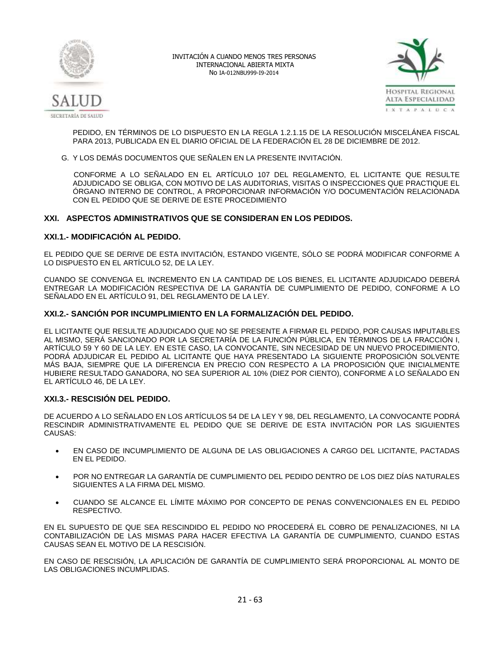



PEDIDO, EN TÉRMINOS DE LO DISPUESTO EN LA REGLA 1.2.1.15 DE LA RESOLUCIÓN MISCELÁNEA FISCAL PARA 2013, PUBLICADA EN EL DIARIO OFICIAL DE LA FEDERACIÓN EL 28 DE DICIEMBRE DE 2012.

G. Y LOS DEMÁS DOCUMENTOS QUE SEÑALEN EN LA PRESENTE INVITACIÓN.

 CONFORME A LO SEÑALADO EN EL ARTÍCULO 107 DEL REGLAMENTO, EL LICITANTE QUE RESULTE ADJUDICADO SE OBLIGA, CON MOTIVO DE LAS AUDITORIAS, VISITAS O INSPECCIONES QUE PRACTIQUE EL ÓRGANO INTERNO DE CONTROL, A PROPORCIONAR INFORMACIÓN Y/O DOCUMENTACIÓN RELACIONADA CON EL PEDIDO QUE SE DERIVE DE ESTE PROCEDIMIENTO

#### **XXI. ASPECTOS ADMINISTRATIVOS QUE SE CONSIDERAN EN LOS PEDIDOS.**

#### **XXI.1.- MODIFICACIÓN AL PEDIDO.**

EL PEDIDO QUE SE DERIVE DE ESTA INVITACIÓN, ESTANDO VIGENTE, SÓLO SE PODRÁ MODIFICAR CONFORME A LO DISPUESTO EN EL ARTÍCULO 52, DE LA LEY.

CUANDO SE CONVENGA EL INCREMENTO EN LA CANTIDAD DE LOS BIENES, EL LICITANTE ADJUDICADO DEBERÁ ENTREGAR LA MODIFICACIÓN RESPECTIVA DE LA GARANTÍA DE CUMPLIMIENTO DE PEDIDO, CONFORME A LO SEÑALADO EN EL ARTÍCULO 91, DEL REGLAMENTO DE LA LEY.

#### **XXI.2.- SANCIÓN POR INCUMPLIMIENTO EN LA FORMALIZACIÓN DEL PEDIDO.**

EL LICITANTE QUE RESULTE ADJUDICADO QUE NO SE PRESENTE A FIRMAR EL PEDIDO, POR CAUSAS IMPUTABLES AL MISMO, SERÁ SANCIONADO POR LA SECRETARÍA DE LA FUNCIÓN PÚBLICA, EN TÉRMINOS DE LA FRACCIÓN I, ARTÍCULO 59 Y 60 DE LA LEY. EN ESTE CASO, LA CONVOCANTE, SIN NECESIDAD DE UN NUEVO PROCEDIMIENTO, PODRÁ ADJUDICAR EL PEDIDO AL LICITANTE QUE HAYA PRESENTADO LA SIGUIENTE PROPOSICIÓN SOLVENTE MÁS BAJA, SIEMPRE QUE LA DIFERENCIA EN PRECIO CON RESPECTO A LA PROPOSICIÓN QUE INICIALMENTE HUBIERE RESULTADO GANADORA, NO SEA SUPERIOR AL 10% (DIEZ POR CIENTO), CONFORME A LO SEÑALADO EN EL ARTÍCULO 46, DE LA LEY.

#### **XXI.3.- RESCISIÓN DEL PEDIDO.**

DE ACUERDO A LO SEÑALADO EN LOS ARTÍCULOS 54 DE LA LEY Y 98, DEL REGLAMENTO, LA CONVOCANTE PODRÁ RESCINDIR ADMINISTRATIVAMENTE EL PEDIDO QUE SE DERIVE DE ESTA INVITACIÓN POR LAS SIGUIENTES CAUSAS:

- EN CASO DE INCUMPLIMIENTO DE ALGUNA DE LAS OBLIGACIONES A CARGO DEL LICITANTE, PACTADAS EN EL PEDIDO.
- POR NO ENTREGAR LA GARANTÍA DE CUMPLIMIENTO DEL PEDIDO DENTRO DE LOS DIEZ DÍAS NATURALES SIGUIENTES A LA FIRMA DEL MISMO.
- CUANDO SE ALCANCE EL LÍMITE MÁXIMO POR CONCEPTO DE PENAS CONVENCIONALES EN EL PEDIDO **RESPECTIVO**

EN EL SUPUESTO DE QUE SEA RESCINDIDO EL PEDIDO NO PROCEDERÁ EL COBRO DE PENALIZACIONES, NI LA CONTABILIZACIÓN DE LAS MISMAS PARA HACER EFECTIVA LA GARANTÍA DE CUMPLIMIENTO, CUANDO ESTAS CAUSAS SEAN EL MOTIVO DE LA RESCISIÓN.

EN CASO DE RESCISIÓN, LA APLICACIÓN DE GARANTÍA DE CUMPLIMIENTO SERÁ PROPORCIONAL AL MONTO DE LAS OBLIGACIONES INCUMPLIDAS.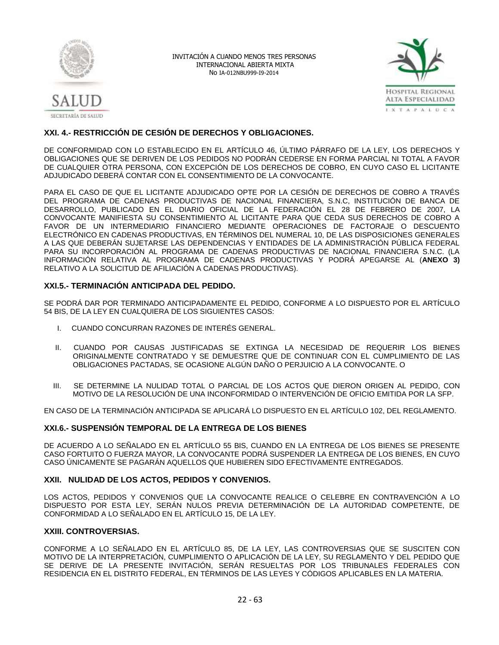



#### **XXI. 4.- RESTRICCIÓN DE CESIÓN DE DERECHOS Y OBLIGACIONES.**

DE CONFORMIDAD CON LO ESTABLECIDO EN EL ARTÍCULO 46, ÚLTIMO PÁRRAFO DE LA LEY, LOS DERECHOS Y OBLIGACIONES QUE SE DERIVEN DE LOS PEDIDOS NO PODRÁN CEDERSE EN FORMA PARCIAL NI TOTAL A FAVOR DE CUALQUIER OTRA PERSONA, CON EXCEPCIÓN DE LOS DERECHOS DE COBRO, EN CUYO CASO EL LICITANTE ADJUDICADO DEBERÁ CONTAR CON EL CONSENTIMIENTO DE LA CONVOCANTE.

PARA EL CASO DE QUE EL LICITANTE ADJUDICADO OPTE POR LA CESIÓN DE DERECHOS DE COBRO A TRAVÉS DEL PROGRAMA DE CADENAS PRODUCTIVAS DE NACIONAL FINANCIERA, S.N.C, INSTITUCIÓN DE BANCA DE DESARROLLO, PUBLICADO EN EL DIARIO OFICIAL DE LA FEDERACIÓN EL 28 DE FEBRERO DE 2007, LA CONVOCANTE MANIFIESTA SU CONSENTIMIENTO AL LICITANTE PARA QUE CEDA SUS DERECHOS DE COBRO A FAVOR DE UN INTERMEDIARIO FINANCIERO MEDIANTE OPERACIONES DE FACTORAJE O DESCUENTO ELECTRÓNICO EN CADENAS PRODUCTIVAS, EN TÉRMINOS DEL NUMERAL 10, DE LAS DISPOSICIONES GENERALES A LAS QUE DEBERÁN SUJETARSE LAS DEPENDENCIAS Y ENTIDADES DE LA ADMINISTRACIÓN PÚBLICA FEDERAL PARA SU INCORPORACIÓN AL PROGRAMA DE CADENAS PRODUCTIVAS DE NACIONAL FINANCIERA S.N.C. (LA INFORMACIÓN RELATIVA AL PROGRAMA DE CADENAS PRODUCTIVAS Y PODRÁ APEGARSE AL (**ANEXO 3)** RELATIVO A LA SOLICITUD DE AFILIACIÓN A CADENAS PRODUCTIVAS).

#### **XXI.5.- TERMINACIÓN ANTICIPADA DEL PEDIDO.**

SE PODRÁ DAR POR TERMINADO ANTICIPADAMENTE EL PEDIDO, CONFORME A LO DISPUESTO POR EL ARTÍCULO 54 BIS, DE LA LEY EN CUALQUIERA DE LOS SIGUIENTES CASOS:

- I. CUANDO CONCURRAN RAZONES DE INTERÉS GENERAL.
- II. CUANDO POR CAUSAS JUSTIFICADAS SE EXTINGA LA NECESIDAD DE REQUERIR LOS BIENES ORIGINALMENTE CONTRATADO Y SE DEMUESTRE QUE DE CONTINUAR CON EL CUMPLIMIENTO DE LAS OBLIGACIONES PACTADAS, SE OCASIONE ALGÚN DAÑO O PERJUICIO A LA CONVOCANTE. O
- III. SE DETERMINE LA NULIDAD TOTAL O PARCIAL DE LOS ACTOS QUE DIERON ORIGEN AL PEDIDO, CON MOTIVO DE LA RESOLUCIÓN DE UNA INCONFORMIDAD O INTERVENCIÓN DE OFICIO EMITIDA POR LA SFP.

EN CASO DE LA TERMINACIÓN ANTICIPADA SE APLICARÁ LO DISPUESTO EN EL ARTÍCULO 102, DEL REGLAMENTO.

#### **XXI.6.- SUSPENSIÓN TEMPORAL DE LA ENTREGA DE LOS BIENES**

DE ACUERDO A LO SEÑALADO EN EL ARTÍCULO 55 BIS, CUANDO EN LA ENTREGA DE LOS BIENES SE PRESENTE CASO FORTUITO O FUERZA MAYOR, LA CONVOCANTE PODRÁ SUSPENDER LA ENTREGA DE LOS BIENES, EN CUYO CASO ÚNICAMENTE SE PAGARÁN AQUELLOS QUE HUBIEREN SIDO EFECTIVAMENTE ENTREGADOS.

#### **XXII. NULIDAD DE LOS ACTOS, PEDIDOS Y CONVENIOS.**

LOS ACTOS, PEDIDOS Y CONVENIOS QUE LA CONVOCANTE REALICE O CELEBRE EN CONTRAVENCIÓN A LO DISPUESTO POR ESTA LEY, SERÁN NULOS PREVIA DETERMINACIÓN DE LA AUTORIDAD COMPETENTE, DE CONFORMIDAD A LO SEÑALADO EN EL ARTÍCULO 15, DE LA LEY.

#### **XXIII. CONTROVERSIAS.**

CONFORME A LO SEÑALADO EN EL ARTÍCULO 85, DE LA LEY, LAS CONTROVERSIAS QUE SE SUSCITEN CON MOTIVO DE LA INTERPRETACIÓN, CUMPLIMIENTO O APLICACIÓN DE LA LEY, SU REGLAMENTO Y DEL PEDIDO QUE SE DERIVE DE LA PRESENTE INVITACIÓN, SERÁN RESUELTAS POR LOS TRIBUNALES FEDERALES CON RESIDENCIA EN EL DISTRITO FEDERAL, EN TÉRMINOS DE LAS LEYES Y CÓDIGOS APLICABLES EN LA MATERIA.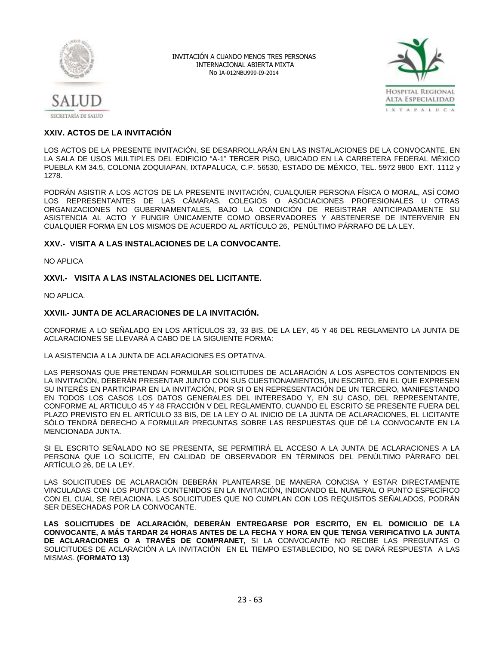



#### **XXIV. ACTOS DE LA INVITACIÓN**

LOS ACTOS DE LA PRESENTE INVITACIÓN, SE DESARROLLARÁN EN LAS INSTALACIONES DE LA CONVOCANTE, EN LA SALA DE USOS MULTIPLES DEL EDIFICIO "A-1" TERCER PISO, UBICADO EN LA CARRETERA FEDERAL MÉXICO PUEBLA KM 34.5, COLONIA ZOQUIAPAN, IXTAPALUCA, C.P. 56530, ESTADO DE MÉXICO, TEL. 5972 9800 EXT. 1112 y 1278.

PODRÁN ASISTIR A LOS ACTOS DE LA PRESENTE INVITACIÓN, CUALQUIER PERSONA FÍSICA O MORAL, ASÍ COMO LOS REPRESENTANTES DE LAS CÁMARAS, COLEGIOS O ASOCIACIONES PROFESIONALES U OTRAS ORGANIZACIONES NO GUBERNAMENTALES, BAJO LA CONDICIÓN DE REGISTRAR ANTICIPADAMENTE SU ASISTENCIA AL ACTO Y FUNGIR ÚNICAMENTE COMO OBSERVADORES Y ABSTENERSE DE INTERVENIR EN CUALQUIER FORMA EN LOS MISMOS DE ACUERDO AL ARTÍCULO 26, PENÚLTIMO PÁRRAFO DE LA LEY.

#### **XXV.- VISITA A LAS INSTALACIONES DE LA CONVOCANTE.**

NO APLICA

#### **XXVI.- VISITA A LAS INSTALACIONES DEL LICITANTE.**

NO APLICA.

#### **XXVII.- JUNTA DE ACLARACIONES DE LA INVITACIÓN.**

CONFORME A LO SEÑALADO EN LOS ARTÍCULOS 33, 33 BIS, DE LA LEY, 45 Y 46 DEL REGLAMENTO LA JUNTA DE ACLARACIONES SE LLEVARÁ A CABO DE LA SIGUIENTE FORMA:

LA ASISTENCIA A LA JUNTA DE ACLARACIONES ES OPTATIVA.

LAS PERSONAS QUE PRETENDAN FORMULAR SOLICITUDES DE ACLARACIÓN A LOS ASPECTOS CONTENIDOS EN LA INVITACIÓN, DEBERÁN PRESENTAR JUNTO CON SUS CUESTIONAMIENTOS, UN ESCRITO, EN EL QUE EXPRESEN SU INTERÉS EN PARTICIPAR EN LA INVITACIÓN, POR SI O EN REPRESENTACIÓN DE UN TERCERO, MANIFESTANDO EN TODOS LOS CASOS LOS DATOS GENERALES DEL INTERESADO Y, EN SU CASO, DEL REPRESENTANTE, CONFORME AL ARTICULO 45 Y 48 FRACCIÓN V DEL REGLAMENTO. CUANDO EL ESCRITO SE PRESENTE FUERA DEL PLAZO PREVISTO EN EL ARTÍCULO 33 BIS, DE LA LEY O AL INICIO DE LA JUNTA DE ACLARACIONES, EL LICITANTE SÓLO TENDRÁ DERECHO A FORMULAR PREGUNTAS SOBRE LAS RESPUESTAS QUE DÉ LA CONVOCANTE EN LA MENCIONADA JUNTA.

SI EL ESCRITO SEÑALADO NO SE PRESENTA, SE PERMITIRÁ EL ACCESO A LA JUNTA DE ACLARACIONES A LA PERSONA QUE LO SOLICITE, EN CALIDAD DE OBSERVADOR EN TÉRMINOS DEL PENÚLTIMO PÁRRAFO DEL ARTÍCULO 26, DE LA LEY.

LAS SOLICITUDES DE ACLARACIÓN DEBERÁN PLANTEARSE DE MANERA CONCISA Y ESTAR DIRECTAMENTE VINCULADAS CON LOS PUNTOS CONTENIDOS EN LA INVITACIÓN, INDICANDO EL NUMERAL O PUNTO ESPECÍFICO CON EL CUAL SE RELACIONA. LAS SOLICITUDES QUE NO CUMPLAN CON LOS REQUISITOS SEÑALADOS, PODRÁN SER DESECHADAS POR LA CONVOCANTE.

**LAS SOLICITUDES DE ACLARACIÓN, DEBERÁN ENTREGARSE POR ESCRITO, EN EL DOMICILIO DE LA CONVOCANTE, A MÁS TARDAR 24 HORAS ANTES DE LA FECHA Y HORA EN QUE TENGA VERIFICATIVO LA JUNTA DE ACLARACIONES O A TRAVÉS DE COMPRANET,** SI LA CONVOCANTE NO RECIBE LAS PREGUNTAS O SOLICITUDES DE ACLARACIÓN A LA INVITACIÓN EN EL TIEMPO ESTABLECIDO, NO SE DARÁ RESPUESTA A LAS MISMAS. **(FORMATO 13)**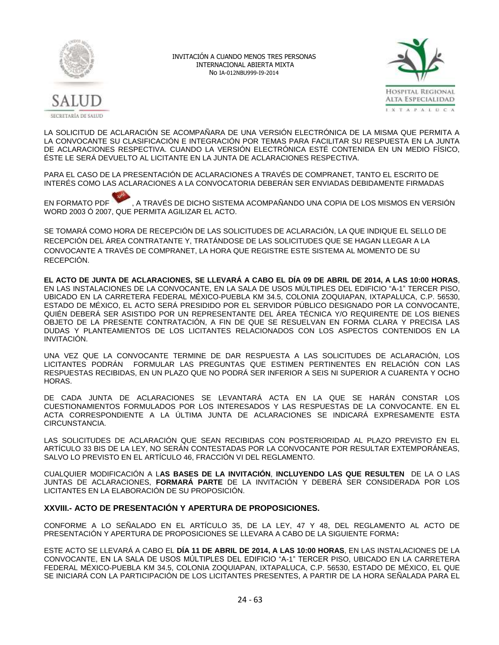



LA SOLICITUD DE ACLARACIÓN SE ACOMPAÑARA DE UNA VERSIÓN ELECTRÓNICA DE LA MISMA QUE PERMITA A LA CONVOCANTE SU CLASIFICACIÓN E INTEGRACIÓN POR TEMAS PARA FACILITAR SU RESPUESTA EN LA JUNTA DE ACLARACIONES RESPECTIVA. CUANDO LA VERSIÓN ELECTRÓNICA ESTÉ CONTENIDA EN UN MEDIO FÍSICO, ÉSTE LE SERÁ DEVUELTO AL LICITANTE EN LA JUNTA DE ACLARACIONES RESPECTIVA.

PARA EL CASO DE LA PRESENTACIÓN DE ACLARACIONES A TRAVÉS DE COMPRANET, TANTO EL ESCRITO DE INTERÉS COMO LAS ACLARACIONES A LA CONVOCATORIA DEBERÁN SER ENVIADAS DEBIDAMENTE FIRMADAS

EN FORMATO PDF , A TRAVÉS DE DICHO SISTEMA ACOMPAÑANDO UNA COPIA DE LOS MISMOS EN VERSIÓN WORD 2003 Ó 2007, QUE PERMITA AGILIZAR EL ACTO.

SE TOMARÁ COMO HORA DE RECEPCIÓN DE LAS SOLICITUDES DE ACLARACIÓN, LA QUE INDIQUE EL SELLO DE RECEPCIÓN DEL ÁREA CONTRATANTE Y, TRATÁNDOSE DE LAS SOLICITUDES QUE SE HAGAN LLEGAR A LA CONVOCANTE A TRAVÉS DE COMPRANET, LA HORA QUE REGISTRE ESTE SISTEMA AL MOMENTO DE SU RECEPCIÓN.

**EL ACTO DE JUNTA DE ACLARACIONES, SE LLEVARÁ A CABO EL DÍA 09 DE ABRIL DE 2014, A LAS 10:00 HORAS**, EN LAS INSTALACIONES DE LA CONVOCANTE, EN LA SALA DE USOS MÚLTIPLES DEL EDIFICIO "A-1" TERCER PISO, UBICADO EN LA CARRETERA FEDERAL MÉXICO-PUEBLA KM 34.5, COLONIA ZOQUIAPAN, IXTAPALUCA, C.P. 56530, ESTADO DE MÉXICO, EL ACTO SERÁ PRESIDIDO POR EL SERVIDOR PÚBLICO DESIGNADO POR LA CONVOCANTE, QUIÉN DEBERÁ SER ASISTIDO POR UN REPRESENTANTE DEL ÁREA TÉCNICA Y/O REQUIRENTE DE LOS BIENES OBJETO DE LA PRESENTE CONTRATACIÓN, A FIN DE QUE SE RESUELVAN EN FORMA CLARA Y PRECISA LAS DUDAS Y PLANTEAMIENTOS DE LOS LICITANTES RELACIONADOS CON LOS ASPECTOS CONTENIDOS EN LA INVITACIÓN.

UNA VEZ QUE LA CONVOCANTE TERMINE DE DAR RESPUESTA A LAS SOLICITUDES DE ACLARACIÓN, LOS LICITANTES PODRÁN FORMULAR LAS PREGUNTAS QUE ESTIMEN PERTINENTES EN RELACIÓN CON LAS RESPUESTAS RECIBIDAS, EN UN PLAZO QUE NO PODRÁ SER INFERIOR A SEIS NI SUPERIOR A CUARENTA Y OCHO HORAS.

DE CADA JUNTA DE ACLARACIONES SE LEVANTARÁ ACTA EN LA QUE SE HARÁN CONSTAR LOS CUESTIONAMIENTOS FORMULADOS POR LOS INTERESADOS Y LAS RESPUESTAS DE LA CONVOCANTE. EN EL ACTA CORRESPONDIENTE A LA ÚLTIMA JUNTA DE ACLARACIONES SE INDICARÁ EXPRESAMENTE ESTA CIRCUNSTANCIA.

LAS SOLICITUDES DE ACLARACIÓN QUE SEAN RECIBIDAS CON POSTERIORIDAD AL PLAZO PREVISTO EN EL ARTÍCULO 33 BIS DE LA LEY, NO SERÁN CONTESTADAS POR LA CONVOCANTE POR RESULTAR EXTEMPORÁNEAS, SALVO LO PREVISTO EN EL ARTÍCULO 46, FRACCIÓN VI DEL REGLAMENTO.

CUALQUIER MODIFICACIÓN A L**AS BASES DE LA INVITACIÓN**, **INCLUYENDO LAS QUE RESULTEN** DE LA O LAS JUNTAS DE ACLARACIONES, **FORMARÁ PARTE** DE LA INVITACIÓN Y DEBERÁ SER CONSIDERADA POR LOS LICITANTES EN LA ELABORACIÓN DE SU PROPOSICIÓN.

#### **XXVIII.- ACTO DE PRESENTACIÓN Y APERTURA DE PROPOSICIONES.**

CONFORME A LO SEÑALADO EN EL ARTÍCULO 35, DE LA LEY, 47 Y 48, DEL REGLAMENTO AL ACTO DE PRESENTACIÓN Y APERTURA DE PROPOSICIONES SE LLEVARA A CABO DE LA SIGUIENTE FORMA**:**

ESTE ACTO SE LLEVARÁ A CABO EL **DÍA 11 DE ABRIL DE 2014, A LAS 10:00 HORAS**, EN LAS INSTALACIONES DE LA CONVOCANTE, EN LA SALA DE USOS MÚLTIPLES DEL EDIFICIO "A-1" TERCER PISO, UBICADO EN LA CARRETERA FEDERAL MÉXICO-PUEBLA KM 34.5, COLONIA ZOQUIAPAN, IXTAPALUCA, C.P. 56530, ESTADO DE MÉXICO, EL QUE SE INICIARÁ CON LA PARTICIPACIÓN DE LOS LICITANTES PRESENTES, A PARTIR DE LA HORA SEÑALADA PARA EL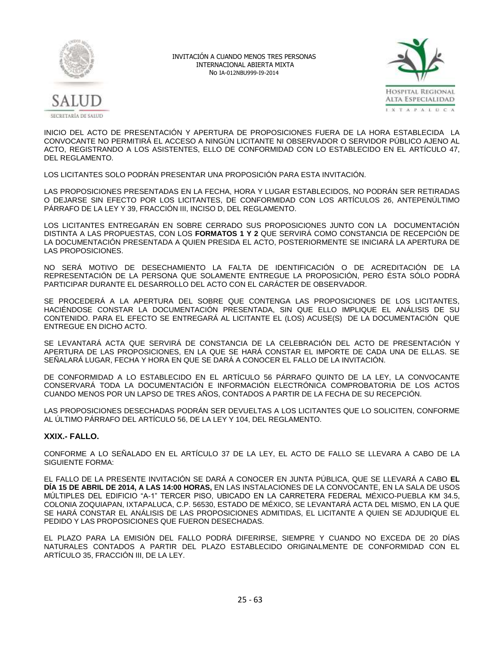



INICIO DEL ACTO DE PRESENTACIÓN Y APERTURA DE PROPOSICIONES FUERA DE LA HORA ESTABLECIDA LA CONVOCANTE NO PERMITIRÁ EL ACCESO A NINGÚN LICITANTE NI OBSERVADOR O SERVIDOR PÚBLICO AJENO AL ACTO, REGISTRANDO A LOS ASISTENTES, ELLO DE CONFORMIDAD CON LO ESTABLECIDO EN EL ARTÍCULO 47, DEL REGLAMENTO.

LOS LICITANTES SOLO PODRÁN PRESENTAR UNA PROPOSICIÓN PARA ESTA INVITACIÓN.

LAS PROPOSICIONES PRESENTADAS EN LA FECHA, HORA Y LUGAR ESTABLECIDOS, NO PODRÁN SER RETIRADAS O DEJARSE SIN EFECTO POR LOS LICITANTES, DE CONFORMIDAD CON LOS ARTÍCULOS 26, ANTEPENÚLTIMO PÁRRAFO DE LA LEY Y 39, FRACCIÓN III, INCISO D, DEL REGLAMENTO.

LOS LICITANTES ENTREGARÁN EN SOBRE CERRADO SUS PROPOSICIONES JUNTO CON LA DOCUMENTACIÓN DISTINTA A LAS PROPUESTAS, CON LOS **FORMATOS 1 Y 2** QUE SERVIRÁ COMO CONSTANCIA DE RECEPCIÓN DE LA DOCUMENTACIÓN PRESENTADA A QUIEN PRESIDA EL ACTO, POSTERIORMENTE SE INICIARÁ LA APERTURA DE LAS PROPOSICIONES.

NO SERÁ MOTIVO DE DESECHAMIENTO LA FALTA DE IDENTIFICACIÓN O DE ACREDITACIÓN DE LA REPRESENTACIÓN DE LA PERSONA QUE SOLAMENTE ENTREGUE LA PROPOSICIÓN, PERO ÉSTA SÓLO PODRÁ PARTICIPAR DURANTE EL DESARROLLO DEL ACTO CON EL CARÁCTER DE OBSERVADOR.

SE PROCEDERÁ A LA APERTURA DEL SOBRE QUE CONTENGA LAS PROPOSICIONES DE LOS LICITANTES, HACIÉNDOSE CONSTAR LA DOCUMENTACIÓN PRESENTADA, SIN QUE ELLO IMPLIQUE EL ANÁLISIS DE SU CONTENIDO. PARA EL EFECTO SE ENTREGARÁ AL LICITANTE EL (LOS) ACUSE(S) DE LA DOCUMENTACIÓN QUE ENTREGUE EN DICHO ACTO.

SE LEVANTARÁ ACTA QUE SERVIRÁ DE CONSTANCIA DE LA CELEBRACIÓN DEL ACTO DE PRESENTACIÓN Y APERTURA DE LAS PROPOSICIONES, EN LA QUE SE HARÁ CONSTAR EL IMPORTE DE CADA UNA DE ELLAS. SE SEÑALARÁ LUGAR, FECHA Y HORA EN QUE SE DARÁ A CONOCER EL FALLO DE LA INVITACIÓN.

DE CONFORMIDAD A LO ESTABLECIDO EN EL ARTÍCULO 56 PÁRRAFO QUINTO DE LA LEY, LA CONVOCANTE CONSERVARÁ TODA LA DOCUMENTACIÓN E INFORMACIÓN ELECTRÓNICA COMPROBATORIA DE LOS ACTOS CUANDO MENOS POR UN LAPSO DE TRES AÑOS, CONTADOS A PARTIR DE LA FECHA DE SU RECEPCIÓN.

LAS PROPOSICIONES DESECHADAS PODRÁN SER DEVUELTAS A LOS LICITANTES QUE LO SOLICITEN, CONFORME AL ÚLTIMO PÁRRAFO DEL ARTÍCULO 56, DE LA LEY Y 104, DEL REGLAMENTO.

#### **XXIX.- FALLO.**

CONFORME A LO SEÑALADO EN EL ARTÍCULO 37 DE LA LEY, EL ACTO DE FALLO SE LLEVARA A CABO DE LA SIGUIENTE FORMA:

EL FALLO DE LA PRESENTE INVITACIÓN SE DARÁ A CONOCER EN JUNTA PÚBLICA, QUE SE LLEVARÁ A CABO **EL DÍA 15 DE ABRIL DE 2014, A LAS 14:00 HORAS,** EN LAS INSTALACIONES DE LA CONVOCANTE, EN LA SALA DE USOS MÚLTIPLES DEL EDIFICIO "A-1" TERCER PISO, UBICADO EN LA CARRETERA FEDERAL MÉXICO-PUEBLA KM 34.5, COLONIA ZOQUIAPAN, IXTAPALUCA, C.P. 56530, ESTADO DE MÉXICO, SE LEVANTARÁ ACTA DEL MISMO, EN LA QUE SE HARÁ CONSTAR EL ANÁLISIS DE LAS PROPOSICIONES ADMITIDAS, EL LICITANTE A QUIEN SE ADJUDIQUE EL PEDIDO Y LAS PROPOSICIONES QUE FUERON DESECHADAS.

EL PLAZO PARA LA EMISIÓN DEL FALLO PODRÁ DIFERIRSE, SIEMPRE Y CUANDO NO EXCEDA DE 20 DÍAS NATURALES CONTADOS A PARTIR DEL PLAZO ESTABLECIDO ORIGINALMENTE DE CONFORMIDAD CON EL ARTÍCULO 35, FRACCIÓN III, DE LA LEY.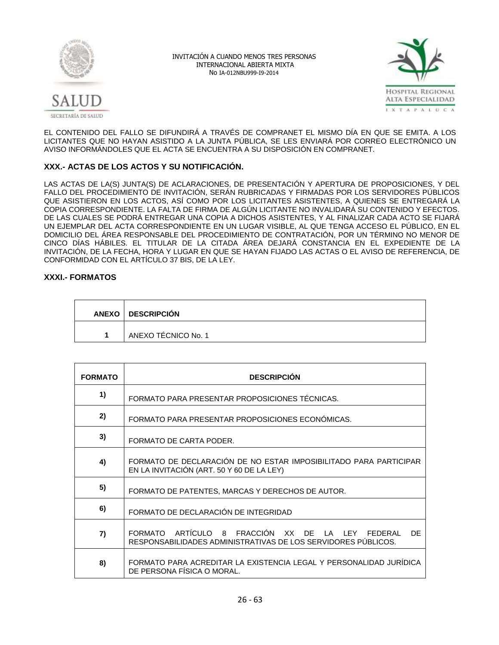



EL CONTENIDO DEL FALLO SE DIFUNDIRÁ A TRAVÉS DE COMPRANET EL MISMO DÍA EN QUE SE EMITA. A LOS LICITANTES QUE NO HAYAN ASISTIDO A LA JUNTA PÚBLICA, SE LES ENVIARÁ POR CORREO ELECTRÓNICO UN AVISO INFORMÁNDOLES QUE EL ACTA SE ENCUENTRA A SU DISPOSICIÓN EN COMPRANET.

#### **XXX.- ACTAS DE LOS ACTOS Y SU NOTIFICACIÓN.**

LAS ACTAS DE LA(S) JUNTA(S) DE ACLARACIONES, DE PRESENTACIÓN Y APERTURA DE PROPOSICIONES, Y DEL FALLO DEL PROCEDIMIENTO DE INVITACIÓN, SERÁN RUBRICADAS Y FIRMADAS POR LOS SERVIDORES PÚBLICOS QUE ASISTIERON EN LOS ACTOS, ASÍ COMO POR LOS LICITANTES ASISTENTES, A QUIENES SE ENTREGARÁ LA COPIA CORRESPONDIENTE. LA FALTA DE FIRMA DE ALGÚN LICITANTE NO INVALIDARÁ SU CONTENIDO Y EFECTOS. DE LAS CUALES SE PODRÁ ENTREGAR UNA COPIA A DICHOS ASISTENTES, Y AL FINALIZAR CADA ACTO SE FIJARÁ UN EJEMPLAR DEL ACTA CORRESPONDIENTE EN UN LUGAR VISIBLE, AL QUE TENGA ACCESO EL PÚBLICO, EN EL DOMICILIO DEL ÁREA RESPONSABLE DEL PROCEDIMIENTO DE CONTRATACIÓN, POR UN TÉRMINO NO MENOR DE CINCO DÍAS HÁBILES. EL TITULAR DE LA CITADA ÁREA DEJARÁ CONSTANCIA EN EL EXPEDIENTE DE LA INVITACIÓN, DE LA FECHA, HORA Y LUGAR EN QUE SE HAYAN FIJADO LAS ACTAS O EL AVISO DE REFERENCIA, DE CONFORMIDAD CON EL ARTÍCULO 37 BIS, DE LA LEY.

#### **XXXI.- FORMATOS**

| ANEXO   DESCRIPCIÓN |
|---------------------|
| ANEXO TÉCNICO No. 1 |

| <b>FORMATO</b> | <b>DESCRIPCIÓN</b>                                                                                                       |
|----------------|--------------------------------------------------------------------------------------------------------------------------|
| 1)             | FORMATO PARA PRESENTAR PROPOSICIONES TÉCNICAS.                                                                           |
| 2)             | FORMATO PARA PRESENTAR PROPOSICIONES ECONÓMICAS.                                                                         |
| 3)             | FORMATO DE CARTA PODER.                                                                                                  |
| 4)             | FORMATO DE DECLARACIÓN DE NO ESTAR IMPOSIBILITADO PARA PARTICIPAR<br>EN LA INVITACIÓN (ART. 50 Y 60 DE LA LEY)           |
| 5)             | FORMATO DE PATENTES, MARCAS Y DERECHOS DE AUTOR.                                                                         |
| 6)             | FORMATO DE DECLARACIÓN DE INTEGRIDAD                                                                                     |
| 7)             | FORMATO ARTÍCULO 8 FRACCIÓN XX DE LA LEY FEDERAL<br>DF.<br>RESPONSABILIDADES ADMINISTRATIVAS DE LOS SERVIDORES PÚBLICOS. |
| 8)             | FORMATO PARA ACREDITAR LA EXISTENCIA LEGAL Y PERSONALIDAD JURÍDICA<br>DE PERSONA FÍSICA O MORAL.                         |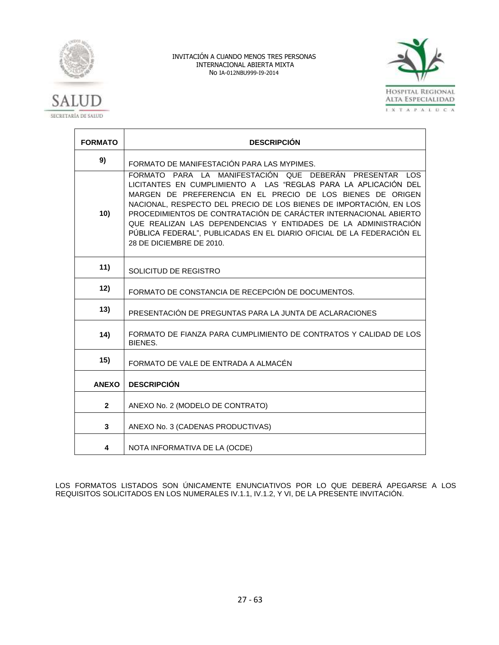



| <b>FORMATO</b> | <b>DESCRIPCIÓN</b>                                                                                                                                                                                                                                                                                                                                                                                                                                                                                                            |
|----------------|-------------------------------------------------------------------------------------------------------------------------------------------------------------------------------------------------------------------------------------------------------------------------------------------------------------------------------------------------------------------------------------------------------------------------------------------------------------------------------------------------------------------------------|
| 9)             | FORMATO DE MANIFESTACIÓN PARA LAS MYPIMES.                                                                                                                                                                                                                                                                                                                                                                                                                                                                                    |
| 10)            | PARA LA MANIFESTACIÓN QUE DEBERÁN PRESENTAR<br><b>FORMATO</b><br><b>LOS</b><br>LICITANTES EN CUMPLIMIENTO A LAS "REGLAS PARA LA APLICACIÓN DEL<br>MARGEN DE PREFERENCIA EN EL PRECIO DE LOS BIENES DE ORIGEN<br>NACIONAL, RESPECTO DEL PRECIO DE LOS BIENES DE IMPORTACIÓN, EN LOS<br>PROCEDIMIENTOS DE CONTRATACIÓN DE CARÁCTER INTERNACIONAL ABIERTO<br>QUE REALIZAN LAS DEPENDENCIAS Y ENTIDADES DE LA ADMINISTRACIÓN<br>PÚBLICA FEDERAL", PUBLICADAS EN EL DIARIO OFICIAL DE LA FEDERACIÓN EL<br>28 DE DICIEMBRE DE 2010. |
| 11)            | SOLICITUD DE REGISTRO                                                                                                                                                                                                                                                                                                                                                                                                                                                                                                         |
| 12)            | FORMATO DE CONSTANCIA DE RECEPCIÓN DE DOCUMENTOS.                                                                                                                                                                                                                                                                                                                                                                                                                                                                             |
| 13)            | PRESENTACIÓN DE PREGUNTAS PARA LA JUNTA DE ACLARACIONES                                                                                                                                                                                                                                                                                                                                                                                                                                                                       |
| 14)            | FORMATO DE FIANZA PARA CUMPLIMIENTO DE CONTRATOS Y CALIDAD DE LOS<br>BIENES.                                                                                                                                                                                                                                                                                                                                                                                                                                                  |
| 15)            | FORMATO DE VALE DE ENTRADA A ALMACÉN                                                                                                                                                                                                                                                                                                                                                                                                                                                                                          |
| <b>ANEXO</b>   | <b>DESCRIPCIÓN</b>                                                                                                                                                                                                                                                                                                                                                                                                                                                                                                            |
| $\overline{2}$ | ANEXO No. 2 (MODELO DE CONTRATO)                                                                                                                                                                                                                                                                                                                                                                                                                                                                                              |
| 3              | ANEXO No. 3 (CADENAS PRODUCTIVAS)                                                                                                                                                                                                                                                                                                                                                                                                                                                                                             |
| 4              | NOTA INFORMATIVA DE LA (OCDE)                                                                                                                                                                                                                                                                                                                                                                                                                                                                                                 |

LOS FORMATOS LISTADOS SON ÚNICAMENTE ENUNCIATIVOS POR LO QUE DEBERÁ APEGARSE A LOS REQUISITOS SOLICITADOS EN LOS NUMERALES IV.1.1, IV.1.2, Y VI, DE LA PRESENTE INVITACIÓN.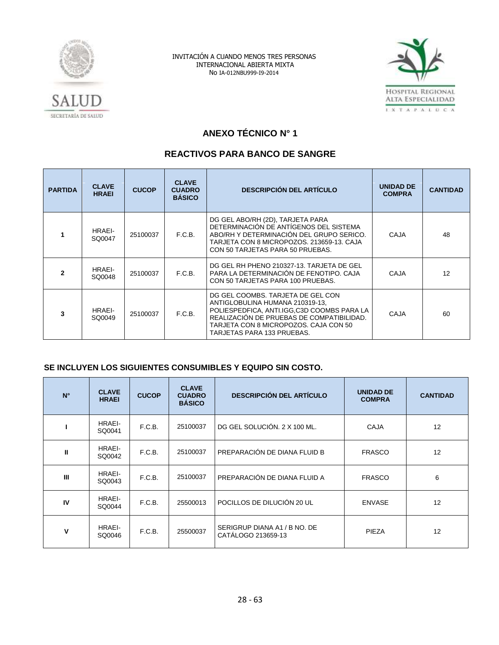



# **ANEXO TÉCNICO N° 1**

## **REACTIVOS PARA BANCO DE SANGRE**

| <b>PARTIDA</b> | <b>CLAVE</b><br><b>HRAEI</b> | <b>CUCOP</b> | <b>CLAVE</b><br><b>CUADRO</b><br><b>BÁSICO</b> | <b>DESCRIPCIÓN DEL ARTÍCULO</b>                                                                                                                                                                                                        | <b>UNIDAD DE</b><br><b>COMPRA</b> | <b>CANTIDAD</b> |
|----------------|------------------------------|--------------|------------------------------------------------|----------------------------------------------------------------------------------------------------------------------------------------------------------------------------------------------------------------------------------------|-----------------------------------|-----------------|
|                | HRAEI-<br>SQ0047             | 25100037     | F.C.B.                                         | DG GEL ABO/RH (2D), TARJETA PARA<br>DETERMINACIÓN DE ANTÍGENOS DEL SISTEMA<br>ABO/RH Y DETERMINACIÓN DEL GRUPO SERICO.<br>TARJETA CON 8 MICROPOZOS, 213659-13, CAJA<br>CON 50 TARJETAS PARA 50 PRUEBAS.                                | CAJA                              | 48              |
| 2              | HRAEI-<br>SQ0048             | 25100037     | F.C.B.                                         | DG GEL RH PHENO 210327-13. TARJETA DE GEL<br>PARA LA DETERMINACIÓN DE FENOTIPO. CAJA<br>CON 50 TARJETAS PARA 100 PRUEBAS.                                                                                                              | CAJA                              | 12              |
| 3              | HRAEI-<br>SQ0049             | 25100037     | F.C.B.                                         | DG GEL COOMBS. TARJETA DE GEL CON<br>ANTIGLOBULINA HUMANA 210319-13,<br>POLIESPEDFICA, ANTI.IGG,C3D COOMBS PARA LA<br>REALIZACIÓN DE PRUEBAS DE COMPATIBILIDAD.<br>TARJETA CON 8 MICROPOZOS, CAJA CON 50<br>TARJETAS PARA 133 PRUEBAS. | <b>CAJA</b>                       | 60              |

## **SE INCLUYEN LOS SIGUIENTES CONSUMIBLES Y EQUIPO SIN COSTO.**

| $N^{\circ}$ | <b>CLAVE</b><br><b>HRAEI</b> | <b>CUCOP</b> | <b>CLAVE</b><br><b>CUADRO</b><br><b>BÁSICO</b> | <b>DESCRIPCIÓN DEL ARTÍCULO</b>                    | <b>UNIDAD DE</b><br><b>COMPRA</b> | <b>CANTIDAD</b> |
|-------------|------------------------------|--------------|------------------------------------------------|----------------------------------------------------|-----------------------------------|-----------------|
|             | HRAEI-<br>SQ0041             | F.C.B.       | 25100037                                       | DG GEL SOLUCIÓN. 2 X 100 ML.                       | <b>CAJA</b>                       | 12              |
| Ш           | HRAEI-<br>SQ0042             | F.C.B.       | 25100037                                       | PREPARACIÓN DE DIANA FLUID B                       | <b>FRASCO</b>                     | 12              |
| Ш           | HRAEI-<br>SQ0043             | F.C.B.       | 25100037                                       | PREPARACIÓN DE DIANA FLUID A                       | <b>FRASCO</b>                     | 6               |
| IV          | HRAEI-<br>SQ0044             | F.C.B.       | 25500013                                       | POCILLOS DE DILUCIÓN 20 UL                         | <b>ENVASE</b>                     | 12              |
| v           | HRAEI-<br>SQ0046             | F.C.B.       | 25500037                                       | SERIGRUP DIANA A1 / B NO. DE<br>CATÁLOGO 213659-13 | PIEZA                             | 12              |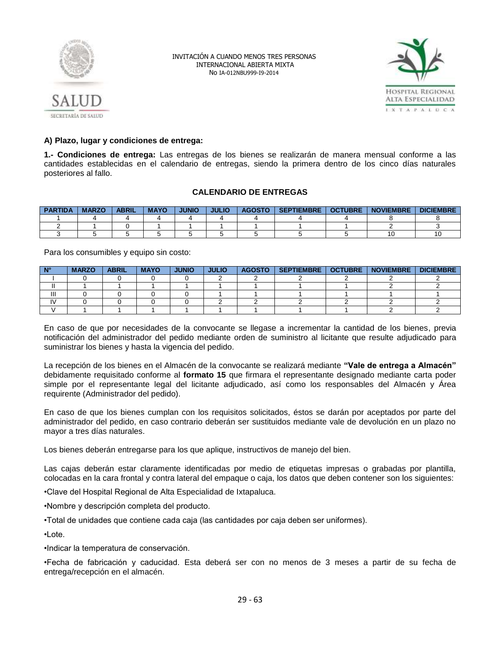



#### **A) Plazo, lugar y condiciones de entrega:**

**1.- Condiciones de entrega:** Las entregas de los bienes se realizarán de manera mensual conforme a las cantidades establecidas en el calendario de entregas, siendo la primera dentro de los cinco días naturales posteriores al fallo.

#### **CALENDARIO DE ENTREGAS**

| <b>PARTIDA</b> | <b>MARZO</b> | <b>ABRIL</b> | <b>MAYO</b> | junio | <b>JULIO</b> | <b>AGOSTO</b> | <b>SEPTIEMBRE</b> | <b>OCTUBRE</b> | <b>NOVIEMBRE</b> | <b>DICIEMBRE</b> |
|----------------|--------------|--------------|-------------|-------|--------------|---------------|-------------------|----------------|------------------|------------------|
|                |              |              |             |       |              |               |                   |                |                  |                  |
|                |              |              |             |       |              |               |                   |                |                  |                  |
|                |              |              |             |       |              |               |                   |                |                  |                  |

Para los consumibles y equipo sin costo:

| $\mathbf{N}^{\circ}$ | <b>MARZO</b> | <b>ABRIL</b> | <b>MAYO</b> | <b>JUNIO</b> | <b>JULIO</b> | <b>AGOSTO</b> | SEPTIEMBRE   OCTUBRE | <b>NOVIEMBRE</b> | <b>DICIEMBRE</b> |
|----------------------|--------------|--------------|-------------|--------------|--------------|---------------|----------------------|------------------|------------------|
|                      |              |              |             |              |              |               |                      |                  |                  |
|                      |              |              |             |              |              |               |                      |                  |                  |
| Ш                    |              |              |             |              |              |               |                      |                  |                  |
| IV                   |              |              |             |              |              |               |                      |                  |                  |
|                      |              |              |             |              |              |               |                      |                  |                  |

En caso de que por necesidades de la convocante se llegase a incrementar la cantidad de los bienes, previa notificación del administrador del pedido mediante orden de suministro al licitante que resulte adjudicado para suministrar los bienes y hasta la vigencia del pedido.

La recepción de los bienes en el Almacén de la convocante se realizará mediante **"Vale de entrega a Almacén"** debidamente requisitado conforme al **formato 15** que firmara el representante designado mediante carta poder simple por el representante legal del licitante adjudicado, así como los responsables del Almacén y Área requirente (Administrador del pedido).

En caso de que los bienes cumplan con los requisitos solicitados, éstos se darán por aceptados por parte del administrador del pedido, en caso contrario deberán ser sustituidos mediante vale de devolución en un plazo no mayor a tres días naturales.

Los bienes deberán entregarse para los que aplique, instructivos de manejo del bien.

Las cajas deberán estar claramente identificadas por medio de etiquetas impresas o grabadas por plantilla, colocadas en la cara frontal y contra lateral del empaque o caja, los datos que deben contener son los siguientes:

•Clave del Hospital Regional de Alta Especialidad de Ixtapaluca.

•Nombre y descripción completa del producto.

•Total de unidades que contiene cada caja (las cantidades por caja deben ser uniformes).

•Lote.

•Indicar la temperatura de conservación.

•Fecha de fabricación y caducidad. Esta deberá ser con no menos de 3 meses a partir de su fecha de entrega/recepción en el almacén.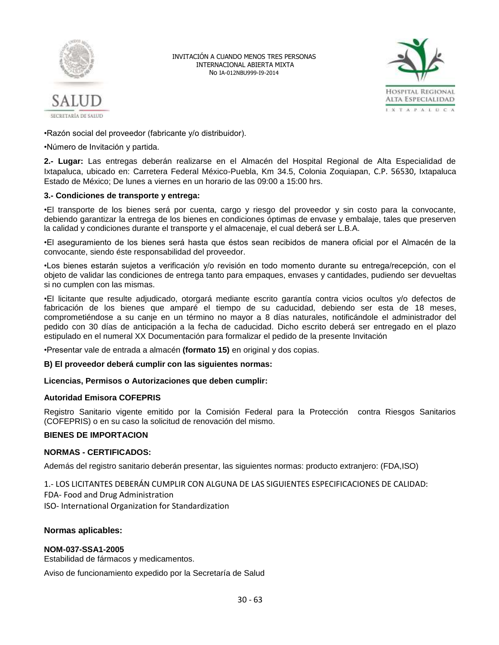



•Razón social del proveedor (fabricante y/o distribuidor).

•Número de Invitación y partida.

**2.- Lugar:** Las entregas deberán realizarse en el Almacén del Hospital Regional de Alta Especialidad de Ixtapaluca, ubicado en: Carretera Federal México-Puebla, Km 34.5, Colonia Zoquiapan, C.P. 56530, Ixtapaluca Estado de México; De lunes a viernes en un horario de las 09:00 a 15:00 hrs.

#### **3.- Condiciones de transporte y entrega:**

•El transporte de los bienes será por cuenta, cargo y riesgo del proveedor y sin costo para la convocante, debiendo garantizar la entrega de los bienes en condiciones óptimas de envase y embalaje, tales que preserven la calidad y condiciones durante el transporte y el almacenaje, el cual deberá ser L.B.A.

•El aseguramiento de los bienes será hasta que éstos sean recibidos de manera oficial por el Almacén de la convocante, siendo éste responsabilidad del proveedor.

•Los bienes estarán sujetos a verificación y/o revisión en todo momento durante su entrega/recepción, con el objeto de validar las condiciones de entrega tanto para empaques, envases y cantidades, pudiendo ser devueltas si no cumplen con las mismas.

•El licitante que resulte adjudicado, otorgará mediante escrito garantía contra vicios ocultos y/o defectos de fabricación de los bienes que amparé el tiempo de su caducidad, debiendo ser esta de 18 meses, comprometiéndose a su canje en un término no mayor a 8 días naturales, notificándole el administrador del pedido con 30 días de anticipación a la fecha de caducidad. Dicho escrito deberá ser entregado en el plazo estipulado en el numeral XX Documentación para formalizar el pedido de la presente Invitación

•Presentar vale de entrada a almacén **(formato 15)** en original y dos copias.

#### **B) El proveedor deberá cumplir con las siguientes normas:**

#### **Licencias, Permisos o Autorizaciones que deben cumplir:**

#### **Autoridad Emisora COFEPRIS**

Registro Sanitario vigente emitido por la Comisión Federal para la Protección contra Riesgos Sanitarios (COFEPRIS) o en su caso la solicitud de renovación del mismo.

#### **BIENES DE IMPORTACION**

#### **NORMAS - CERTIFICADOS:**

Además del registro sanitario deberán presentar, las siguientes normas: producto extranjero: (FDA,ISO)

1.- LOS LICITANTES DEBERÁN CUMPLIR CON ALGUNA DE LAS SIGUIENTES ESPECIFICACIONES DE CALIDAD:

FDA- Food and Drug Administration

ISO- International Organization for Standardization

#### **Normas aplicables:**

#### **NOM-037-SSA1-2005**

Estabilidad de fármacos y medicamentos.

Aviso de funcionamiento expedido por la Secretaría de Salud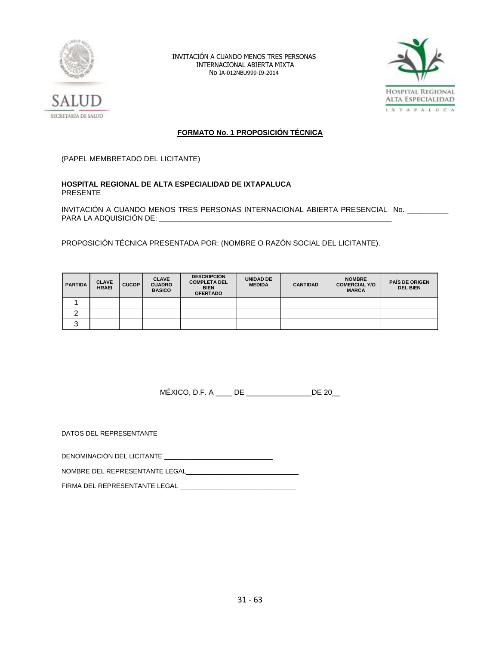



#### **FORMATO No. 1 PROPOSICIÓN TÉCNICA**

(PAPEL MEMBRETADO DEL LICITANTE)

#### **HOSPITAL REGIONAL DE ALTA ESPECIALIDAD DE IXTAPALUCA** PRESENTE

INVITACIÓN A CUANDO MENOS TRES PERSONAS INTERNACIONAL ABIERTA PRESENCIAL No. \_\_\_\_\_\_\_\_\_\_ PARA LA ADQUISICIÓN DE: \_\_\_\_\_\_\_\_\_\_\_\_\_\_\_\_\_\_\_\_\_\_\_\_\_\_\_\_\_\_\_\_\_\_\_\_\_\_\_\_\_\_\_\_\_\_\_\_\_\_\_\_\_\_\_\_\_

PROPOSICIÓN TÉCNICA PRESENTADA POR: (NOMBRE O RAZÓN SOCIAL DEL LICITANTE).

| <b>PARTIDA</b> | <b>CLAVE</b><br><b>HRAEI</b> | <b>CUCOP</b> | <b>CLAVE</b><br><b>CUADRO</b><br><b>BASICO</b> | <b>DESCRIPCIÓN</b><br><b>COMPLETA DEL</b><br><b>BIEN</b><br><b>OFERTADO</b> | <b>UNIDAD DE</b><br><b>MEDIDA</b> | <b>CANTIDAD</b> | <b>NOMBRE</b><br><b>COMERCIAL Y/O</b><br><b>MARCA</b> | <b>PAÍS DE ORIGEN</b><br><b>DEL BIEN</b> |
|----------------|------------------------------|--------------|------------------------------------------------|-----------------------------------------------------------------------------|-----------------------------------|-----------------|-------------------------------------------------------|------------------------------------------|
|                |                              |              |                                                |                                                                             |                                   |                 |                                                       |                                          |
|                |                              |              |                                                |                                                                             |                                   |                 |                                                       |                                          |
| ◠<br>J         |                              |              |                                                |                                                                             |                                   |                 |                                                       |                                          |

MÉXICO, D.F. A \_\_\_\_ DE \_\_\_\_\_\_\_\_\_\_\_\_\_\_\_\_DE 20\_\_

DATOS DEL REPRESENTANTE

DENOMINACIÓN DEL LICITANTE \_\_\_\_\_\_\_\_\_\_\_\_\_\_\_\_\_\_\_\_\_\_\_\_\_\_\_\_\_\_

NOMBRE DEL REPRESENTANTE LEGAL

FIRMA DEL REPRESENTANTE LEGAL \_\_\_\_\_\_\_\_\_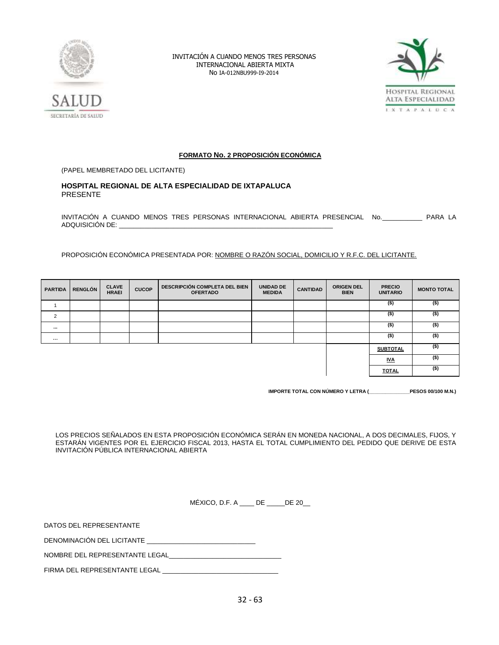



#### **FORMATO No. 2 PROPOSICIÓN ECONÓMICA**

(PAPEL MEMBRETADO DEL LICITANTE)

#### **HOSPITAL REGIONAL DE ALTA ESPECIALIDAD DE IXTAPALUCA** PRESENTE

INVITACIÓN A CUANDO MENOS TRES PERSONAS INTERNACIONAL ABIERTA PRESENCIAL No.\_\_\_\_\_\_\_\_\_\_\_ PARA LA ADQUISICIÓN DE:

PROPOSICIÓN ECONÓMICA PRESENTADA POR: NOMBRE O RAZÓN SOCIAL, DOMICILIO Y R.F.C. DEL LICITANTE.

| <b>PARTIDA</b> | <b>RENGLÓN</b> | <b>CLAVE</b><br><b>HRAEI</b> | <b>CUCOP</b> | DESCRIPCIÓN COMPLETA DEL BIEN<br><b>OFERTADO</b> | <b>UNIDAD DE</b><br><b>MEDIDA</b> | <b>CANTIDAD</b> | <b>ORIGEN DEL</b><br><b>BIEN</b> | <b>PRECIO</b><br><b>UNITARIO</b> | <b>MONTO TOTAL</b> |
|----------------|----------------|------------------------------|--------------|--------------------------------------------------|-----------------------------------|-----------------|----------------------------------|----------------------------------|--------------------|
|                |                |                              |              |                                                  |                                   |                 |                                  | $($ \$)                          | $($ \$)            |
| $\overline{2}$ |                |                              |              |                                                  |                                   |                 |                                  | $($ \$)                          | $($ \$)            |
| $\cdots$       |                |                              |              |                                                  |                                   |                 |                                  | $($ \$)                          | $($ \$)            |
| $\cdots$       |                |                              |              |                                                  |                                   |                 |                                  | $($ \$)                          | $($ \$)            |
|                |                |                              |              |                                                  |                                   |                 |                                  | <b>SUBTOTAL</b>                  | (\$)               |
|                |                |                              |              |                                                  |                                   |                 |                                  | <u>IVA</u>                       | $($ \$)            |
|                |                |                              |              |                                                  |                                   |                 |                                  | <b>TOTAL</b>                     | $($ \$)            |

**IMPORTE TOTAL CON NÚMERO Y LETRA (\_\_\_\_\_\_\_\_\_\_\_\_\_\_\_PESOS 00/100 M.N.)**

LOS PRECIOS SEÑALADOS EN ESTA PROPOSICIÓN ECONÓMICA SERÁN EN MONEDA NACIONAL, A DOS DECIMALES, FIJOS, Y ESTARÁN VIGENTES POR EL EJERCICIO FISCAL 2013, HASTA EL TOTAL CUMPLIMIENTO DEL PEDIDO QUE DERIVE DE ESTA INVITACIÓN PÚBLICA INTERNACIONAL ABIERTA

MÉXICO, D.F. A \_\_\_\_ DE \_\_\_\_\_DE 20\_\_

DATOS DEL REPRESENTANTE

DENOMINACIÓN DEL LICITANTE

NOMBRE DEL REPRESENTANTE LEGAL

FIRMA DEL REPRESENTANTE LEGAL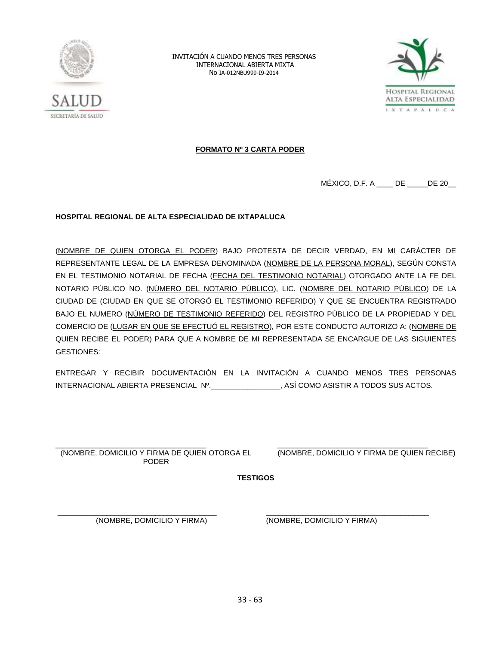



#### **FORMATO Nº 3 CARTA PODER**

MÉXICO, D.F. A \_\_\_\_ DE \_\_\_\_\_DE 20\_\_

#### **HOSPITAL REGIONAL DE ALTA ESPECIALIDAD DE IXTAPALUCA**

(NOMBRE DE QUIEN OTORGA EL PODER) BAJO PROTESTA DE DECIR VERDAD, EN MI CARÁCTER DE REPRESENTANTE LEGAL DE LA EMPRESA DENOMINADA (NOMBRE DE LA PERSONA MORAL), SEGÚN CONSTA EN EL TESTIMONIO NOTARIAL DE FECHA (FECHA DEL TESTIMONIO NOTARIAL) OTORGADO ANTE LA FE DEL NOTARIO PÚBLICO NO. (NÚMERO DEL NOTARIO PÚBLICO), LIC. (NOMBRE DEL NOTARIO PÚBLICO) DE LA CIUDAD DE (CIUDAD EN QUE SE OTORGÓ EL TESTIMONIO REFERIDO) Y QUE SE ENCUENTRA REGISTRADO BAJO EL NUMERO (NÚMERO DE TESTIMONIO REFERIDO) DEL REGISTRO PÚBLICO DE LA PROPIEDAD Y DEL COMERCIO DE (LUGAR EN QUE SE EFECTUÓ EL REGISTRO), POR ESTE CONDUCTO AUTORIZO A: (NOMBRE DE QUIEN RECIBE EL PODER) PARA QUE A NOMBRE DE MI REPRESENTADA SE ENCARGUE DE LAS SIGUIENTES GESTIONES:

ENTREGAR Y RECIBIR DOCUMENTACIÓN EN LA INVITACIÓN A CUANDO MENOS TRES PERSONAS INTERNACIONAL ABIERTA PRESENCIAL Nº.\_\_\_\_\_\_\_\_\_\_\_\_\_\_\_\_\_, ASÍ COMO ASISTIR A TODOS SUS ACTOS.

\_\_\_\_\_\_\_\_\_\_\_\_\_\_\_\_\_\_\_\_\_\_\_\_\_\_\_\_\_\_\_\_\_\_\_\_\_ (NOMBRE, DOMICILIO Y FIRMA DE QUIEN OTORGA EL PODER

\_\_\_\_\_\_\_\_\_\_\_\_\_\_\_\_\_\_\_\_\_\_\_\_\_\_\_\_\_\_\_\_\_\_\_\_\_ (NOMBRE, DOMICILIO Y FIRMA DE QUIEN RECIBE)

**TESTIGOS**

\_\_\_\_\_\_\_\_\_\_\_\_\_\_\_\_\_\_\_\_\_\_\_\_\_\_\_\_\_\_\_\_\_\_\_\_\_\_\_ (NOMBRE, DOMICILIO Y FIRMA)

\_\_\_\_\_\_\_\_\_\_\_\_\_\_\_\_\_\_\_\_\_\_\_\_\_\_\_\_\_\_\_\_\_\_\_\_\_\_\_\_ (NOMBRE, DOMICILIO Y FIRMA)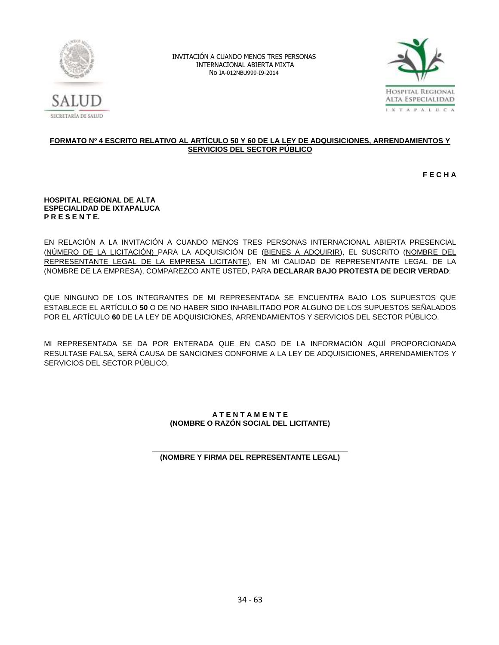



#### **FORMATO Nº 4 ESCRITO RELATIVO AL ARTÍCULO 50 Y 60 DE LA LEY DE ADQUISICIONES, ARRENDAMIENTOS Y SERVICIOS DEL SECTOR PÚBLICO**

**F E C H A**

#### **HOSPITAL REGIONAL DE ALTA ESPECIALIDAD DE IXTAPALUCA P R E S E N T E.**

EN RELACIÓN A LA INVITACIÓN A CUANDO MENOS TRES PERSONAS INTERNACIONAL ABIERTA PRESENCIAL (NÚMERO DE LA LICITACIÓN) PARA LA ADQUISICIÓN DE (BIENES A ADQUIRIR), EL SUSCRITO (NOMBRE DEL REPRESENTANTE LEGAL DE LA EMPRESA LICITANTE), EN MI CALIDAD DE REPRESENTANTE LEGAL DE LA (NOMBRE DE LA EMPRESA), COMPAREZCO ANTE USTED, PARA **DECLARAR BAJO PROTESTA DE DECIR VERDAD**:

QUE NINGUNO DE LOS INTEGRANTES DE MI REPRESENTADA SE ENCUENTRA BAJO LOS SUPUESTOS QUE ESTABLECE EL ARTÍCULO **50** O DE NO HABER SIDO INHABILITADO POR ALGUNO DE LOS SUPUESTOS SEÑALADOS POR EL ARTÍCULO **60** DE LA LEY DE ADQUISICIONES, ARRENDAMIENTOS Y SERVICIOS DEL SECTOR PÚBLICO.

MI REPRESENTADA SE DA POR ENTERADA QUE EN CASO DE LA INFORMACIÓN AQUÍ PROPORCIONADA RESULTASE FALSA, SERÁ CAUSA DE SANCIONES CONFORME A LA LEY DE ADQUISICIONES, ARRENDAMIENTOS Y SERVICIOS DEL SECTOR PÚBLICO.

#### **A T E N T A M E N T E (NOMBRE O RAZÓN SOCIAL DEL LICITANTE)**

#### **\_\_\_\_\_\_\_\_\_\_\_\_\_\_\_\_\_\_\_\_\_\_\_\_\_\_\_\_\_\_\_\_\_\_\_\_\_\_\_\_\_\_\_\_\_\_\_\_ (NOMBRE Y FIRMA DEL REPRESENTANTE LEGAL)**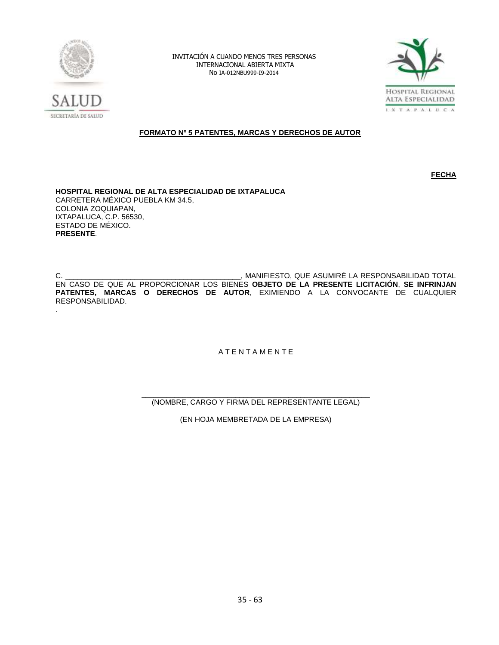

.

INVITACIÓN A CUANDO MENOS TRES PERSONAS INTERNACIONAL ABIERTA MIXTA No IA-012NBU999-I9-2014



#### **FORMATO Nº 5 PATENTES, MARCAS Y DERECHOS DE AUTOR**

**FECHA** 

**HOSPITAL REGIONAL DE ALTA ESPECIALIDAD DE IXTAPALUCA** CARRETERA MÉXICO PUEBLA KM 34.5, COLONIA ZOQUIAPAN, IXTAPALUCA, C.P. 56530, ESTADO DE MÉXICO. **PRESENTE**.

C. \_\_\_\_\_\_\_\_\_\_\_\_\_\_\_\_\_\_\_\_\_\_\_\_\_\_\_\_\_\_\_\_\_\_\_\_\_\_\_\_\_\_\_, MANIFIESTO, QUE ASUMIRÉ LA RESPONSABILIDAD TOTAL EN CASO DE QUE AL PROPORCIONAR LOS BIENES **OBJETO DE LA PRESENTE LICITACIÓN**, **SE INFRINJAN PATENTES, MARCAS O DERECHOS DE AUTOR**, EXIMIENDO A LA CONVOCANTE DE CUALQUIER RESPONSABILIDAD.

A T E N T A M E N T E

\_\_\_\_\_\_\_\_\_\_\_\_\_\_\_\_\_\_\_\_\_\_\_\_\_\_\_\_\_\_\_\_\_\_\_\_\_\_\_\_\_\_\_\_\_\_\_\_\_\_\_\_\_\_\_\_ (NOMBRE, CARGO Y FIRMA DEL REPRESENTANTE LEGAL)

(EN HOJA MEMBRETADA DE LA EMPRESA)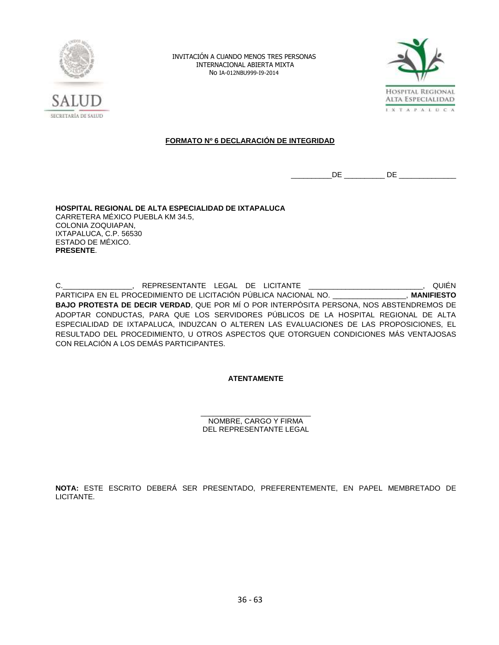



#### **FORMATO Nº 6 DECLARACIÓN DE INTEGRIDAD**

\_\_\_\_\_\_\_\_\_\_DE \_\_\_\_\_\_\_\_\_\_ DE \_\_\_\_\_\_\_\_\_\_\_\_\_\_

**HOSPITAL REGIONAL DE ALTA ESPECIALIDAD DE IXTAPALUCA** CARRETERA MÉXICO PUEBLA KM 34.5, COLONIA ZOQUIAPAN, IXTAPALUCA, C.P. 56530 ESTADO DE MÉXICO. **PRESENTE**.

C.\_\_\_\_\_\_\_\_\_\_\_\_\_\_\_\_\_, REPRESENTANTE LEGAL DE LICITANTE \_\_\_\_\_\_\_\_\_\_\_\_\_\_\_\_\_\_\_\_\_\_\_\_\_\_\_\_, QUIÉN PARTICIPA EN EL PROCEDIMIENTO DE LICITACIÓN PÚBLICA NACIONAL NO. \_\_\_\_\_\_\_\_\_\_\_\_\_\_\_\_\_\_, **MANIFIESTO BAJO PROTESTA DE DECIR VERDAD**, QUE POR MÍ O POR INTERPÓSITA PERSONA, NOS ABSTENDREMOS DE ADOPTAR CONDUCTAS, PARA QUE LOS SERVIDORES PÚBLICOS DE LA HOSPITAL REGIONAL DE ALTA ESPECIALIDAD DE IXTAPALUCA, INDUZCAN O ALTEREN LAS EVALUACIONES DE LAS PROPOSICIONES, EL RESULTADO DEL PROCEDIMIENTO, U OTROS ASPECTOS QUE OTORGUEN CONDICIONES MÁS VENTAJOSAS CON RELACIÓN A LOS DEMÁS PARTICIPANTES.

#### **ATENTAMENTE**

\_\_\_\_\_\_\_\_\_\_\_\_\_\_\_\_\_\_\_\_\_\_\_\_\_\_\_ NOMBRE, CARGO Y FIRMA DEL REPRESENTANTE LEGAL

**NOTA:** ESTE ESCRITO DEBERÁ SER PRESENTADO, PREFERENTEMENTE, EN PAPEL MEMBRETADO DE LICITANTE.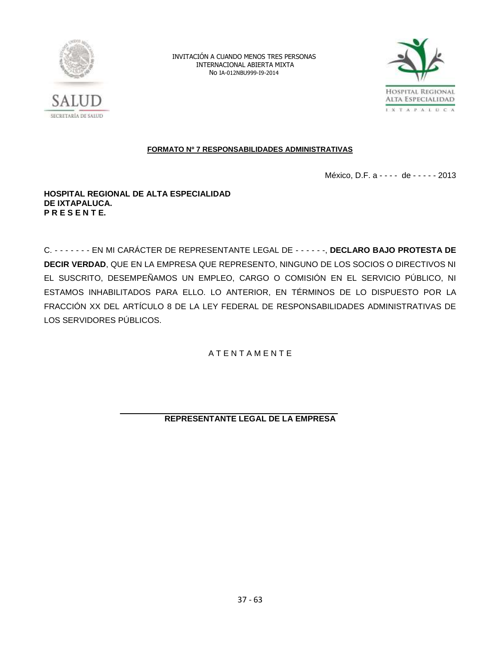



#### **FORMATO Nº 7 RESPONSABILIDADES ADMINISTRATIVAS**

México, D.F. a - - - - de - - - - - 2013

#### **HOSPITAL REGIONAL DE ALTA ESPECIALIDAD DE IXTAPALUCA. P R E S E N T E.**

C. - - - - - - - EN MI CARÁCTER DE REPRESENTANTE LEGAL DE - - - - - -, **DECLARO BAJO PROTESTA DE DECIR VERDAD**, QUE EN LA EMPRESA QUE REPRESENTO, NINGUNO DE LOS SOCIOS O DIRECTIVOS NI EL SUSCRITO, DESEMPEÑAMOS UN EMPLEO, CARGO O COMISIÓN EN EL SERVICIO PÚBLICO, NI ESTAMOS INHABILITADOS PARA ELLO. LO ANTERIOR, EN TÉRMINOS DE LO DISPUESTO POR LA FRACCIÓN XX DEL ARTÍCULO 8 DE LA LEY FEDERAL DE RESPONSABILIDADES ADMINISTRATIVAS DE LOS SERVIDORES PÚBLICOS.

A T E N T A M E N T E

**REPRESENTANTE LEGAL DE LA EMPRESA**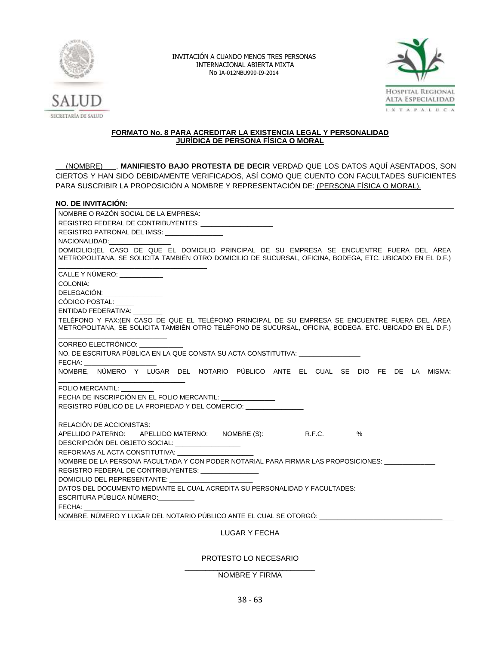



#### **FORMATO No. 8 PARA ACREDITAR LA EXISTENCIA LEGAL Y PERSONALIDAD JURÍDICA DE PERSONA FÍSICA O MORAL**

(NOMBRE) , MANIFIESTO BAJO PROTESTA DE DECIR VERDAD QUE LOS DATOS AQUÍ ASENTADOS, SON CIERTOS Y HAN SIDO DEBIDAMENTE VERIFICADOS, ASÍ COMO QUE CUENTO CON FACULTADES SUFICIENTES PARA SUSCRIBIR LA PROPOSICIÓN A NOMBRE Y REPRESENTACIÓN DE: (PERSONA FÍSICA O MORAL).

#### **NO. DE INVITACIÓN:**

| NOMBRE O RAZÓN SOCIAL DE LA EMPRESA:                                                                                                                                                                                           |
|--------------------------------------------------------------------------------------------------------------------------------------------------------------------------------------------------------------------------------|
| REGISTRO FEDERAL DE CONTRIBUYENTES: _____________________                                                                                                                                                                      |
| REGISTRO PATRONAL DEL IMSS:                                                                                                                                                                                                    |
| NACIONALIDAD: NACIONALIDAD:                                                                                                                                                                                                    |
| DOMICILIO: (EL CASO DE QUE EL DOMICILIO PRINCIPAL DE SU EMPRESA SE ENCUENTRE FUERA DEL ÁREA<br>METROPOLITANA, SE SOLICITA TAMBIÉN OTRO DOMICILIO DE SUCURSAL, OFICINA, BODEGA, ETC. UBICADO EN EL D.F.)                        |
| CALLE Y NÚMERO: _____________                                                                                                                                                                                                  |
| COLONIA: ____________                                                                                                                                                                                                          |
| DELEGACIÓN: ________________                                                                                                                                                                                                   |
| CÓDIGO POSTAL: _____                                                                                                                                                                                                           |
| ENTIDAD FEDERATIVA: _                                                                                                                                                                                                          |
| TELÉFONO Y FAX:(EN CASO DE QUE EL TELÉFONO PRINCIPAL DE SU EMPRESA SE ENCUENTRE FUERA DEL ÁREA                                                                                                                                 |
| METROPOLITANA, SE SOLICITA TAMBIÉN OTRO TELÉFONO DE SUCURSAL, OFICINA, BODEGA, ETC. UBICADO EN EL D.F.)                                                                                                                        |
|                                                                                                                                                                                                                                |
| CORREO ELECTRÓNICO:                                                                                                                                                                                                            |
| NO. DE ESCRITURA PÚBLICA EN LA QUE CONSTA SU ACTA CONSTITUTIVA:                                                                                                                                                                |
| FECHA: _________                                                                                                                                                                                                               |
| NOMBRE. NÚMERO Y LUGAR DEL NOTARIO PÚBLICO ANTE EL CUAL SE DIO FE DE LA MISMA:                                                                                                                                                 |
| FOLIO MERCANTIL:                                                                                                                                                                                                               |
| FECHA DE INSCRIPCIÓN EN EL FOLIO MERCANTIL: ______________                                                                                                                                                                     |
| REGISTRO PÚBLICO DE LA PROPIEDAD Y DEL COMERCIO: ________________                                                                                                                                                              |
|                                                                                                                                                                                                                                |
| RELACIÓN DE ACCIONISTAS:                                                                                                                                                                                                       |
| APELLIDO PATERNO: APELLIDO MATERNO: NOMBRE (S): R.F.C. %                                                                                                                                                                       |
| DESCRIPCIÓN DEL OBJETO SOCIAL: __________________                                                                                                                                                                              |
| REFORMAS AL ACTA CONSTITUTIVA:                                                                                                                                                                                                 |
| NOMBRE DE LA PERSONA FACULTADA Y CON PODER NOTARIAL PARA FIRMAR LAS PROPOSICIONES:                                                                                                                                             |
| REGISTRO FEDERAL DE CONTRIBUYENTES: _______________                                                                                                                                                                            |
|                                                                                                                                                                                                                                |
| DATOS DEL DOCUMENTO MEDIANTE EL CUAL ACREDITA SU PERSONALIDAD Y FACULTADES:                                                                                                                                                    |
| ESCRITURA PÚBLICA NÚMERO:                                                                                                                                                                                                      |
| FECHA: The contract of the contract of the contract of the contract of the contract of the contract of the contract of the contract of the contract of the contract of the contract of the contract of the contract of the con |
| NOMBRE, NÚMERO Y LUGAR DEL NOTARIO PÚBLICO ANTE EL CUAL SE OTORGÓ:                                                                                                                                                             |
|                                                                                                                                                                                                                                |

#### LUGAR Y FECHA

#### PROTESTO LO NECESARIO

#### \_\_\_\_\_\_\_\_\_\_\_\_\_\_\_\_\_\_\_\_\_\_\_\_\_\_\_\_\_\_\_\_ NOMBRE Y FIRMA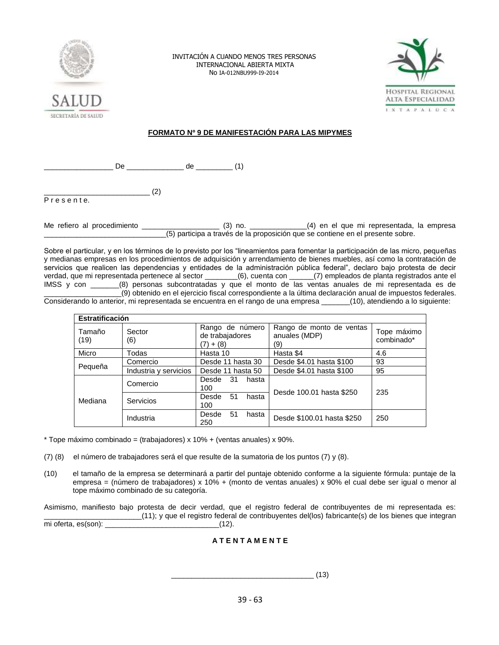



# **FORMATO Nº 9 DE MANIFESTACIÓN PARA LAS MIPYMES**

\_\_\_\_\_\_\_\_\_\_\_\_\_\_\_\_\_ De \_\_\_\_\_\_\_\_\_\_\_\_\_\_ de \_\_\_\_\_\_\_\_\_ (1)

 $\qquad \qquad \qquad (2)$ P r e s e n t e.

Me refiero al procedimiento \_\_\_\_\_\_\_\_\_\_\_\_\_\_\_\_\_\_\_ (3) no. \_\_\_\_\_\_\_\_\_\_\_\_\_\_(4) en el que mi representada, la empresa \_\_\_\_\_\_\_\_\_\_\_\_\_\_\_\_\_\_\_\_\_\_\_\_\_\_\_\_\_\_(5) participa a través de la proposición que se contiene en el presente sobre.

Sobre el particular, y en los términos de lo previsto por los "lineamientos para fomentar la participación de las micro, pequeñas y medianas empresas en los procedimientos de adquisición y arrendamiento de bienes muebles, así como la contratación de servicios que realicen las dependencias y entidades de la administración pública federal", declaro bajo protesta de decir verdad, que mi representada pertenece al sector \_\_\_\_\_\_\_\_(6), cuenta con \_\_\_\_\_\_(7) empleados de planta registrados ante el IMSS y con \_\_\_\_\_\_\_(8) personas subcontratadas y que el monto de las ventas anuales de mi representada es de \_\_\_\_\_\_\_\_\_\_\_\_\_\_\_\_\_\_\_(9) obtenido en el ejercicio fiscal correspondiente a la última declaración anual de impuestos federales.

Considerando lo anterior, mi representada se encuentra en el rango de una empresa \_\_\_\_\_\_\_(10), atendiendo a lo siguiente:

| <b>Estratificación</b> |                       |                                                   |                                                  |                           |  |
|------------------------|-----------------------|---------------------------------------------------|--------------------------------------------------|---------------------------|--|
| Tamaño<br>(19)         | Sector<br>(6)         | Rango de número<br>de trabajadores<br>$(7) + (8)$ | Rango de monto de ventas<br>anuales (MDP)<br>(9) | Tope máximo<br>combinado* |  |
| Micro                  | Todas                 | Hasta 10                                          | Hasta \$4                                        | 4.6                       |  |
|                        | Comercio              | Desde 11 hasta 30                                 | Desde \$4.01 hasta \$100                         | 93                        |  |
| Pequeña                | Industria y servicios | Desde 11 hasta 50                                 | Desde \$4.01 hasta \$100                         | 95                        |  |
|                        | Comercio              | 31<br>Desde<br>hasta<br>100                       | Desde 100.01 hasta \$250                         | 235                       |  |
| Mediana                | <b>Servicios</b>      | 51<br>Desde<br>hasta<br>100                       |                                                  |                           |  |
|                        | Industria             | 51<br>Desde<br>hasta<br>250                       | Desde \$100.01 hasta \$250                       | 250                       |  |

\* Tope máximo combinado = (trabajadores) x 10% + (ventas anuales) x 90%.

(7) (8) el número de trabajadores será el que resulte de la sumatoria de los puntos (7) y (8).

(10) el tamaño de la empresa se determinará a partir del puntaje obtenido conforme a la siguiente fórmula: puntaje de la empresa = (número de trabajadores) x 10% + (monto de ventas anuales) x 90% el cual debe ser igual o menor al tope máximo combinado de su categoría.

Asimismo, manifiesto bajo protesta de decir verdad, que el registro federal de contribuyentes de mi representada es: \_\_\_\_\_\_\_\_\_\_\_\_\_\_\_\_\_\_\_\_\_\_\_\_(11); y que el registro federal de contribuyentes del(los) fabricante(s) de los bienes que integran mi oferta, es(son): \_\_\_\_\_\_\_\_\_\_\_\_\_\_\_\_\_\_\_\_\_\_\_\_\_\_\_\_(12).

#### **A T E N T A M E N T E**

 $\sim$  (13)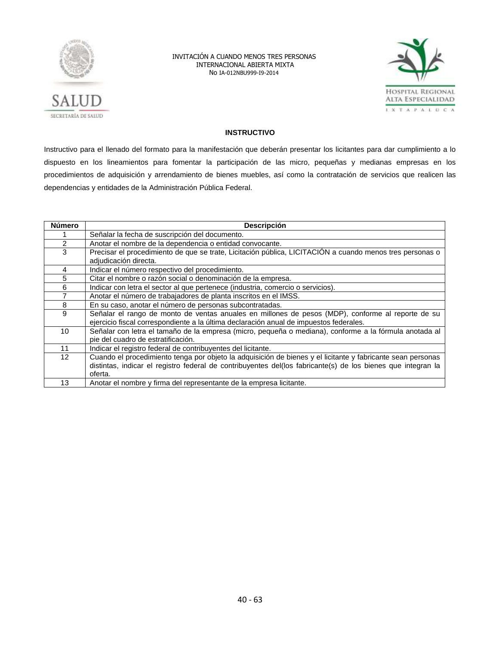



#### **INSTRUCTIVO**

Instructivo para el llenado del formato para la manifestación que deberán presentar los licitantes para dar cumplimiento a lo dispuesto en los lineamientos para fomentar la participación de las micro, pequeñas y medianas empresas en los procedimientos de adquisición y arrendamiento de bienes muebles, así como la contratación de servicios que realicen las dependencias y entidades de la Administración Pública Federal.

| Número        | <b>Descripción</b>                                                                                                                           |
|---------------|----------------------------------------------------------------------------------------------------------------------------------------------|
|               | Señalar la fecha de suscripción del documento.                                                                                               |
| $\mathcal{P}$ | Anotar el nombre de la dependencia o entidad convocante.                                                                                     |
| 3             | Precisar el procedimiento de que se trate, Licitación pública, LICITACIÓN a cuando menos tres personas o                                     |
|               | adjudicación directa.                                                                                                                        |
| 4             | Indicar el número respectivo del procedimiento.                                                                                              |
| 5             | Citar el nombre o razón social o denominación de la empresa.                                                                                 |
| 6             | Indicar con letra el sector al que pertenece (industria, comercio o servicios).                                                              |
|               | Anotar el número de trabajadores de planta inscritos en el IMSS.                                                                             |
| 8             | En su caso, anotar el número de personas subcontratadas.                                                                                     |
| 9             | Señalar el rango de monto de ventas anuales en millones de pesos (MDP), conforme al reporte de su                                            |
|               | ejercicio fiscal correspondiente a la última declaración anual de impuestos federales.                                                       |
| 10            | Señalar con letra el tamaño de la empresa (micro, pequeña o mediana), conforme a la fórmula anotada al<br>pie del cuadro de estratificación. |
| 11            | Indicar el registro federal de contribuyentes del licitante.                                                                                 |
| 12            | Cuando el procedimiento tenga por objeto la adquisición de bienes y el licitante y fabricante sean personas                                  |
|               | distintas, indicar el registro federal de contribuyentes del(los fabricante(s) de los bienes que integran la                                 |
|               | oferta.                                                                                                                                      |
| 13            | Anotar el nombre y firma del representante de la empresa licitante.                                                                          |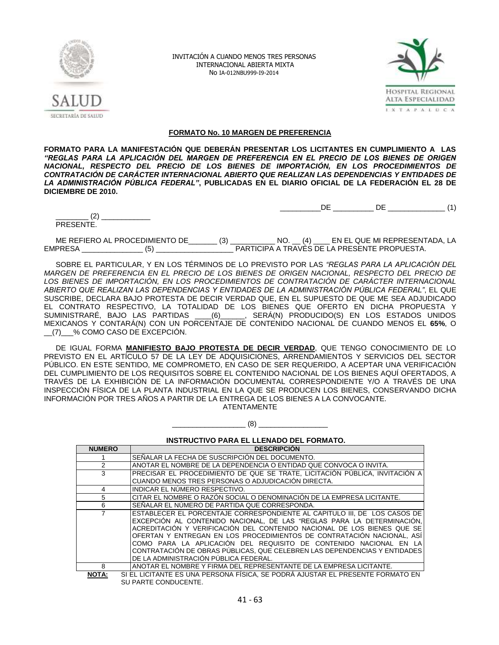



#### **FORMATO No. 10 MARGEN DE PREFERENCIA**

**FORMATO PARA LA MANIFESTACIÓN QUE DEBERÁN PRESENTAR LOS LICITANTES EN CUMPLIMIENTO A LAS**  *"REGLAS PARA LA APLICACIÓN DEL MARGEN DE PREFERENCIA EN EL PRECIO DE LOS BIENES DE ORIGEN NACIONAL, RESPECTO DEL PRECIO DE LOS BIENES DE IMPORTACIÓN, EN LOS PROCEDIMIENTOS DE CONTRATACIÓN DE CARÁCTER INTERNACIONAL ABIERTO QUE REALIZAN LAS DEPENDENCIAS Y ENTIDADES DE LA ADMINISTRACIÓN PÚBLICA FEDERAL"***, PUBLICADAS EN EL DIARIO OFICIAL DE LA FEDERACIÓN EL 28 DE DICIEMBRE DE 2010.**

 $DE$  DE  $DE$  (1)

 $(2)$   $\qquad \qquad$ PRESENTE.

ME REFIERO AL PROCEDIMIENTO DE\_\_\_\_\_\_\_ (3) \_\_\_\_\_\_\_\_\_\_\_ NO. \_\_ (4) \_\_\_\_ EN EL QUE MI REPRESENTADA, LA EMPRESA \_\_\_\_\_\_\_\_\_\_\_\_\_\_\_ (5) \_\_\_\_\_\_\_\_\_\_\_\_\_\_\_\_\_\_\_ PARTICIPA A TRAVÉS DE LA PRESENTE PROPUESTA.

SOBRE EL PARTICULAR, Y EN LOS TÉRMINOS DE LO PREVISTO POR LAS *"REGLAS PARA LA APLICACIÓN DEL MARGEN DE PREFERENCIA EN EL PRECIO DE LOS BIENES DE ORIGEN NACIONAL, RESPECTO DEL PRECIO DE LOS BIENES DE IMPORTACIÓN, EN LOS PROCEDIMIENTOS DE CONTRATACIÓN DE CARÁCTER INTERNACIONAL ABIERTO QUE REALIZAN LAS DEPENDENCIAS Y ENTIDADES DE LA ADMINISTRACIÓN PÚBLICA FEDERAL"*, EL QUE SUSCRIBE, DECLARA BAJO PROTESTA DE DECIR VERDAD QUE, EN EL SUPUESTO DE QUE ME SEA ADJUDICADO EL CONTRATO RESPECTIVO, LA TOTALIDAD DE LOS BIENES QUE OFERTO EN DICHA PROPUESTA Y SUMINISTRARÉ, BAJO LAS PARTIDAS \_\_\_\_(6)\_\_\_\_\_\_, SERÁ(N) PRODUCIDO(S) EN LOS ESTADOS UNIDOS MEXICANOS Y CONTARÁ(N) CON UN PORCENTAJE DE CONTENIDO NACIONAL DE CUANDO MENOS EL **65%**, O \_\_(7)\_\_\_% COMO CASO DE EXCEPCIÓN.

DE IGUAL FORMA **MANIFIESTO BAJO PROTESTA DE DECIR VERDAD**, QUE TENGO CONOCIMIENTO DE LO PREVISTO EN EL ARTÍCULO 57 DE LA LEY DE ADQUISICIONES, ARRENDAMIENTOS Y SERVICIOS DEL SECTOR PÚBLICO. EN ESTE SENTIDO, ME COMPROMETO, EN CASO DE SER REQUERIDO, A ACEPTAR UNA VERIFICACIÓN DEL CUMPLIMIENTO DE LOS REQUISITOS SOBRE EL CONTENIDO NACIONAL DE LOS BIENES AQUÍ OFERTADOS, A TRAVÉS DE LA EXHIBICIÓN DE LA INFORMACIÓN DOCUMENTAL CORRESPONDIENTE Y/O A TRAVÉS DE UNA INSPECCIÓN FÍSICA DE LA PLANTA INDUSTRIAL EN LA QUE SE PRODUCEN LOS BIENES, CONSERVANDO DICHA INFORMACIÓN POR TRES AÑOS A PARTIR DE LA ENTREGA DE LOS BIENES A LA CONVOCANTE. ATENTAMENTE

 $(8)$ 

**INSTRUCTIVO PARA EL LLENADO DEL FORMATO.**

| <b>NUMERO</b> | <b>DESCRIPCION</b>                                                             |
|---------------|--------------------------------------------------------------------------------|
|               | SENALAR LA FECHA DE SUSCRIPCION DEL DOCUMENTO.                                 |
|               | ANOTAR EL NOMBRE DE LA DEPENDENCIA O ENTIDAD QUE CONVOCA O INVITA.             |
| 3             | PRECISAR EL PROCEDIMIENTO DE QUE SE TRATE, LICITACIÓN PÚBLICA, INVITACIÓN A    |
|               | CUANDO MENOS TRES PERSONAS O ADJUDICACIÓN DIRECTA.                             |
|               | INDICAR EL NÚMERO RESPECTIVO.                                                  |
| 5             | CITAR EL NOMBRE O RAZÓN SOCIAL O DENOMINACIÓN DE LA EMPRESA LICITANTE.         |
| 6             | SENALAR EL NUMERO DE PARTIDA QUE CORRESPONDA.                                  |
|               | ESTABLECER EL PORCENTAJE CORRESPONDIENTE AL CAPITULO III, DE LOS CASOS DE      |
|               | EXCEPCIÓN AL CONTENIDO NACIONAL, DE LAS "REGLAS PARA LA DETERMINACIÓN,         |
|               | ACREDITACIÓN Y VERIFICACIÓN DEL CONTENIDO NACIONAL DE LOS BIENES QUE SE        |
|               | OFERTAN Y ENTREGAN EN LOS PROCEDIMIENTOS DE CONTRATACIÓN NACIONAL. ASÍ         |
|               | COMO PARA LA APLICACIÓN DEL REQUISITO DE CONTENIDO NACIONAL EN LA              |
|               | CONTRATACIÓN DE OBRAS PÚBLICAS, QUE CELEBREN LAS DEPENDENCIAS Y ENTIDADES      |
|               | DE LA ADMINISTRACIÓN PÚBLICA FEDERAL.                                          |
| 8             | ANOTAR EL NOMBRE Y FIRMA DEL REPRESENTANTE DE LA EMPRESA LICITANTE.            |
| <b>NOTA:</b>  | SI EL LICITANTE ES UNA PERSONA FÍSICA. SE PODRÁ AJUSTAR EL PRESENTE FORMATO EN |

SU PARTE CONDUCENTE.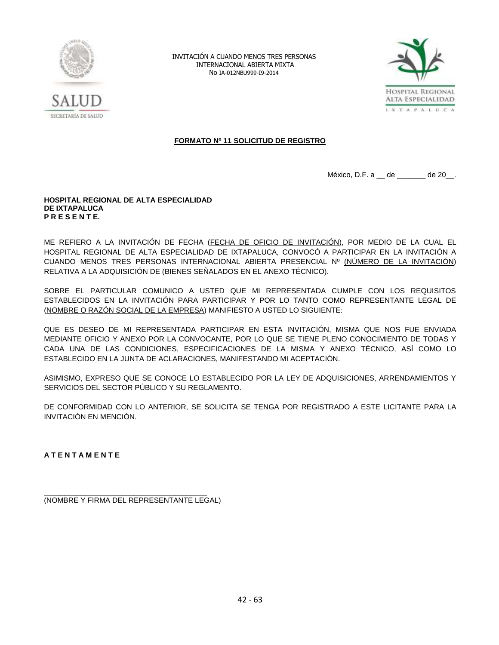



#### **FORMATO Nº 11 SOLICITUD DE REGISTRO**

México, D.F. a \_ de \_\_\_\_\_\_ de 20\_.

#### **HOSPITAL REGIONAL DE ALTA ESPECIALIDAD DE IXTAPALUCA P R E S E N T E.**

ME REFIERO A LA INVITACIÓN DE FECHA (FECHA DE OFICIO DE INVITACIÓN), POR MEDIO DE LA CUAL EL HOSPITAL REGIONAL DE ALTA ESPECIALIDAD DE IXTAPALUCA, CONVOCÓ A PARTICIPAR EN LA INVITACIÓN A CUANDO MENOS TRES PERSONAS INTERNACIONAL ABIERTA PRESENCIAL Nº (NÚMERO DE LA INVITACIÓN) RELATIVA A LA ADQUISICIÓN DE (BIENES SEÑALADOS EN EL ANEXO TÉCNICO).

SOBRE EL PARTICULAR COMUNICO A USTED QUE MI REPRESENTADA CUMPLE CON LOS REQUISITOS ESTABLECIDOS EN LA INVITACIÓN PARA PARTICIPAR Y POR LO TANTO COMO REPRESENTANTE LEGAL DE (NOMBRE O RAZÓN SOCIAL DE LA EMPRESA) MANIFIESTO A USTED LO SIGUIENTE:

QUE ES DESEO DE MI REPRESENTADA PARTICIPAR EN ESTA INVITACIÓN, MISMA QUE NOS FUE ENVIADA MEDIANTE OFICIO Y ANEXO POR LA CONVOCANTE, POR LO QUE SE TIENE PLENO CONOCIMIENTO DE TODAS Y CADA UNA DE LAS CONDICIONES, ESPECIFICACIONES DE LA MISMA Y ANEXO TÉCNICO, ASÍ COMO LO ESTABLECIDO EN LA JUNTA DE ACLARACIONES, MANIFESTANDO MI ACEPTACIÓN.

ASIMISMO, EXPRESO QUE SE CONOCE LO ESTABLECIDO POR LA LEY DE ADQUISICIONES, ARRENDAMIENTOS Y SERVICIOS DEL SECTOR PÚBLICO Y SU REGLAMENTO.

DE CONFORMIDAD CON LO ANTERIOR, SE SOLICITA SE TENGA POR REGISTRADO A ESTE LICITANTE PARA LA INVITACIÓN EN MENCIÓN.

**A T E N T A M E N T E**

\_\_\_\_\_\_\_\_\_\_\_\_\_\_\_\_\_\_\_\_\_\_\_\_\_\_\_\_\_\_\_\_\_\_\_\_\_\_\_\_ (NOMBRE Y FIRMA DEL REPRESENTANTE LEGAL)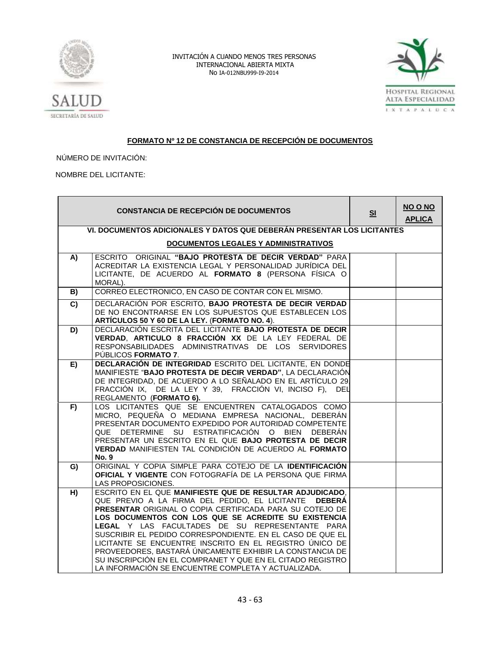



# SECRETARÍA DE SALUD

#### **FORMATO Nº 12 DE CONSTANCIA DE RECEPCIÓN DE DOCUMENTOS**

NÚMERO DE INVITACIÓN:

NOMBRE DEL LICITANTE:

|                | <b>CONSTANCIA DE RECEPCIÓN DE DOCUMENTOS</b>                                                                                                                                                                                                                                                                                                                                                                                                                                                                                                                                                      | S <sub>1</sub> | NO O NO<br><b>APLICA</b> |  |  |  |  |  |  |  |
|----------------|---------------------------------------------------------------------------------------------------------------------------------------------------------------------------------------------------------------------------------------------------------------------------------------------------------------------------------------------------------------------------------------------------------------------------------------------------------------------------------------------------------------------------------------------------------------------------------------------------|----------------|--------------------------|--|--|--|--|--|--|--|
|                | VI. DOCUMENTOS ADICIONALES Y DATOS QUE DEBERÁN PRESENTAR LOS LICITANTES                                                                                                                                                                                                                                                                                                                                                                                                                                                                                                                           |                |                          |  |  |  |  |  |  |  |
|                | DOCUMENTOS LEGALES Y ADMINISTRATIVOS                                                                                                                                                                                                                                                                                                                                                                                                                                                                                                                                                              |                |                          |  |  |  |  |  |  |  |
| A)             | ESCRITO ORIGINAL "BAJO PROTESTA DE DECIR VERDAD" PARA<br>ACREDITAR LA EXISTENCIA LEGAL Y PERSONALIDAD JURÍDICA DEL<br>LICITANTE, DE ACUERDO AL FORMATO 8 (PERSONA FÍSICA O<br>MORAL).                                                                                                                                                                                                                                                                                                                                                                                                             |                |                          |  |  |  |  |  |  |  |
| B)             | CORREO ELECTRONICO, EN CASO DE CONTAR CON EL MISMO.                                                                                                                                                                                                                                                                                                                                                                                                                                                                                                                                               |                |                          |  |  |  |  |  |  |  |
| $\overline{c}$ | DECLARACIÓN POR ESCRITO, BAJO PROTESTA DE DECIR VERDAD<br>DE NO ENCONTRARSE EN LOS SUPUESTOS QUE ESTABLECEN LOS<br>ARTÍCULOS 50 Y 60 DE LA LEY. (FORMATO NO. 4).                                                                                                                                                                                                                                                                                                                                                                                                                                  |                |                          |  |  |  |  |  |  |  |
| D)             | DECLARACIÓN ESCRITA DEL LICITANTE BAJO PROTESTA DE DECIR<br>VERDAD, ARTICULO 8 FRACCIÓN XX DE LA LEY FEDERAL DE<br>RESPONSABILIDADES ADMINISTRATIVAS DE LOS SERVIDORES<br>PÚBLICOS FORMATO 7.                                                                                                                                                                                                                                                                                                                                                                                                     |                |                          |  |  |  |  |  |  |  |
| E)             | DECLARACIÓN DE INTEGRIDAD ESCRITO DEL LICITANTE, EN DONDE<br>MANIFIESTE "BAJO PROTESTA DE DECIR VERDAD", LA DECLARACIÓN<br>DE INTEGRIDAD, DE ACUERDO A LO SEÑALADO EN EL ARTÍCULO 29.<br>FRACCIÓN IX, DE LA LEY Y 39, FRACCIÓN VI, INCISO F), DEL<br>REGLAMENTO (FORMATO 6).                                                                                                                                                                                                                                                                                                                      |                |                          |  |  |  |  |  |  |  |
| F)             | LOS LICITANTES QUE SE ENCUENTREN CATALOGADOS COMO<br>MICRO, PEQUEÑA O MEDIANA EMPRESA NACIONAL, DEBERÁN<br>PRESENTAR DOCUMENTO EXPEDIDO POR AUTORIDAD COMPETENTE<br>QUE DETERMINE SU ESTRATIFICACIÓN O BIEN DEBERÁN<br>PRESENTAR UN ESCRITO EN EL QUE BAJO PROTESTA DE DECIR<br>VERDAD MANIFIESTEN TAL CONDICIÓN DE ACUERDO AL FORMATO<br><b>No. 9</b>                                                                                                                                                                                                                                            |                |                          |  |  |  |  |  |  |  |
| G)             | ORIGINAL Y COPIA SIMPLE PARA COTEJO DE LA IDENTIFICACIÓN<br>OFICIAL Y VIGENTE CON FOTOGRAFÍA DE LA PERSONA QUE FIRMA<br>LAS PROPOSICIONES.                                                                                                                                                                                                                                                                                                                                                                                                                                                        |                |                          |  |  |  |  |  |  |  |
| $\overline{H}$ | ESCRITO EN EL QUE MANIFIESTE QUE DE RESULTAR ADJUDICADO.<br>QUE PREVIO A LA FIRMA DEL PEDIDO, EL LICITANTE DEBERÁ<br>PRESENTAR ORIGINAL O COPIA CERTIFICADA PARA SU COTEJO DE<br>LOS DOCUMENTOS CON LOS QUE SE ACREDITE SU EXISTENCIA<br>LEGAL Y LAS FACULTADES DE SU REPRESENTANTE PARA<br>SUSCRIBIR EL PEDIDO CORRESPONDIENTE. EN EL CASO DE QUE EL<br>LICITANTE SE ENCUENTRE INSCRITO EN EL REGISTRO ÚNICO DE<br>PROVEEDORES, BASTARÁ ÚNICAMENTE EXHIBIR LA CONSTANCIA DE<br>SU INSCRIPCIÓN EN EL COMPRANET Y QUE EN EL CITADO REGISTRO<br>LA INFORMACIÓN SE ENCUENTRE COMPLETA Y ACTUALIZADA. |                |                          |  |  |  |  |  |  |  |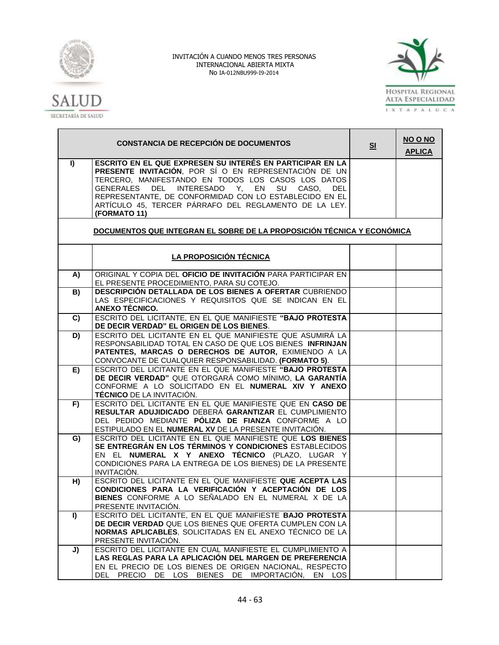



|    | <b>CONSTANCIA DE RECEPCIÓN DE DOCUMENTOS</b>                                                                                                                                                                                                                                                                                                                            | S <sub>1</sub> | NO O NO<br><b>APLICA</b> |
|----|-------------------------------------------------------------------------------------------------------------------------------------------------------------------------------------------------------------------------------------------------------------------------------------------------------------------------------------------------------------------------|----------------|--------------------------|
| I) | ESCRITO EN EL QUE EXPRESEN SU INTERÉS EN PARTICIPAR EN LA<br>PRESENTE INVITACIÓN, POR SÍ O EN REPRESENTACIÓN DE UN<br>TERCERO, MANIFESTANDO EN TODOS LOS CASOS LOS DATOS<br>GENERALES DEL INTERESADO Y, EN<br>SU CASO,<br><b>DEL</b><br>REPRESENTANTE, DE CONFORMIDAD CON LO ESTABLECIDO EN EL<br>ARTÍCULO 45, TERCER PÁRRAFO DEL REGLAMENTO DE LA LEY.<br>(FORMATO 11) |                |                          |
|    | DOCUMENTOS QUE INTEGRAN EL SOBRE DE LA PROPOSICIÓN TÉCNICA Y ECONÓMICA                                                                                                                                                                                                                                                                                                  |                |                          |
|    | LA PROPOSICIÓN TÉCNICA                                                                                                                                                                                                                                                                                                                                                  |                |                          |
| A) | ORIGINAL Y COPIA DEL OFICIO DE INVITACIÓN PARA PARTICIPAR EN<br>EL PRESENTE PROCEDIMIENTO, PARA SU COTEJO.                                                                                                                                                                                                                                                              |                |                          |
| B) | <b>DESCRIPCIÓN DETALLADA DE LOS BIENES A OFERTAR CUBRIENDO</b><br>LAS ESPECIFICACIONES Y REQUISITOS QUE SE INDICAN EN EL<br>ANEXO TÉCNICO.                                                                                                                                                                                                                              |                |                          |
| C) | ESCRITO DEL LICITANTE, EN EL QUE MANIFIESTE "BAJO PROTESTA<br>DE DECIR VERDAD" EL ORIGEN DE LOS BIENES.                                                                                                                                                                                                                                                                 |                |                          |
| D) | ESCRITO DEL LICITANTE EN EL QUE MANIFIESTE QUE ASUMIRÁ LA<br>RESPONSABILIDAD TOTAL EN CASO DE QUE LOS BIENES INFRINJAN<br>PATENTES, MARCAS O DERECHOS DE AUTOR, EXIMIENDO A LA<br>CONVOCANTE DE CUALQUIER RESPONSABILIDAD. (FORMATO 5).                                                                                                                                 |                |                          |
| E) | ESCRITO DEL LICITANTE EN EL QUE MANIFIESTE "BAJO PROTESTA<br>DE DECIR VERDAD" QUE OTORGARÁ COMO MÍNIMO, LA GARANTÍA<br>CONFORME A LO SOLICITADO EN EL NUMERAL XIV Y ANEXO<br><b>TÉCNICO</b> DE LA INVITACIÓN.                                                                                                                                                           |                |                          |
| F) | ESCRITO DEL LICITANTE EN EL QUE MANIFIESTE QUE EN CASO DE<br>RESULTAR ADUJIDICADO DEBERÁ GARANTIZAR EL CUMPLIMIENTO<br>DEL PEDIDO MEDIANTE PÓLIZA DE FIANZA CONFORME A LO<br>ESTIPULADO EN EL NUMERAL XV DE LA PRESENTE INVITACIÓN.                                                                                                                                     |                |                          |
| G) | ESCRITO DEL LICITANTE EN EL QUE MANIFIESTE QUE LOS BIENES<br>SE ENTREGRÁN EN LOS TÉRMINOS Y CONDICIONES ESTABLECIDOS<br>EN EL NUMERAL X Y ANEXO TÉCNICO (PLAZO, LUGAR Y<br>CONDICIONES PARA LA ENTREGA DE LOS BIENES) DE LA PRESENTE<br>INVITACIÓN.                                                                                                                     |                |                          |
| H) | ESCRITO DEL LICITANTE EN EL QUE MANIFIESTE QUE ACEPTA LAS<br>CONDICIONES PARA LA VERIFICACIÓN Y ACEPTACIÓN DE LOS<br>BIENES CONFORME A LO SEÑALADO EN EL NUMERAL X DE LA<br>PRESENTE INVITACIÓN.                                                                                                                                                                        |                |                          |
| I) | ESCRITO DEL LICITANTE, EN EL QUE MANIFIESTE BAJO PROTESTA<br>DE DECIR VERDAD QUE LOS BIENES QUE OFERTA CUMPLEN CON LA<br>NORMAS APLICABLES, SOLICITADAS EN EL ANEXO TÉCNICO DE LA<br>PRESENTE INVITACIÓN.                                                                                                                                                               |                |                          |
| J) | ESCRITO DEL LICITANTE EN CUAL MANIFIESTE EL CUMPLIMIENTO A<br>LAS REGLAS PARA LA APLICACIÓN DEL MARGEN DE PREFERENCIA<br>EN EL PRECIO DE LOS BIENES DE ORIGEN NACIONAL, RESPECTO<br>DEL PRECIO DE LOS BIENES DE IMPORTACIÓN, EN LOS                                                                                                                                     |                |                          |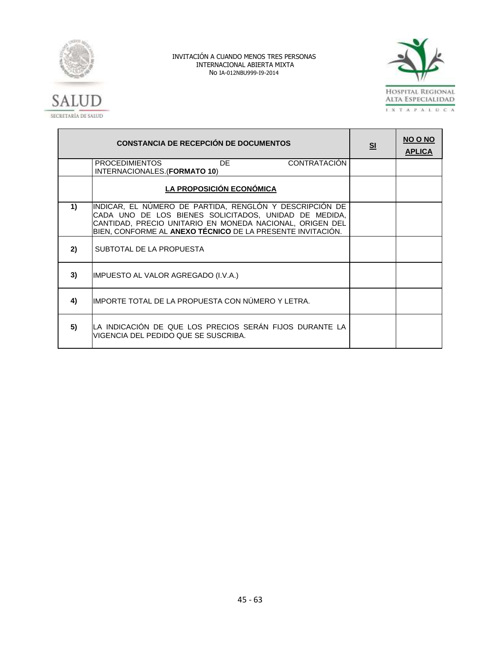



|    | <b>CONSTANCIA DE RECEPCIÓN DE DOCUMENTOS</b>                                                                                                                                                                                                | S <sub>1</sub> | NO O NO<br><b>APLICA</b> |
|----|---------------------------------------------------------------------------------------------------------------------------------------------------------------------------------------------------------------------------------------------|----------------|--------------------------|
|    | <b>CONTRATACIÓN</b><br><b>PROCEDIMIENTOS</b><br>DE.<br>INTERNACIONALES. (FORMATO 10)                                                                                                                                                        |                |                          |
|    | LA PROPOSICIÓN ECONÓMICA                                                                                                                                                                                                                    |                |                          |
| 1) | IINDICAR, EL NUMERO DE PARTIDA, RENGLÓN Y DESCRIPCIÓN DE<br>CADA UNO DE LOS BIENES SOLICITADOS, UNIDAD DE MEDIDA,<br>CANTIDAD, PRECIO UNITARIO EN MONEDA NACIONAL, ORIGEN DEL<br>BIEN, CONFORME AL ANEXO TÉCNICO DE LA PRESENTE INVITACIÓN. |                |                          |
| 2) | SUBTOTAL DE LA PROPUESTA                                                                                                                                                                                                                    |                |                          |
| 3) | IIMPUESTO AL VALOR AGREGADO (I.V.A.)                                                                                                                                                                                                        |                |                          |
| 4) | IIMPORTE TOTAL DE LA PROPUESTA CON NÚMERO Y LETRA.                                                                                                                                                                                          |                |                          |
| 5) | LA INDICACIÓN DE QUE LOS PRECIOS SERÁN FIJOS DURANTE LA<br>VIGENCIA DEL PEDIDO QUE SE SUSCRIBA.                                                                                                                                             |                |                          |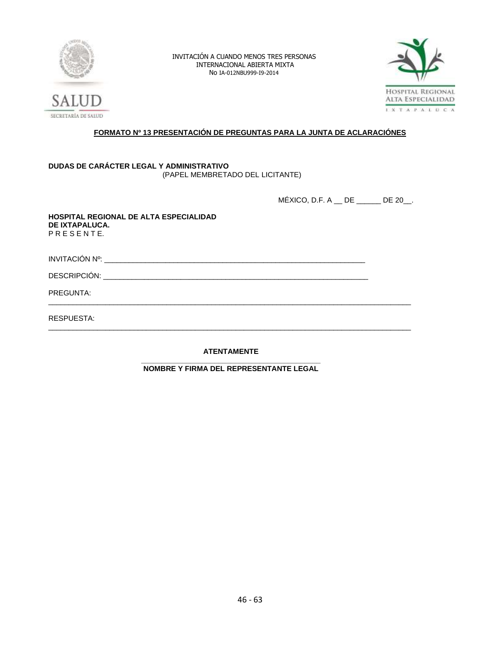



#### **FORMATO Nº 13 PRESENTACIÓN DE PREGUNTAS PARA LA JUNTA DE ACLARACIÓNES**

#### **DUDAS DE CARÁCTER LEGAL Y ADMINISTRATIVO** (PAPEL MEMBRETADO DEL LICITANTE)

MÉXICO, D.F. A \_\_ DE \_\_\_\_\_\_ DE 20\_\_.

| HOSPITAL REGIONAL DE ALTA ESPECIALIDAD<br>DE IXTAPALUCA.<br>PRESENTE. |  |
|-----------------------------------------------------------------------|--|
|                                                                       |  |
|                                                                       |  |
| PREGUNTA:                                                             |  |
| <b>RESPUESTA:</b>                                                     |  |
|                                                                       |  |

**ATENTAMENTE**

**\_\_\_\_\_\_\_\_\_\_\_\_\_\_\_\_\_\_\_\_\_\_\_\_\_\_\_\_\_\_\_\_\_\_\_\_\_\_\_\_\_\_\_\_ NOMBRE Y FIRMA DEL REPRESENTANTE LEGAL**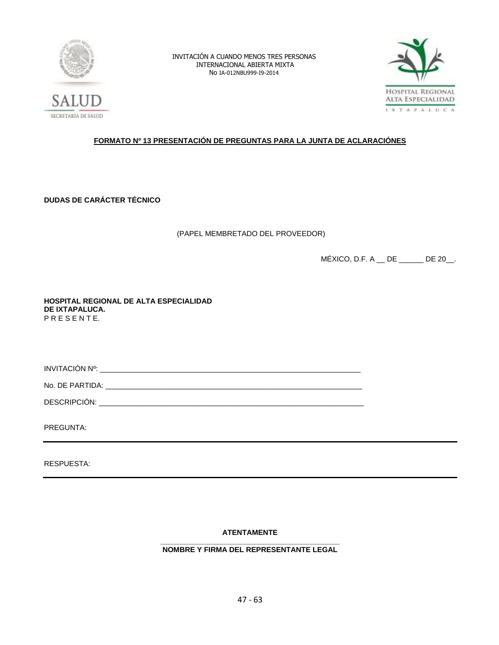



### **FORMATO Nº 13 PRESENTACIÓN DE PREGUNTAS PARA LA JUNTA DE ACLARACIÓNES**

**DUDAS DE CARÁCTER TÉCNICO**

(PAPEL MEMBRETADO DEL PROVEEDOR)

MÉXICO, D.F. A \_\_ DE \_\_\_\_\_\_ DE 20\_\_.

**HOSPITAL REGIONAL DE ALTA ESPECIALIDAD DE IXTAPALUCA.** P R E S E N T E.

INVITACIÓN Nº: \_\_\_\_\_\_\_\_\_\_\_\_\_\_\_\_\_\_\_\_\_\_\_\_\_\_\_\_\_\_\_\_\_\_\_\_\_\_\_\_\_\_\_\_\_\_\_\_\_\_\_\_\_\_\_\_\_\_\_\_\_\_\_\_

No. DE PARTIDA: \_\_\_\_\_\_\_\_\_\_\_\_\_\_\_\_\_\_\_\_\_\_\_\_\_\_\_\_\_\_\_\_\_\_\_\_\_\_\_\_\_\_\_\_\_\_\_\_\_\_\_\_\_\_\_\_\_\_\_\_\_\_\_

DESCRIPCIÓN: \_\_\_\_\_\_\_\_\_\_\_\_\_\_\_\_\_\_\_\_\_\_\_\_\_\_\_\_\_\_\_\_\_\_\_\_\_\_\_\_\_\_\_\_\_\_\_\_\_\_\_\_\_\_\_\_\_\_\_\_\_\_\_\_\_

PREGUNTA:

RESPUESTA:

#### **ATENTAMENTE**

#### **\_\_\_\_\_\_\_\_\_\_\_\_\_\_\_\_\_\_\_\_\_\_\_\_\_\_\_\_\_\_\_\_\_\_\_\_\_\_\_\_\_\_\_\_ NOMBRE Y FIRMA DEL REPRESENTANTE LEGAL**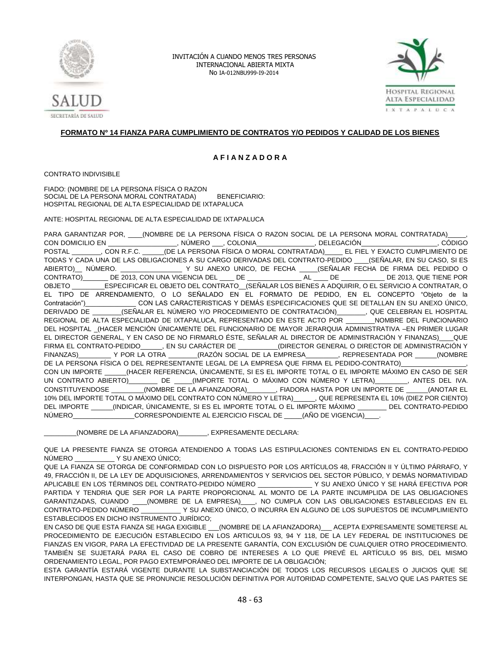



#### **FORMATO Nº 14 FIANZA PARA CUMPLIMIENTO DE CONTRATOS Y/O PEDIDOS Y CALIDAD DE LOS BIENES**

#### **A F I A N Z A D O R A**

CONTRATO INDIVISIBLE

FIADO: (NOMBRE DE LA PERSONA FÍSICA O RAZON SOCIAL DE LA PERSONA MORAL CONTRATADA) BENEFICIARIO: HOSPITAL REGIONAL DE ALTA ESPECIALIDAD DE IXTAPALUCA

ANTE: HOSPITAL REGIONAL DE ALTA ESPECIALIDAD DE IXTAPALUCA

PARA GARANTIZAR POR, \_\_\_\_\_(NOMBRE DE LA PERSONA FÍSICA O RAZON SOCIAL DE LA PERSONA MORAL CONTRATADA)\_ CON DOMICILIO EN \_\_\_\_\_\_\_\_\_\_\_\_\_\_\_\_\_\_\_, NÚMERO \_\_\_, COLONIA\_\_\_\_\_\_\_\_\_\_\_\_\_\_\_\_, DELEGACIÓN\_\_\_\_\_\_\_\_\_\_\_\_\_\_\_\_\_\_\_\_\_, CÓDIGO POSTAL \_\_\_\_\_\_\_\_, CON R.F.C. \_\_\_\_\_\_(DE LA PERSONA FÍSICA O MORAL CONTRATADA)\_\_\_\_\_ EL FIEL Y EXACTO CUMPLIMIENTO DE TODAS Y CADA UNA DE LAS OBLIGACIONES A SU CARGO DERIVADAS DEL CONTRATO-PEDIDO \_\_\_\_(SEÑALAR, EN SU CASO, SI ES ABIERTO)\_\_ NÚMERO. \_\_\_\_\_\_\_\_\_\_\_\_\_\_\_\_\_ Y SU ANEXO UNICO, DE FECHA \_\_\_\_\_(SEÑALAR FECHA DE FIRMA DEL PEDIDO O CONTRATO)\_\_\_\_\_\_\_ DE 2013, CON UNA VIGENCIA DEL \_\_\_\_ DE \_\_\_\_\_\_\_\_\_\_\_\_\_\_\_ AL \_\_\_\_ DE \_\_\_\_\_\_\_\_\_\_\_\_ DE 2013, QUE TIENE POR OBJETO \_\_\_\_\_\_\_\_\_ESPECIFICAR EL OBJETO DEL CONTRATO\_\_(SEÑALAR LOS BIENES A ADQUIRIR, O EL SERVICIO A CONTRATAR, O EL TIPO DE ARRENDAMIENTO, O LO SEÑALADO EN EL FORMATO DE PEDIDO, EN EL CONCEPTO "Objeto de la Contratación")\_\_\_\_\_\_\_\_\_\_\_\_\_\_ CON LAS CARACTERISTICAS Y DEMÁS ESPECIFICACIONES QUE SE DETALLAN EN SU ANEXO ÚNICO, DERIVADO DE  $\qquad \qquad$  (SEÑALAR EL NÚMERO Y/O PROCEDIMIENTO DE CONTRATACIÓN)  $\qquad \qquad$  QUE CELEBRAN EL HOSPITAL REGIONAL DE ALTA ESPECIALIDAD DE IXTAPALUCA, REPRESENTADO EN ESTE ACTO POR \_\_\_\_\_\_\_\_NOMBRE DEL FUNCIONARIO DEL HOSPITAL (HACER MENCIÓN ÚNICAMENTE DEL FUNCIONARIO DE MAYOR JERARQUIA ADMINISTRATIVA –EN PRIMER LUGAR EL DIRECTOR GENERAL, Y EN CASO DE NO FIRMARLO ÉSTE, SEÑALAR AL DIRECTOR DE ADMINISTRACIÓN Y FINANZAS)\_\_\_\_QUE FIRMA EL CONTRATO-PEDIDO\_\_\_\_\_\_, EN SU CARÁCTER DE \_\_\_\_\_\_\_\_\_\_\_(DIRECTOR GENERAL O DIRECTOR DE ADMINISTRACIÓN Y FINANZAS)\_\_\_\_\_\_\_\_\_ Y POR LA OTRA \_\_\_\_\_\_\_\_(RAZÓN SOCIAL DE LA EMPRESA\_\_\_\_\_\_\_\_\_, REPRESENTADA POR \_\_\_\_\_\_(NOMBRE DE LA PERSONA FÍSICA O DEL REPRESENTANTE LEGAL DE LA EMPRESA QUE FIRMA EL PEDIDO-CONTRATO)\_ CON UN IMPORTE \_\_\_\_\_\_(HACER REFERENCIA, ÚNICAMENTE, SI ES EL IMPORTE TOTAL O EL IMPORTE MÁXIMO EN CASO DE SER<br>UN CONTRATO ABIERTO) \_\_\_\_\_\_\_ DE \_\_\_\_\_(IMPORTE TOTAL O MÁXIMO CON NÚMERO Y LETRA) \_\_\_\_\_\_\_\_\_, ANTES DEL IVA. \_\_\_ DE \_\_\_\_\_(IMPORTE TOTAL O MÁXIMO CON NÚMERO Y LETRA)\_\_\_\_\_\_\_\_\_, ANTES DEL IVA. CONSTITUYENDOSE (NOMBRE DE LA AFIANZADORA) [FIADORA HASTA POR UN IMPORTE DE  $\qquad$  (ANOTAR EL 10% DEL IMPORTE TOTAL O MÁXIMO DEL CONTRATO CON NÚMERO Y LETRA)\_\_\_\_\_\_, QUE REPRESENTA EL 10% (DIEZ POR CIENTO) DEL IMPORTE \_\_\_\_\_\_(INDICAR, ÚNICAMENTE, SI ES EL IMPORTE TOTAL O EL IMPORTE MÁXIMO \_\_\_\_\_\_\_\_ DEL CONTRATO-PEDIDO NÚMERO\_\_\_\_\_\_\_\_\_\_\_\_\_\_\_\_\_CORRESPONDIENTE AL EJERCICIO FISCAL DE \_\_\_\_\_(AÑO DE VIGENCIA)\_\_\_\_.

\_\_\_\_\_\_\_\_\_(NOMBRE DE LA AFIANZADORA)\_\_\_\_\_\_\_\_, EXPRESAMENTE DECLARA:

QUE LA PRESENTE FIANZA SE OTORGA ATENDIENDO A TODAS LAS ESTIPULACIONES CONTENIDAS EN EL CONTRATO-PEDIDO NÚMERO \_\_\_\_\_\_\_\_\_\_\_ Y SU ANEXO ÚNICO;

QUE LA FIANZA SE OTORGA DE CONFORMIDAD CON LO DISPUESTO POR LOS ARTÍCULOS 48, FRACCIÓN II Y ÚLTIMO PÁRRAFO, Y 49, FRACCIÓN II, DE LA LEY DE ADQUISICIONES, ARRENDAMIENTOS Y SERVICIOS DEL SECTOR PÚBLICO, Y DEMÁS NORMATIVIDAD APLICABLE EN LOS TÉRMINOS DEL CONTRATO-PEDIDO NÚMERO \_\_\_\_\_\_\_\_\_\_\_\_\_\_\_ Y SU ANEXO ÚNICO Y SE HARÁ EFECTIVA POR PARTIDA Y TENDRIA QUE SER POR LA PARTE PROPORCIONAL AL MONTO DE LA PARTE INCUMPLIDA DE LAS OBLIGACIONES GARANTIZADAS, CUANDO \_\_\_\_(NOMBRE DE LA EMPRESA)\_\_\_\_, NO CUMPLA CON LAS OBLIGACIONES ESTABLECIDAS EN EL CONTRATO-PEDIDO NÚMERO \_\_\_\_\_\_\_\_\_\_\_ Y SU ANEXO ÚNICO, O INCURRA EN ALGUNO DE LOS SUPUESTOS DE INCUMPLIMIENTO ESTABLECIDOS EN DICHO INSTRUMENTO JURÍDICO;

EN CASO DE QUE ESTA FIANZA SE HAGA EXIGIBLE \_\_\_(NOMBRE DE LA AFIANZADORA)\_\_\_ ACEPTA EXPRESAMENTE SOMETERSE AL PROCEDIMIENTO DE EJECUCIÓN ESTABLECIDO EN LOS ARTICULOS 93, 94 Y 118, DE LA LEY FEDERAL DE INSTITUCIONES DE FIANZAS EN VIGOR, PARA LA EFECTIVIDAD DE LA PRESENTE GARANTÍA, CON EXCLUSIÓN DE CUALQUIER OTRO PROCEDIMIENTO. TAMBIÉN SE SUJETARÁ PARA EL CASO DE COBRO DE INTERESES A LO QUE PREVÉ EL ARTÍCULO 95 BIS, DEL MISMO ORDENAMIENTO LEGAL, POR PAGO EXTEMPORÁNEO DEL IMPORTE DE LA OBLIGACIÓN;

ESTA GARANTÍA ESTARÁ VIGENTE DURANTE LA SUBSTANCIACIÓN DE TODOS LOS RECURSOS LEGALES O JUICIOS QUE SE INTERPONGAN, HASTA QUE SE PRONUNCIE RESOLUCIÓN DEFINITIVA POR AUTORIDAD COMPETENTE, SALVO QUE LAS PARTES SE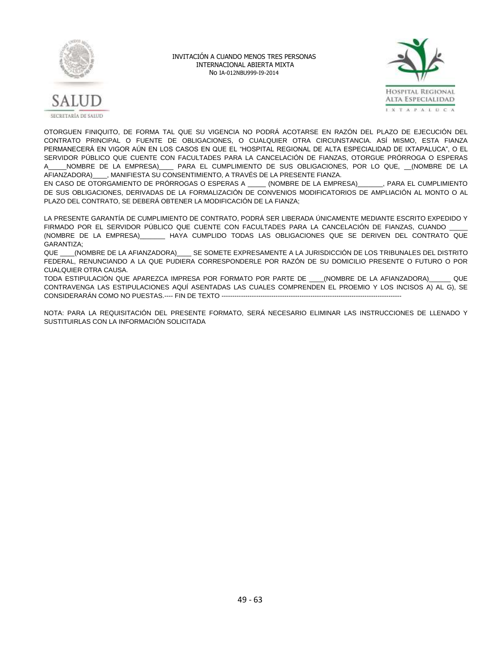



OTORGUEN FINIQUITO, DE FORMA TAL QUE SU VIGENCIA NO PODRÁ ACOTARSE EN RAZÓN DEL PLAZO DE EJECUCIÓN DEL CONTRATO PRINCIPAL O FUENTE DE OBLIGACIONES, O CUALQUIER OTRA CIRCUNSTANCIA. ASÍ MISMO, ESTA FIANZA PERMANECERÁ EN VIGOR AÚN EN LOS CASOS EN QUE EL "HOSPITAL REGIONAL DE ALTA ESPECIALIDAD DE IXTAPALUCA", O EL SERVIDOR PÚBLICO QUE CUENTE CON FACULTADES PARA LA CANCELACIÓN DE FIANZAS, OTORGUE PRÓRROGA O ESPERAS A\_\_\_\_\_NOMBRE DE LA EMPRESA)\_\_\_\_ PARA EL CUMPLIMIENTO DE SUS OBLIGACIONES, POR LO QUE, \_\_(NOMBRE DE LA AFIANZADORA)\_\_\_\_, MANIFIESTA SU CONSENTIMIENTO, A TRAVÉS DE LA PRESENTE FIANZA.

EN CASO DE OTORGAMIENTO DE PRÓRROGAS O ESPERAS A \_\_\_\_\_ (NOMBRE DE LA EMPRESA)\_\_\_\_\_\_\_, PARA EL CUMPLIMIENTO DE SUS OBLIGACIONES, DERIVADAS DE LA FORMALIZACIÓN DE CONVENIOS MODIFICATORIOS DE AMPLIACIÓN AL MONTO O AL PLAZO DEL CONTRATO, SE DEBERÁ OBTENER LA MODIFICACIÓN DE LA FIANZA;

LA PRESENTE GARANTÍA DE CUMPLIMIENTO DE CONTRATO, PODRÁ SER LIBERADA ÚNICAMENTE MEDIANTE ESCRITO EXPEDIDO Y FIRMADO POR EL SERVIDOR PÚBLICO QUE CUENTE CON FACULTADES PARA LA CANCELACIÓN DE FIANZAS, CUANDO (NOMBRE DE LA EMPRESA)\_\_\_\_\_\_\_ HAYA CUMPLIDO TODAS LAS OBLIGACIONES QUE SE DERIVEN DEL CONTRATO QUE GARANTIZA;

QUE \_\_\_\_(NOMBRE DE LA AFIANZADORA)\_\_\_\_ SE SOMETE EXPRESAMENTE A LA JURISDICCIÓN DE LOS TRIBUNALES DEL DISTRITO FEDERAL, RENUNCIANDO A LA QUE PUDIERA CORRESPONDERLE POR RAZÓN DE SU DOMICILIO PRESENTE O FUTURO O POR CUALQUIER OTRA CAUSA.

TODA ESTIPULACIÓN QUE APAREZCA IMPRESA POR FORMATO POR PARTE DE \_\_\_\_(NOMBRE DE LA AFIANZADORA)\_\_\_\_\_\_ QUE CONTRAVENGA LAS ESTIPULACIONES AQUÍ ASENTADAS LAS CUALES COMPRENDEN EL PROEMIO Y LOS INCISOS A) AL G), SE CONSIDERARÁN COMO NO PUESTAS.---- FIN DE TEXTO -----------------------------------------------------------------------------------

NOTA: PARA LA REQUISITACIÓN DEL PRESENTE FORMATO, SERÁ NECESARIO ELIMINAR LAS INSTRUCCIONES DE LLENADO Y SUSTITUIRLAS CON LA INFORMACIÓN SOLICITADA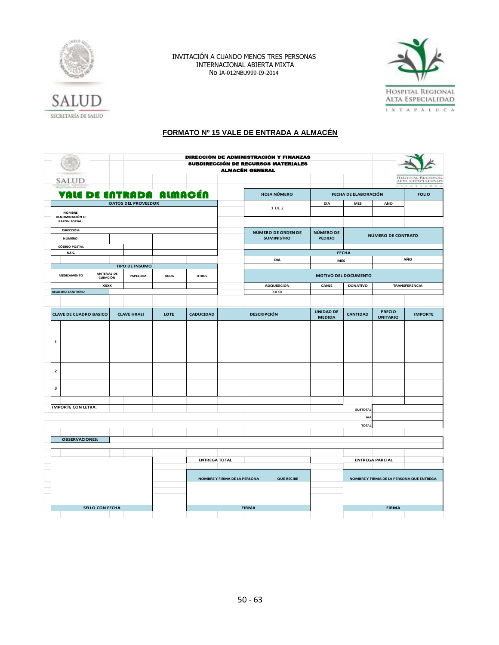



# **FORMATO Nº 15 VALE DE ENTRADA A ALMACÉN**

|                                                                    |                                       |                            |             |                      |                                   | DIRECCIÓN DE ADMINISTRACIÓN Y FINANZAS     |                                  |                             |                                          |                                                       |
|--------------------------------------------------------------------|---------------------------------------|----------------------------|-------------|----------------------|-----------------------------------|--------------------------------------------|----------------------------------|-----------------------------|------------------------------------------|-------------------------------------------------------|
|                                                                    |                                       |                            |             |                      |                                   | <b>SUBDIRECCIÓN DE RECURSOS MATERIALES</b> |                                  |                             |                                          |                                                       |
|                                                                    |                                       |                            |             |                      |                                   | <b>ALMACÉN GENERAL</b>                     |                                  |                             |                                          |                                                       |
| SALUD                                                              |                                       |                            |             |                      |                                   |                                            |                                  |                             |                                          | HISSPITAL RIGHTSPAL<br>AFTA-ESPECIALIDAD<br>水平 山上 状元は |
|                                                                    |                                       | VALE DE ENTRADA ALMACÉN    |             |                      |                                   | <b>HOJA NÚMERO</b>                         |                                  | FECHA DE ELABORACIÓN        |                                          | <b>FOLIO</b>                                          |
|                                                                    |                                       | <b>DATOS DEL PROVEEDOR</b> |             |                      |                                   |                                            | DIA                              | <b>MES</b>                  | AÑO                                      |                                                       |
| NOMBRE,<br><b>DENOMINACIÓN O</b><br>RAZÓN SOCIAL:                  |                                       |                            |             |                      |                                   | 1 DE 2                                     |                                  |                             |                                          |                                                       |
| DIRECCIÓN:                                                         |                                       |                            |             |                      |                                   | NÚMERO DE ORDEN DE                         | NÚMERO DE                        |                             |                                          |                                                       |
| NUMERO:                                                            |                                       |                            |             |                      |                                   | <b>SUMINISTRO</b>                          | <b>PEDIDO</b>                    |                             | NÚMERO DE CONTRATO                       |                                                       |
| <b>CÓDIGO POSTAL</b>                                               |                                       |                            |             |                      |                                   |                                            |                                  |                             |                                          |                                                       |
| R.F.C.                                                             |                                       |                            |             |                      |                                   |                                            |                                  | <b>FECHA</b>                |                                          |                                                       |
|                                                                    |                                       |                            |             |                      |                                   | <b>DIA</b>                                 | <b>MES</b>                       |                             |                                          | AÑO                                                   |
|                                                                    |                                       | <b>TIPO DE INSUMO</b>      |             |                      |                                   |                                            |                                  |                             |                                          |                                                       |
| <b>MEDICAMENTO</b>                                                 | <b>MATERIAL DE</b><br><b>CURACIÓN</b> | PAPELERIA                  | <b>AGUA</b> | <b>OTROS</b>         |                                   |                                            |                                  | <b>MOTIVO DEL DOCUMENTO</b> |                                          |                                                       |
|                                                                    | <b>XXXX</b>                           |                            |             |                      |                                   | <b>ADQUISICIÓN</b>                         | CANJE                            | <b>DONATIVO</b>             |                                          | <b>TRANSFERENCIA</b>                                  |
| <b>REGISTRO SANITARIO</b>                                          |                                       |                            |             |                      |                                   | <b>XXXX</b>                                |                                  |                             |                                          |                                                       |
|                                                                    |                                       |                            |             |                      |                                   |                                            |                                  |                             |                                          |                                                       |
| <b>CLAVE DE CUADRO BASICO</b><br><b>CLAVE HRAEI</b><br><b>LOTE</b> |                                       | <b>CADUCIDAD</b>           |             | <b>DESCRIPCIÓN</b>   | <b>UNIDAD DE</b><br><b>MEDIDA</b> | <b>CANTIDAD</b>                            | <b>PRECIO</b><br><b>UNITARIO</b> | <b>IMPORTE</b>              |                                          |                                                       |
| $\mathbf 1$                                                        |                                       |                            |             |                      |                                   |                                            |                                  |                             |                                          |                                                       |
| $\overline{\mathbf{2}}$                                            |                                       |                            |             |                      |                                   |                                            |                                  |                             |                                          |                                                       |
| $\overline{\mathbf{3}}$                                            |                                       |                            |             |                      |                                   |                                            |                                  |                             |                                          |                                                       |
|                                                                    |                                       |                            |             |                      |                                   |                                            |                                  |                             |                                          |                                                       |
| <b>IMPORTE CON LETRA:</b>                                          |                                       |                            |             |                      |                                   |                                            |                                  | <b>SUBTOTAL</b>             |                                          |                                                       |
|                                                                    |                                       |                            |             |                      |                                   |                                            |                                  | <b>IVA</b>                  |                                          |                                                       |
|                                                                    |                                       |                            |             |                      |                                   |                                            |                                  | <b>TOTAL</b>                |                                          |                                                       |
|                                                                    |                                       |                            |             |                      |                                   |                                            |                                  |                             |                                          |                                                       |
| <b>OBSERVACIONES:</b>                                              |                                       |                            |             |                      |                                   |                                            |                                  |                             |                                          |                                                       |
|                                                                    |                                       |                            |             |                      |                                   |                                            |                                  |                             |                                          |                                                       |
|                                                                    |                                       |                            |             |                      |                                   |                                            |                                  |                             |                                          |                                                       |
|                                                                    |                                       |                            |             | <b>ENTREGA TOTAL</b> |                                   |                                            |                                  |                             | <b>ENTREGA PARCIAL</b>                   |                                                       |
|                                                                    |                                       |                            |             |                      | NOMBRE Y FIRMA DE LA PERSONA      | <b>QUE RECIBE</b>                          |                                  |                             | NOMBRE Y FIRMA DE LA PERSONA QUE ENTREGA |                                                       |
|                                                                    |                                       |                            |             |                      |                                   |                                            |                                  |                             |                                          |                                                       |
|                                                                    |                                       |                            |             |                      |                                   |                                            |                                  |                             |                                          |                                                       |
|                                                                    | <b>SELLO CON FECHA</b>                |                            |             |                      |                                   | <b>FIRMA</b>                               |                                  |                             | <b>FIRMA</b>                             |                                                       |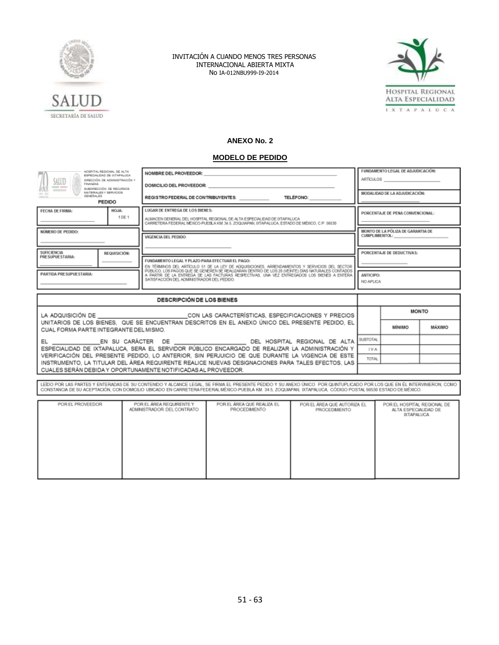



#### **ANEXO No. 2**

#### **MODELO DE PEDIDO**

| HOSPITAL REGIONAL DE ALTA<br>ESPECIALIDAD DE INTARALIJOA<br>SALUD<br>DIRECCIÓN DE ADMINISTRACIÓN Y                       | NOMBRE DEL PROVEEDOR:                                                                                                                                                                                                                         |              | FUNDAMENTO LEGAL DE ADJUDICACIÓN:<br>ARTÍCULOS <b>ARTÍCULOS</b> |        |  |
|--------------------------------------------------------------------------------------------------------------------------|-----------------------------------------------------------------------------------------------------------------------------------------------------------------------------------------------------------------------------------------------|--------------|-----------------------------------------------------------------|--------|--|
| FINANZAS<br>__<br>SUBDIRECCIÓN DE RECURSOS<br>economics<br>MATERIALES V SERVICIOS<br>$1 - 30$<br>GENERAL ES<br>CONTRACTO | DOMICILIO DEL PROVEEDOR:<br>REGISTRO FEDERAL DE CONTRIBUYENTES: _________________TELÉFONO:                                                                                                                                                    |              | MODALIDAD DE LA ADJUDICACIÓN:                                   |        |  |
| <b>PEDIDO</b>                                                                                                            |                                                                                                                                                                                                                                               |              |                                                                 |        |  |
| HOJA:<br>FECHA DE FIRMA:<br>1 DE 1                                                                                       | LUGAR DE ENTREGA DE LOS BIENES:<br>ALMACEN GENERAL DEL HOSPITAL REGIONAL DE ALTA ESPECIALIDAD DE IXTAPALUCA                                                                                                                                   |              | PORCENTAJE DE PENA CONVENCIONAL:                                |        |  |
|                                                                                                                          | CARRETERA FEDERAL MÉXICO PUEBLA KM 34.5, ZOQUIAPAN, IXTAPALUCA, ESTADO DE MÉXICO, C.P. 56530                                                                                                                                                  |              |                                                                 |        |  |
| NÚMERO DE PEDIDO:                                                                                                        | VIGENCIA DEL PEDIDO:                                                                                                                                                                                                                          |              | MONTO DE LA PÓLIZA DE GARANTIA DE<br><b>CUMPLIMIENTOL:</b>      |        |  |
| <b>SUFICIENCIA</b><br>REQUISICIÓN:                                                                                       |                                                                                                                                                                                                                                               |              | PORCENTAJE DE DEDUCTIVAS:                                       |        |  |
| PRESUPUESTARIA:                                                                                                          | FUNDAMENTO LEGAL Y PLAZO PARA EFECTUAR EL PAGO:<br>EN TÉRMINOS DEL ARTÍCULO 51 DE LA LEY DE ADQUISICIONES, ARRENDAMIENTOS Y SERVICIOS DEL SECTOR                                                                                              |              |                                                                 |        |  |
| PARTIDA PRESUPUESTARIA:                                                                                                  | PÚBLICO, LOS PAGOS QUE SE GENEREN SE REALIZARÁN DENTRO DE LOS 20 (VEINTE) DÍAS NATURALES CONTADOS<br>A PARTIR DE LA ENTREGA DE LAS FACTURAS RESPECTIVAS. UNA VEZ ENTREGADOS LOS BIENES A ENTERA<br>SATISFACCIÓN DEL ADMINISTRADOR DEL PEDIDO. |              | <b>ANTICIPO:</b><br>NO APLICA                                   |        |  |
|                                                                                                                          | <b>DESCRIPCIÓN DE LOS BIENES</b>                                                                                                                                                                                                              |              |                                                                 |        |  |
|                                                                                                                          | LA ADQUISICIÓN DE CONTENSIONAL CON LAS CARACTERÍSTICAS, ESPECIFICACIONES Y PRECIOS                                                                                                                                                            |              | <b>MONTO</b>                                                    |        |  |
| CUAL FORMA PARTE INTEGRANTE DEL MISMO.                                                                                   | UNITARIOS DE LOS BIENES. QUE SE ENCUENTRAN DESCRITOS EN EL ANEXO ÚNICO DEL PRESENTE PEDIDO. EL                                                                                                                                                |              | MÍNIMO                                                          | MÁXIMO |  |
| EL _________________EN SU CARÁCTER DE ___________________________DEL HOSPITAL REGIONAL DE ALTA                           | SUBTOTAL                                                                                                                                                                                                                                      |              |                                                                 |        |  |
| ESPECIALIDAD DE IXTAPALUCA, SERA EL SERVIDOR PÚBLICO ENCARGADO DE REALIZAR LA ADMINISTRACIÓN Y                           | LV.A.                                                                                                                                                                                                                                         |              |                                                                 |        |  |
|                                                                                                                          | VERIFICACIÓN DEL PRESENTE PEDIDO, LO ANTERIOR, SIN PERJUICIO DE QUE DURANTE LA VIGENCIA DE ESTE<br>INSTRUMENTO. LA TITULAR DEL ÁREA REQUIRENTE REALICE NUEVAS DESIGNACIONES PARA TALES EFECTOS. LAS                                           | <b>TOTAL</b> |                                                                 |        |  |
| CUALES SERÁN DERIDA Y OPORTUNAMENTE NOTIFICADAS AL PROVEEDOR.                                                            |                                                                                                                                                                                                                                               |              |                                                                 |        |  |

LEÍDO POR LAS PARTES Y ENTERADAS DE SU CONTENDO Y ALCANCE LEGAL, SE FIRMA EL PRESENTE PEDIDO Y SU ANEXO ÚNICO POR QUINTUPLICADO POR LOS QUE EN ÉL INTERVINERON, COMO<br>CONSTANCIA DE SU ACEPTACIÓN, CON DOMICILIO UBICADO EN CAR

| POR EL PROVEEDOR | POR EL ÁREA REQUIRENTE Y<br>ADMINISTRADOR DEL CONTRATO | POR EL ÁREA QUE REALIZA EL<br>PROCEDIMENTO | POR EL ÁREA QUE AUTORIZA EL<br>PROCEDIMENTO | POR EL HOSPITAL REGIONAL DE<br>ALTA ESPECIALIDAD DE<br><b>DITAPALUCA</b> |
|------------------|--------------------------------------------------------|--------------------------------------------|---------------------------------------------|--------------------------------------------------------------------------|
|                  |                                                        |                                            |                                             |                                                                          |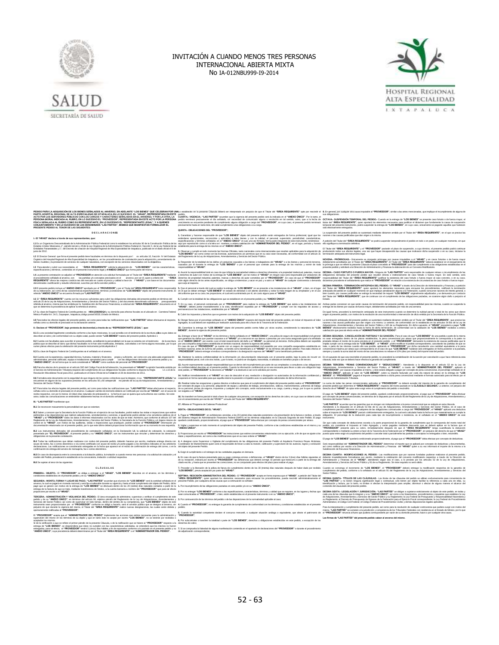



#### $E$ scrit $E$ scrit $E$ scrit $E$ scrit $E$ scrit $\mathcal{L}$ PÉDIDO NARLA LA DOSIGISION DE LOS BERES ESPALADOS AL ANYGERO, EN ADELANTE "LOS BIENES" QUE CELEBRAN POR UNA C<br>PERSONA MORAL RODCADA AL RUBOL EX LOS CARDOS Y CARACTERES SEÑALADOS EN EL ANYERSO, Y POR LA CIPIE ALLE<br>PERSONA M **PRESENTES**<br>PRESENTES<br>PERIODIENTES

#### **D E C L A R A C I O N E S**

**I.- El "HRAEI" declara a través de sus representantes, que:** 1.1 Es un Organismo Descentralizado de la Administración Pública Federal tal como lo establecen los artículos 90 de la Constitución Política de los<br>Estados Unidos Mexicanos, 1º, párrafo tercero y 45 de la Ley Orgánica de l

Entidades Paraestatales y 1°, del Decreto de creación de Hospital Regional de Alta Especialidad de Ixtapaluca, publicado en el diario oficial el 8 de junio de 2012. **I.2** El Director General que firma el presente pedido tiene facultades en términos de lo dispuesto por l os artículos 16, fracción IV del Estatuto Orgánico del Hospital Regional de Alta Especialidad de Ixtapaluca , en los procedimientos de contratación para la adquisición y arrendamiento de

bienes muebles y la prestación de servicios de cualquier naturaleza, con excepción de los servicios relacionados con la obraública. 1.3 Para atender y cubrir sus necesidades, el "AREA REQUIRENTE" solicita la adquisición de "LOS BIENES" con las características,<br>especificaciones y términos, contenidos en el presente instrumento legal y el ANEXO ÚNICO" qu

**I.4** La presente contratación se adjudicó al **"PROVEEDOR** en atención a la solicitud formulada por el Titular del **"ÁREA REQUIRENTE"**mediante el procedimiento señalado al anverso, con las partidas y/o conceptos precisados en el anverso, por ser él, quien a criterio del **"ÁREA REQUIRENTE"** ofrece las mejores condiciones del mercado en cuanto al precio y calidad a favor de l **"HRAEI"** y con base en los documentos

denominados Justificación y estudio referencial, suscritos por dicho servidor público. 1.5 El presente pedido incluye un **"ANEXO ÚNICO"** aprobado por el **"PROVEEDOR"** y por el Titular del **"AREA REQUIRENTE"**como responsable<br>de su elaboración, así como de las características especificaciones, términos ycondic

L6 El "**ÁREA REQUIRENTE"** cuenta con los recursos suficientes para cubrir las obligaciones derivadas del presente pedido en términos del<br>articulo 25 de la Ley de Adquisiciones, Arrendamientos y Servicios del Sector Público

que se determina la procedencia de aplicar la referida al anverso. 1.7 Su clave de Registro Federal de Contribuyentes es: HRA120609DQ4 y su domicilio para efectos fiscales es el ubicado en Carretera Federal<br>México-Puebla Km. 34.5, Zoquiapan, Ixtapaluca,código postal 56530, Estado de Méxic

**I.8** Para todos los efectos legales del presente pedido, así como para todas las notificaciones que **"LAS PARTES"** deban efectuarse al respecto,

señala como su domicilio el precisado en la declaración anterior. **II.- Declara el "PROVEEDOR", bajo protesta de decirverdad, a través de su "REPRESENTANTE LEGAL", que:**

II.1 Es una sociedad legalmente constituida conforme a las leyes mexicanas, lo cual acredita con el testimonio de la escritura púlica cuyos datos se<br>describen al rubro y de conformidad con su obieto soial, puede vender "LO **II.2** Cuenta con facultades para suscribir el presente pedido, acreditando la personalidad con la que se ostenta con el testimonio — de la escritura<br>pública que se describe al rubro; que dichas facultades no le han sido m surten plenos efectos para la celebración del presente instrumento jurídicoApéndice 2

**II.3** Su clave de Registro Federal de Contribuyentes es el señalado en el anverso.

II.4 Cuenta con la experiencia, capacidad técnica, humana, material y financiera —propia y suficiente, así como con una adecuada organización<br>administrativa, personal calificado, equipo e instataciones apropiadas para cump

II.5 Para los efectos de lo previsto en el artículo 32D del Código Fiscal de la Federación, ha presentado al "HRAEI" la opinión favorable emitida por<br>el Servicio de Administración Tributaria respecto del cumplimiento de su Resolución Miscelánea Fiscal para 2012, publicada en el Diario Oficial de la Federación el 28 de diciembre de 2011.

**II.6** Formaliza este documento con la seguridad de que ninguno de los socios o directivos que la integran, ni su **"REPRESENTANTE LEGAL"**se<br>encuentran en alguno de los sucuestos previstos en los artículos 50 v 60 antepenút encuentran en alguno de los su

IIL7 Para todos los efectos legates del presente pedido, así como para todas nordenadores que "LAS PARTES" doba<br>señala como su domicilio el precisado en el anverso. Cualquier cambio de domicilio deben ser notificado per el **III.- "LAS PARTES"** manifiestan que:

**III.1** Se reconocen mutuamente la personalidad con que se ostentan;

#### **III.2** Saben y conocen que la Secretaría de la Función Pública en el ejercicio de sus facultades, podrá realizar las visitas e inspecciones que estime pertinentes a las dependencias que realicen adquisiciones, arrendamientos y servicios, e igualmente podrá solicitar a los servidores públicos de el **"HRAEI"** y al **"PROVEEDOR"** todos los datos e informes relacionados con los actos de que se trate. Asimismo, que conforme al artículo 107 del Reglamento de la Ley de Adquisiciones, Arrendamientos y Servicios del Sector Público, la Secretaría de la Función Pública y el órgano interno de control en la **"HRAEI"**, con motivo de las auditorias, visitas o inspecciones que practiquen, podrán solicitar al **"PROVEEDOR"** información y/o documentación relacionada con el presente pedido, por lo que este último deberá proporcionar la información que en su momento le sea requerida;

III.3 Los instrumentos derivados del procedimiento de contratación señalados en la Declaración I.4, la solicitud de cotización, la cotización<br>presentada por "EL PROVEEDOR", el presente pedido y su "ANEXO ÚNICO", son los in obligaciones en la presente contratación.

**III.4** Todas las notificaciones que deban realizarse con motivo del presente pedido, deberán hacerse por escrito, mediante entrega directa con<br>acuse de recibo, fax o correo electrónico o vía correo certificado con acuse d declaraciones. Las notificaciones se considerarán entregadas en la fecha que aparece en el recibo de confirmación de entrega del correo, o en la confirmación de entrega del servicio de mensajería, fax o correo electrónico. **III.5** En caso de discrepancia entre la convocatoria a la licitación pública, la invitación a cuando menos tres personas o la solicitud de cotización y el<br>modelo del Pedido, prevalecerá lo establecido en la convocatoria,

#### al tenor de las siguientes:

**C L Á U S U L A S**

#### PRIMERA- OBJETO.- El "PROVEEDOR" se obliga a entregar a el "HRAEI", "LOS BIENES" descritos en el anverso, en los términos y<br>condiciones establecidos en el presente pedido y en su "ANEXO ÚNICO". **.<br><b>NDA.- MONTO, FORMA Y LUGAR DE PAGO.- "LAS PARTES" a**cue<br>o. la cual se pagará en moneda nacional y será fila e inalterable durant anverso, la cual se pagará en monda nacional y será lija e inalienzilo durante su vigencial de la cual de medi<br>pagó que se genere con motivo de la entrega de "LOS BIENES" se electuará dentro de los 20 (veinte) dias natural

TERCERA.» ADMINISTRACIÓN Y VIGILANCIA DEL PEDIDO.» El área encargada de administrar, supervisar y verificar el cumplimiento de este<br>pedido y de su "ANEXO ÚNICO", en términos del artículo 84, séptimo párrafo del Reglamento Servicios del Sector Público; así como de supervisar en todo tiempo, dentro del ámbito de su competencia, que "L**OS BIENES"** objeto de este<br>Instrumento sean proporcionados por el "**PROVEEDOR"** contorme se obligó a hacerlo,

oportunamente notificadas al **"PROVEEDOR"**. El "PROVEEDOR" acepta que el "ADMINISTRADOR DEL PEDIDO" implemente las acciones que estime necesarias para la administración y<br>supervisión del mismo en los términos de su objeto y que en tanto éste no acepte por escrito "L

aceptados komiemos.<br>Si de la verilización a que se reflere el primer párrafo de la prosente Cláusula, o de la notivo el minimitaci<br>entrega de "LOS BIENES", se desprendera que éstos no cumplen con las características solvis **"ANEXO ÚNICO"**, cuya procedencia deberá determinarse por el Titular del **"ÁREA REQUIRENTE"** o el **"ADMINISTRADOR DEL PEDIDO".**  on<br>su 7.Sise<br>de adiud

Lo suisticolo en la presenc Claudia debrá ser interpretacion pepicó de que el Taur od - **AREA RECURENTE**" opera recorde d<br>CAMELA - Videlkola, "LAS PARTES" acuerdan que la vigencia del presente pedido ser la industa en el " **QUINTA.- OBLIGACIONES DEL "PRO** 

1. Garantzar y hacerse responsable de que "**LOS BIENES**" objeto del presente pedido serán entregados de forma profesional, igual que los<br>estándares operacionales, reconocidos y aplicables a tales bienes y con la calidad, e especificaciones y términos señalados en el "ANEXO UNICO" el cual, una vez firmado, forma parte integrante de este instrumento, teniéndose<br>aquí por reproducido como si a la tetra se i nsentara, a entera satisfacción del "A

**2.** Observar y c **"LOS BIENES"** así como contar con las licencias, autorizaciones y/o permisos que en su caso sean necesarias, de conformidad con el artículo 31 del Reglamento de la Ley de Adquisiciones, Arrendamientos y Servicios del Sector Público.

3. Responder de la totalidad de los daños y/o perjuicios causados a los bienes o trabajadores del "HRAEI" o a los bienes y personal de terceros,<br>causados por él durante la entrega de "LOS BIENES" o por el personal que cont responsabilidad al **"HRAEI"**.

a que infrinja la normatividad relativa a derechos inherentes a la propiedad missectual, parenuse, marcas<br>ga de <sup>u</sup>l LOS BIENES", por tal motivo el "HRAEI" en ningún caso será responsable por violaciones de<br>, marcas o dere y derechos de autor con motivo de la entrega de "L**OS BIENES"**, por tal motivo el "HRAEI" en ningún caso será responsable por violaciones de<br>derechos de propiedad industrial, patentes, marcas o derechos de autor cometidos viole algún derecho de<br>que suria al respecto.

5. Que el personal a través del cual se realice la entrega de **"LOS BIENES"** no se presente a las instalaciones de el "HRAEI", o bien, en el lugar<br>en el que se deban entregar **"LOS BIENES"** en estado de ebriedad o con alle

**6.** Cumplir con la totalidad de las obligaciones que se establecen en el presente pedido y su **"ANEXO ÚNICO"**. 7. En su caso, el pesonal comisionado por el "PROVEEDOR" para realizar la entrega de "LOS BIENES" que asista a las instalaciones del<br>"HRAE", deberá portar invariablemente a la vista, identificación expedida por el "PROVEED

**8.** Cubrir los impuestos y derechos que se generen con motivo de la a

9. Otorgar fianza por el porcentaje señalado en el "**ANEXO ÚNICO**" respecto del importe total del presente pedido, sin incluir el Impuesto al Valor<br>Agregado, la cual deberá ser expedida por institución autorizada para ello **10.** Garantizar la entrega de **"LOS BIENES"** objeto del presente pedido contra fallas y/o vicios ocultos, considerando la naturaleza de **"LOS BIENES"**, durante la vigencia del presente pedido.

11. Entrega a favor de d-WRAEI" en los téminos y focha señada en el "ANEXO ÚNICO", una póliza de aguno de responsabilida civil general<br>ene garantico los daños que puedan causarse a el "WRAEI" yío a tercers en sus bienes o

En caso de que el "P**ROVEEDOR**" ya cuente con un seguro de resporsabildad civil expedido por una compañía aseguradora establecida en<br>territorio nacional, antes de la firma del pedido, como beneficiario a el "HRAEI" en los 12. Mantener la estricta confidenc responsabilidad penal, civil o de otra índole, y por lo tanto, no podrá ser divulgada, transmitida, ni utilizada en beneficio propio o de tercero.

**13.** Asumir expresamente cualquier responsabilidad que se derive del incumplimiento por parte de sus empleados o consultores a las obligaciones de confidencialidad descritas en el presente pedido. Cuando la información confidencial ya no sea necesaria para llevar a cabo una obligación bajo este pedido, el **"PROVEEDOR"** la devolverá al **"HRAEI"** o la destruirá si así se le solicitara por escrito.

**14.** Notificar inmediatamente a el "HRAEI" en caso de di cooperará en forma razonable para que aquélla retome la posesión e impedirá usos no autorizados adicionales de dicha información.

15. Realizar todas las erogaciones y gastos directos e indirectos que para el cumplimiento del objeto del presente pedido realice el "PROVEEDOR"<br>por concepto de pagos a su personal, adquisición de equipo y utensilios de tr de su personal, primas de seguros, impuestos y cualquier otro concepto, serán exclusivamente a su cargo, cuenta y riesgo, por lo que no podrán ser exigidos a el **"HRAEI"**.

16. No transferir en forma parcial ni total a favor de cualquier otra persona, con excepción de los derechos de cobro, en cuyo caso se deberá contar<br>con el consentimiento por escrito del "HRAEI"" a través del Titular del "

**17.** Afiliarse al "Programa de Cadenas Productivas". **SEXTA.- OBLIGACIONES DE EL "HRAEI";**

1. Pagar al "**PROVEEDOR**", en exhibiciones vencidas, a los 20 (veinte) días naturales posteriores a la presentación de la factura o recibos, a través<br>del Sistema Integral de Administración Financiera Federal (SIAFF) en los quedará condicionado, proporcionalmente, al pago que el **"PROVEEDOR"** deba efectuar por concepto de penas convencionales por atraso. **2.** Vigilar y supervisar en todo momento el cumplimiento del objeto del presente Pedido, conforme a las condiciones establecidas en el mismo y su **"ANEXO ÚNICO"**.

3. Proporcionar por escrito al "**PROVEEDOR**" las instrucciones que estime convenientes relacionadas con su ejecución, a fin de que se ajuste a los<br>datos y especificaciones, así como a las modificaciones que en su caso orde 4. A designar como Supervisor o Vigilante del cumplimiento de las obligaciones del presente Pedido al Arquitecto Francisco Reyes Alcántara,<br>Coordinador de Mantenimiento quien será el responsable de llevar a cabo la revisió del objeto del presente Pedido.

**5.** Exigir el cumplimiento o el reintegro de las cantidades pagadas en demasía.

6. En caso de que la factura presentada para su pago contenga errores o deficiencias, el "HRAEI" dentro de los 3 (tres) días hábiles siguientes al<br>de su recepción, indicará por escrito al "PROVEEDOR" las deficiencias que d citado escrito, y hasta que se presenten las correcciones, no se computarán para efectos del plazo para realizar el pago. **7.** Proceder a la liberación de la póliza de fianza de cumplimiento dentro de los 30 (treinta) días naturales después de haber dado por recibido **"LOS BIENES",** previa aceptación por parte del **"HRAEI"**.

SEPTIMA - RESCISION ADMINISTRATIVA DEL PEDIDO - El "PROVEEDOR" acepta en forma expresa que el "HRAEI", a petición del Titular del<br>"ÁREA REQUIRENTE", quien aportarà los elementos necesarios para encauzar los procedimientos,

**1.** Por incumplimiento de las obligaciones pactadas en este pedido y/o en su **"ANEXO ÚNICO"**; **2.** Por no entregar "LOS BIENES" co

sean comunicadas al **"PROVEEDOR"**, o bien, estén establecidas en el presente instrumento o en su **"ANEXO ÚNICO"**; **3.** Por contravención de los términos del pedido o de las disposiciones de la normatividad aplicable al caso;

**4.** Cuando el **"PROVEEDOR"**, no entregue la garantía de cumplimiento de conformidad con los términos y condiciones establecidos en el presente pedido;

**5.** Cuando la autoridad competente declare el concurso mercantil, o cualquier situación análoga o equivalente, que afecte el patrimonio de **"PROVEEDOR"**;

**6.** Por subcontratar o transferir la totalidad o parte de **"LOS BIENES"**, derechos u obligaciones establecidos en este pedido, a excepción de los<br>derechos de cobro;

**7.** Si se comprueba la falsedad de alguna manifestación contenida en el apartado de declaraciones del **"PROVEEDOR"** o durante el procedimiento

**8.** En general, por cualquier otra causa imputable al **"PROVEEDOR"**, similar a las antes mencionadas, que implique el incumplimiento de alguna de sus dejastores.<br>Bulus de "ARDA REGION TEMPORAL DEL PEDIDO» Cuando en la entreja de "LOS BIENES" se presena caso fontaio o de fuerza mayor, el<br>Bulus de "ARDA REGUIRENTE", esém portuar los elementos norosanos para filos el d **ando en la entrega de "LOS BIENES"**, se presento conce<br>lentos necesarios para justificar el dictamen que fundam<br>ena de "I OS BIENES", en cuvo caso, únicamente se o

La suspensión del presente pedido se sustentará mediante dictamen emitido por el Titular del **"ÁREA REQUIRENTE"**, en el que se precise las

razones o las causas justificadas que dan origen a la misma.<br>A petición del Titular del "ÁREA REQUIRENTE" se podrá suspender temporalmente el pedido en todo o en parte, en cualquier momento, sin que<br>ello signifique su term

El Titular del **"ÁREA REQUIRENTE"** y el **"PROVEEDOR"** pactarán el plazo de suspensión, a cuyo término, el presente pedido podrá continuar produciendo todos sus efectos legales, una vez que hayan desaparecido las causas que motivaron dicha suspensión o en su caso, iniciarse la terminación anticipada del instrumento legal.

NOVENA.» PRÓRROGAS.» Únicamente se otorgarán prórrogas por causas imputables a el "HRAEI" y en casos fortuitos o de fuerza mayor<br>debidamente acreditados por el Titular del "ÁREA REQUIRENTE". El Titular del "ÁREA REQUIRENTE la prómoga a que se refiere la presente Cláusula el plazo concedido al **"PROVEEDOR"** para dar cumplimiento a las obligaciones establecidas en el<br>presente pedido y solicitará a la Dirección de Administración y Finanzas la e

DÉCMA - CASO FORTUITO O FUERZA MAYOR. Ninguna de "LAS PARTES" serà responsible de cualquier retrace o incumplmento de las<br>coligaciones derivadas del presente pedido que resulten directa o indirectamente de caso fortulto o

DECIMA PRIMERA» TERMINACION ANTICIPADA DEL PEDIDO» El "HRAEI" a través de la Dirección de Administración y Franzas y a petición<br>del Titular del "ÁREA REQUIRENTE", quien aportará los elementos necesarios para encauzar los p bien cuando, por causas justificadas se extinga la necesidad de requerir "LOS BIENES" originalmente adjudicados y se demuestre por conducto<br>del Titular del "ÁREA REQUIRENTE", que de continuar con el cumplimiento de las obl Estado.

Ambas partes convienen en que serán causas de terminación del presente pedido, sin responsabilidad para las mismas, cuando se suspenda la entrega de los bienes por causas de fuerza mayor, debidamente acreditadas por más de una semana. De igual forma, procederá la terminación anticipada de este instrumento cuando se determine la nulidad parcial o total de los actos que dieron<br>origen al presente pedido, con motivo de la resolución de una inconformidad o i

La terminación anticipada del presento pedio so sustenta del presente metido por el Titular del **AREA REQUIRENTE**<br>nazones cita causa judicadas que den origen a la miena. La setero, de conformidad con la causa por el T**itul** nazones o las causas justificadas que dan origen a la misma. Lo anterior, de conformidad con lo establecido en los artículos 54 Bis de la Ley de<br>Adquisiciones, Arrendamientos y Servicios del Sector Público y 102 de su Regi

salidación que para el elcor emia e "ADMINSTRADOR DEL PEDIDO".<br>No ban elfoquido alembro de los plazos existendos, la pera Coverciona por en el existente de comeporás la lami<br>Pedido alembro de los los plazos existendos, la trate, o parte de las mismas cuando ello sea posible, aplicando al "**PROVEEDOR**" por dicha cancelación una cantidad equivalente a la pena<br>convencional máxima por atraso que correspondería en el caso de que "LOS BIENES" hub

En el supuesto de que sea rescindido el presente pedido, no procederá la contabilización de la sanción por cancelación a que hace referencia esta cláusula, toda vez que se deberá hacer efectiva la garantía de cumplimiento. DÉCIMA TERCERA: "PENAS CONVENCIONALES" Y "DEDUCCIONES". Atendendo a lo dispuesto en el articulo 53 de la Ley de<br>Adquisiciones, Arrendamientos y Servicios del Sector Público, el "HRAEI", a través del "ADMIMÉTRADOR DEL PEDID "ANEXO ÚNICO", aplicado al valor de "LOS BIENES", sobre su importe facturado por cada dia natural de atraso en la entrega de "LOS<br>BIENES". El "PROVEEDOR" pagará el importe correspondiente a dicha pena convencional mediante

La suma de todas las penas convencionales aplicadas al "PROVEEDOR" no deberá exceder del importe de la garantía de cumplimiento del<br>presente pedido que determine el "AREA REQUIRENTE", respecto del monto pactado en la CLÁUS

El pago de "**LOS BIENES**" objeto del presente pedido, quedará condicionado proporcionalmente, al pago que el "**PROVEEDOR**" deba efectuar<br>por concepto de penas convencionales, en términos de lo dispuesto por el articulo 95

"LAS PARTES" auxician que la garantia que se diogen on independente a la pera convertioni que se trabando mais<br>currentem partir o dificiente de cadapiens de las deligations contrabales a cargo del "PROVERDOR", al "NRAE" qu

Sin que cada concepto de deducciones exceda a la parte proporcional de la garantía de cumplimiento que le corresponda del monto total del pedido, sin considerar el Impuesto al Valor Agregado, y serán pagadas mediante descuento que se deberá aplicar en la factura que el **"PROVEEDOR"** presente para su cobro, inmediatamente después de que el **"ÁREA REQUIRENTE"** tenga cuantificada la deducción correspondiente o mediante su entero a favor de la Tesorería de la Federación por el **"PROVEEDOR"**, sin perjuicio del derecho de que el **"HRAEI"** pueda optar entre exigir el cumplimiento del pedido o cancelar total o parcialmente las partidas o conceptos no entregados o bien, rescindirlo.

El pago de **"LOS BIENES"** quedará condicionado proporcionalmente, al pago que el **"PROVEEDOR"** deba efectuar por concepto de deductivas.

Será responsabilidad del "**ADMINISTRADOR DEL PEDIDO**" determinar el importe que se aplicará por concepto de deductivas y documentarias,<br>así como notilicar por escrito a la Dirección de Administración y Finanzas del "HRAEI"

DECAMA CUARTA. MODIFICACIONES AL PEDIDO, Las modificaciones que por racones fundadas pudieran realizarse al presente pedido,<br>deberán invariablemente formalizarse por escrito, mediante la celebración del convenio modificato

Cuando se convenga el incremento de "LOS BIENES", el "PROVEEDOR" deberá entregar la modificación respectiva de la garantía de<br>cumplimiento del pedido, conforme a lo señalado en el artículo 91 del Reglamento de la Ley de Ad Sector Público. DECIMA QUINTA.» TITULOS DE LAS CLAUSULAS.» Los títulos de las cláusulas del pedido se utilizan exclusivamente para conveniencia de<br>"LAS PARTES" y no tienen ninguna significación legal o contractual, sólo tienen por cojeto

contenido del clausulado del presente pedido. **DECIMA SEXTA.- LEGISLACIÓN Y JURISDICCIÓN.- "LAS PARTES"** se obligan a s

cada una de las disusulas que lo integrary a su "ANEXO UNICO", así como a los linearientos, procedentemos y requiedes que establece la Ley<br>de Adquisiciones, Arrendomientor y Servicios del Sector Público y su Regiamento; la

Para la interpretación y cumplimiento del presente pedido, así como para la resolución de cualquier controversia que pudiera surgir con motivo del<br>mismo, "LAS PARTES" se someten a la jurisdicción y competencia de los Tribu **Las firmas de "LAS PARTES" del presente pedido calzan al anverso del mismo.**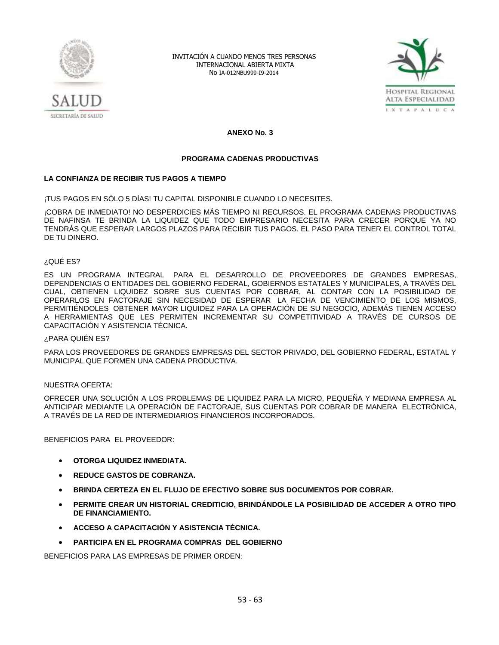



**ANEXO No. 3**

#### **PROGRAMA CADENAS PRODUCTIVAS**

#### **LA CONFIANZA DE RECIBIR TUS PAGOS A TIEMPO**

¡TUS PAGOS EN SÓLO 5 DÍAS! TU CAPITAL DISPONIBLE CUANDO LO NECESITES.

¡COBRA DE INMEDIATO! NO DESPERDICIES MÁS TIEMPO NI RECURSOS. EL PROGRAMA CADENAS PRODUCTIVAS DE NAFINSA TE BRINDA LA LIQUIDEZ QUE TODO EMPRESARIO NECESITA PARA CRECER PORQUE YA NO TENDRÁS QUE ESPERAR LARGOS PLAZOS PARA RECIBIR TUS PAGOS. EL PASO PARA TENER EL CONTROL TOTAL DE TU DINERO.

#### ¿QUÉ ES?

ES UN PROGRAMA INTEGRAL PARA EL DESARROLLO DE PROVEEDORES DE GRANDES EMPRESAS, DEPENDENCIAS O ENTIDADES DEL GOBIERNO FEDERAL, GOBIERNOS ESTATALES Y MUNICIPALES, A TRAVÉS DEL CUAL, OBTIENEN LIQUIDEZ SOBRE SUS CUENTAS POR COBRAR, AL CONTAR CON LA POSIBILIDAD DE OPERARLOS EN FACTORAJE SIN NECESIDAD DE ESPERAR LA FECHA DE VENCIMIENTO DE LOS MISMOS, PERMITIÉNDOLES OBTENER MAYOR LIQUIDEZ PARA LA OPERACIÓN DE SU NEGOCIO, ADEMÁS TIENEN ACCESO A HERRAMIENTAS QUE LES PERMITEN INCREMENTAR SU COMPETITIVIDAD A TRAVÉS DE CURSOS DE CAPACITACIÓN Y ASISTENCIA TÉCNICA.

#### ¿PARA QUIÉN ES?

PARA LOS PROVEEDORES DE GRANDES EMPRESAS DEL SECTOR PRIVADO, DEL GOBIERNO FEDERAL, ESTATAL Y MUNICIPAL QUE FORMEN UNA CADENA PRODUCTIVA.

#### NUESTRA OFERTA:

OFRECER UNA SOLUCIÓN A LOS PROBLEMAS DE LIQUIDEZ PARA LA MICRO, PEQUEÑA Y MEDIANA EMPRESA AL ANTICIPAR MEDIANTE LA OPERACIÓN DE FACTORAJE, SUS CUENTAS POR COBRAR DE MANERA ELECTRÓNICA, A TRAVÉS DE LA RED DE INTERMEDIARIOS FINANCIEROS INCORPORADOS.

BENEFICIOS PARA EL PROVEEDOR:

- **OTORGA LIQUIDEZ INMEDIATA.**
- **REDUCE GASTOS DE COBRANZA.**
- **BRINDA CERTEZA EN EL FLUJO DE EFECTIVO SOBRE SUS DOCUMENTOS POR COBRAR.**
- **PERMITE CREAR UN HISTORIAL CREDITICIO, BRINDÁNDOLE LA POSIBILIDAD DE ACCEDER A OTRO TIPO DE FINANCIAMIENTO.**
- **ACCESO A CAPACITACIÓN Y ASISTENCIA TÉCNICA.**
- **PARTICIPA EN EL PROGRAMA COMPRAS DEL GOBIERNO**

BENEFICIOS PARA LAS EMPRESAS DE PRIMER ORDEN: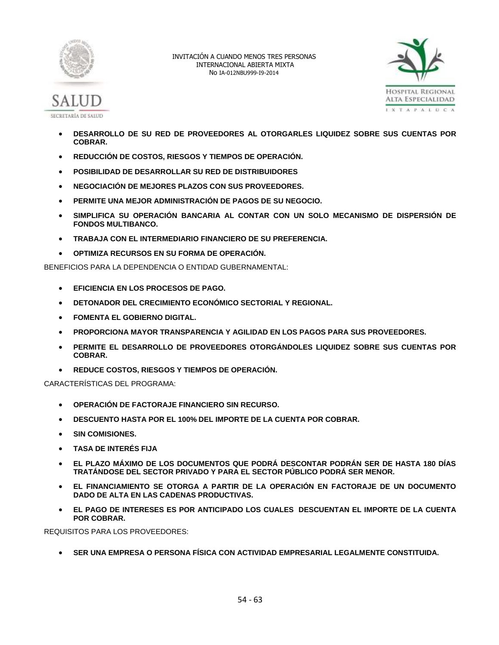



- **DESARROLLO DE SU RED DE PROVEEDORES AL OTORGARLES LIQUIDEZ SOBRE SUS CUENTAS POR COBRAR.**
- **REDUCCIÓN DE COSTOS, RIESGOS Y TIEMPOS DE OPERACIÓN.**
- **POSIBILIDAD DE DESARROLLAR SU RED DE DISTRIBUIDORES**
- **NEGOCIACIÓN DE MEJORES PLAZOS CON SUS PROVEEDORES.**
- **PERMITE UNA MEJOR ADMINISTRACIÓN DE PAGOS DE SU NEGOCIO.**
- **SIMPLIFICA SU OPERACIÓN BANCARIA AL CONTAR CON UN SOLO MECANISMO DE DISPERSIÓN DE FONDOS MULTIBANCO.**
- **TRABAJA CON EL INTERMEDIARIO FINANCIERO DE SU PREFERENCIA.**
- **OPTIMIZA RECURSOS EN SU FORMA DE OPERACIÓN.**

BENEFICIOS PARA LA DEPENDENCIA O ENTIDAD GUBERNAMENTAL:

- **EFICIENCIA EN LOS PROCESOS DE PAGO.**
- **DETONADOR DEL CRECIMIENTO ECONÓMICO SECTORIAL Y REGIONAL.**
- **FOMENTA EL GOBIERNO DIGITAL.**
- **PROPORCIONA MAYOR TRANSPARENCIA Y AGILIDAD EN LOS PAGOS PARA SUS PROVEEDORES.**
- **PERMITE EL DESARROLLO DE PROVEEDORES OTORGÁNDOLES LIQUIDEZ SOBRE SUS CUENTAS POR COBRAR.**
- **REDUCE COSTOS, RIESGOS Y TIEMPOS DE OPERACIÓN.**

CARACTERÍSTICAS DEL PROGRAMA:

- **OPERACIÓN DE FACTORAJE FINANCIERO SIN RECURSO.**
- **DESCUENTO HASTA POR EL 100% DEL IMPORTE DE LA CUENTA POR COBRAR.**
- **SIN COMISIONES.**
- **TASA DE INTERÉS FIJA**
- **EL PLAZO MÁXIMO DE LOS DOCUMENTOS QUE PODRÁ DESCONTAR PODRÁN SER DE HASTA 180 DÍAS TRATÁNDOSE DEL SECTOR PRIVADO Y PARA EL SECTOR PÚBLICO PODRÁ SER MENOR.**
- **EL FINANCIAMIENTO SE OTORGA A PARTIR DE LA OPERACIÓN EN FACTORAJE DE UN DOCUMENTO DADO DE ALTA EN LAS CADENAS PRODUCTIVAS.**
- **EL PAGO DE INTERESES ES POR ANTICIPADO LOS CUALES DESCUENTAN EL IMPORTE DE LA CUENTA POR COBRAR.**

REQUISITOS PARA LOS PROVEEDORES:

**SER UNA EMPRESA O PERSONA FÍSICA CON ACTIVIDAD EMPRESARIAL LEGALMENTE CONSTITUIDA.**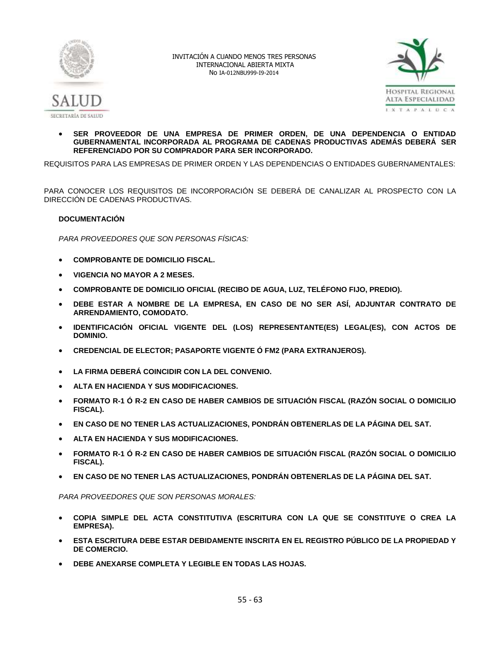



 **SER PROVEEDOR DE UNA EMPRESA DE PRIMER ORDEN, DE UNA DEPENDENCIA O ENTIDAD GUBERNAMENTAL INCORPORADA AL PROGRAMA DE CADENAS PRODUCTIVAS ADEMÁS DEBERÁ SER REFERENCIADO POR SU COMPRADOR PARA SER INCORPORADO.**

REQUISITOS PARA LAS EMPRESAS DE PRIMER ORDEN Y LAS DEPENDENCIAS O ENTIDADES GUBERNAMENTALES:

PARA CONOCER LOS REQUISITOS DE INCORPORACIÓN SE DEBERÁ DE CANALIZAR AL PROSPECTO CON LA DIRECCIÓN DE CADENAS PRODUCTIVAS.

#### **DOCUMENTACIÓN**

*PARA PROVEEDORES QUE SON PERSONAS FÍSICAS:*

- **COMPROBANTE DE DOMICILIO FISCAL.**
- **VIGENCIA NO MAYOR A 2 MESES.**
- **COMPROBANTE DE DOMICILIO OFICIAL (RECIBO DE AGUA, LUZ, TELÉFONO FIJO, PREDIO).**
- **DEBE ESTAR A NOMBRE DE LA EMPRESA, EN CASO DE NO SER ASÍ, ADJUNTAR CONTRATO DE ARRENDAMIENTO, COMODATO.**
- **IDENTIFICACIÓN OFICIAL VIGENTE DEL (LOS) REPRESENTANTE(ES) LEGAL(ES), CON ACTOS DE DOMINIO.**
- **CREDENCIAL DE ELECTOR; PASAPORTE VIGENTE Ó FM2 (PARA EXTRANJEROS).**
- **LA FIRMA DEBERÁ COINCIDIR CON LA DEL CONVENIO.**
- **ALTA EN HACIENDA Y SUS MODIFICACIONES.**
- **FORMATO R-1 Ó R-2 EN CASO DE HABER CAMBIOS DE SITUACIÓN FISCAL (RAZÓN SOCIAL O DOMICILIO FISCAL).**
- **EN CASO DE NO TENER LAS ACTUALIZACIONES, PONDRÁN OBTENERLAS DE LA PÁGINA DEL SAT.**
- **ALTA EN HACIENDA Y SUS MODIFICACIONES.**
- **FORMATO R-1 Ó R-2 EN CASO DE HABER CAMBIOS DE SITUACIÓN FISCAL (RAZÓN SOCIAL O DOMICILIO FISCAL).**
- **EN CASO DE NO TENER LAS ACTUALIZACIONES, PONDRÁN OBTENERLAS DE LA PÁGINA DEL SAT.**

*PARA PROVEEDORES QUE SON PERSONAS MORALES:*

- **COPIA SIMPLE DEL ACTA CONSTITUTIVA (ESCRITURA CON LA QUE SE CONSTITUYE O CREA LA EMPRESA).**
- **ESTA ESCRITURA DEBE ESTAR DEBIDAMENTE INSCRITA EN EL REGISTRO PÚBLICO DE LA PROPIEDAD Y DE COMERCIO.**
- **DEBE ANEXARSE COMPLETA Y LEGIBLE EN TODAS LAS HOJAS.**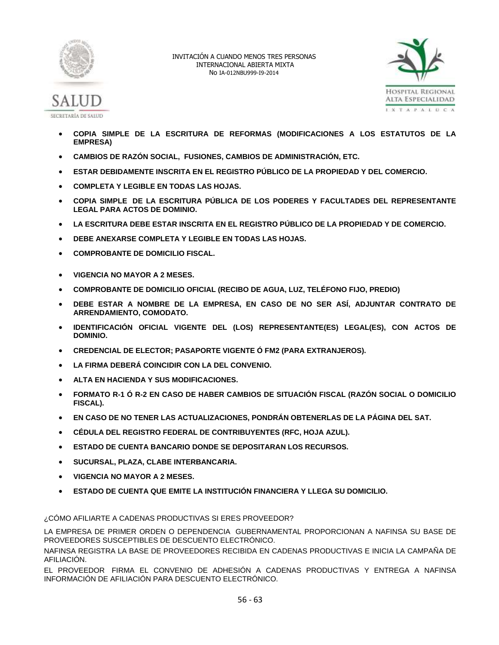



- **COPIA SIMPLE DE LA ESCRITURA DE REFORMAS (MODIFICACIONES A LOS ESTATUTOS DE LA EMPRESA)**
- **CAMBIOS DE RAZÓN SOCIAL, FUSIONES, CAMBIOS DE ADMINISTRACIÓN, ETC.**
- **ESTAR DEBIDAMENTE INSCRITA EN EL REGISTRO PÚBLICO DE LA PROPIEDAD Y DEL COMERCIO.**
- **COMPLETA Y LEGIBLE EN TODAS LAS HOJAS.**
- **COPIA SIMPLE DE LA ESCRITURA PÚBLICA DE LOS PODERES Y FACULTADES DEL REPRESENTANTE LEGAL PARA ACTOS DE DOMINIO.**
- **LA ESCRITURA DEBE ESTAR INSCRITA EN EL REGISTRO PÚBLICO DE LA PROPIEDAD Y DE COMERCIO.**
- **DEBE ANEXARSE COMPLETA Y LEGIBLE EN TODAS LAS HOJAS.**
- **COMPROBANTE DE DOMICILIO FISCAL.**
- **VIGENCIA NO MAYOR A 2 MESES.**
- **COMPROBANTE DE DOMICILIO OFICIAL (RECIBO DE AGUA, LUZ, TELÉFONO FIJO, PREDIO)**
- **DEBE ESTAR A NOMBRE DE LA EMPRESA, EN CASO DE NO SER ASÍ, ADJUNTAR CONTRATO DE ARRENDAMIENTO, COMODATO.**
- **IDENTIFICACIÓN OFICIAL VIGENTE DEL (LOS) REPRESENTANTE(ES) LEGAL(ES), CON ACTOS DE DOMINIO.**
- **CREDENCIAL DE ELECTOR; PASAPORTE VIGENTE Ó FM2 (PARA EXTRANJEROS).**
- **LA FIRMA DEBERÁ COINCIDIR CON LA DEL CONVENIO.**
- **ALTA EN HACIENDA Y SUS MODIFICACIONES.**
- **FORMATO R-1 Ó R-2 EN CASO DE HABER CAMBIOS DE SITUACIÓN FISCAL (RAZÓN SOCIAL O DOMICILIO FISCAL).**
- **EN CASO DE NO TENER LAS ACTUALIZACIONES, PONDRÁN OBTENERLAS DE LA PÁGINA DEL SAT.**
- **CÉDULA DEL REGISTRO FEDERAL DE CONTRIBUYENTES (RFC, HOJA AZUL).**
- **ESTADO DE CUENTA BANCARIO DONDE SE DEPOSITARAN LOS RECURSOS.**
- **SUCURSAL, PLAZA, CLABE INTERBANCARIA.**
- **VIGENCIA NO MAYOR A 2 MESES.**
- **ESTADO DE CUENTA QUE EMITE LA INSTITUCIÓN FINANCIERA Y LLEGA SU DOMICILIO.**

¿CÓMO AFILIARTE A CADENAS PRODUCTIVAS SI ERES PROVEEDOR?

LA EMPRESA DE PRIMER ORDEN O DEPENDENCIA GUBERNAMENTAL PROPORCIONAN A NAFINSA SU BASE DE PROVEEDORES SUSCEPTIBLES DE DESCUENTO ELECTRÓNICO.

NAFINSA REGISTRA LA BASE DE PROVEEDORES RECIBIDA EN CADENAS PRODUCTIVAS E INICIA LA CAMPAÑA DE AFILIACIÓN.

EL PROVEEDOR FIRMA EL CONVENIO DE ADHESIÓN A CADENAS PRODUCTIVAS Y ENTREGA A NAFINSA INFORMACIÓN DE AFILIACIÓN PARA DESCUENTO ELECTRÓNICO.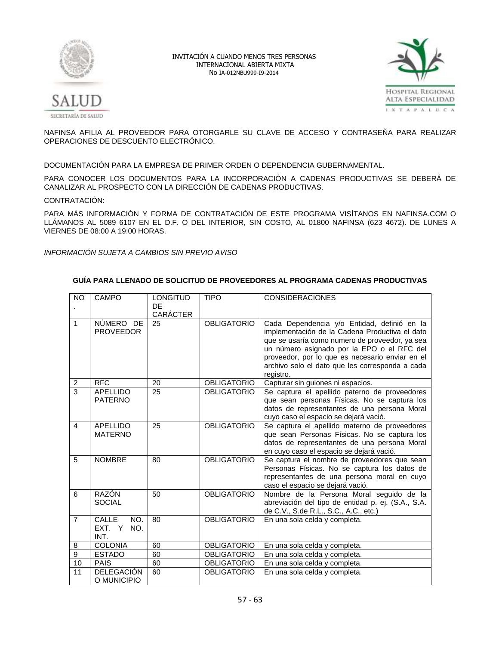



NAFINSA AFILIA AL PROVEEDOR PARA OTORGARLE SU CLAVE DE ACCESO Y CONTRASEÑA PARA REALIZAR OPERACIONES DE DESCUENTO ELECTRÓNICO.

DOCUMENTACIÓN PARA LA EMPRESA DE PRIMER ORDEN O DEPENDENCIA GUBERNAMENTAL.

PARA CONOCER LOS DOCUMENTOS PARA LA INCORPORACIÓN A CADENAS PRODUCTIVAS SE DEBERÁ DE CANALIZAR AL PROSPECTO CON LA DIRECCIÓN DE CADENAS PRODUCTIVAS.

CONTRATACIÓN:

PARA MÁS INFORMACIÓN Y FORMA DE CONTRATACIÓN DE ESTE PROGRAMA VISÍTANOS EN NAFINSA.COM O LLÁMANOS AL 5089 6107 EN EL D.F. O DEL INTERIOR, SIN COSTO, AL 01800 NAFINSA (623 4672). DE LUNES A VIERNES DE 08:00 A 19:00 HORAS.

*INFORMACIÓN SUJETA A CAMBIOS SIN PREVIO AVISO*

#### **GUÍA PARA LLENADO DE SOLICITUD DE PROVEEDORES AL PROGRAMA CADENAS PRODUCTIVAS**

| <b>NO</b>      | <b>CAMPO</b>                                 | <b>LONGITUD</b><br>DE<br>CARÁCTER | <b>TIPO</b>        | <b>CONSIDERACIONES</b>                                                                                                                                                                                                                                                                                           |
|----------------|----------------------------------------------|-----------------------------------|--------------------|------------------------------------------------------------------------------------------------------------------------------------------------------------------------------------------------------------------------------------------------------------------------------------------------------------------|
| $\mathbf{1}$   | NÚMERO DE<br><b>PROVEEDOR</b>                | 25                                | <b>OBLIGATORIO</b> | Cada Dependencia y/o Entidad, definió en la<br>implementación de la Cadena Productiva el dato<br>que se usaría como numero de proveedor, ya sea<br>un número asignado por la EPO o el RFC del<br>proveedor, por lo que es necesario enviar en el<br>archivo solo el dato que les corresponda a cada<br>registro. |
| $\overline{2}$ | <b>RFC</b>                                   | 20                                | <b>OBLIGATORIO</b> | Capturar sin guiones ni espacios.                                                                                                                                                                                                                                                                                |
| $\overline{3}$ | <b>APELLIDO</b><br><b>PATERNO</b>            | 25                                | <b>OBLIGATORIO</b> | Se captura el apellido paterno de proveedores<br>que sean personas Físicas. No se captura los<br>datos de representantes de una persona Moral<br>cuyo caso el espacio se dejará vació.                                                                                                                           |
| 4              | <b>APELLIDO</b><br><b>MATERNO</b>            | 25                                | <b>OBLIGATORIO</b> | Se captura el apellido materno de proveedores<br>que sean Personas Físicas. No se captura los<br>datos de representantes de una persona Moral<br>en cuyo caso el espacio se dejará vació.                                                                                                                        |
| 5              | <b>NOMBRE</b>                                | 80                                | <b>OBLIGATORIO</b> | Se captura el nombre de proveedores que sean<br>Personas Físicas. No se captura los datos de<br>representantes de una persona moral en cuyo<br>caso el espacio se dejará vació.                                                                                                                                  |
| 6              | RAZÓN<br><b>SOCIAL</b>                       | 50                                | <b>OBLIGATORIO</b> | Nombre de la Persona Moral seguido de la<br>abreviación del tipo de entidad p. ej. (S.A., S.A.<br>de C.V., S.de R.L., S.C., A.C., etc.)                                                                                                                                                                          |
| $\overline{7}$ | <b>CALLE</b><br>NO.<br>EXT. Y<br>NO.<br>INT. | 80                                | <b>OBLIGATORIO</b> | En una sola celda y completa.                                                                                                                                                                                                                                                                                    |
| 8              | <b>COLONIA</b>                               | 60                                | <b>OBLIGATORIO</b> | En una sola celda y completa.                                                                                                                                                                                                                                                                                    |
| 9              | <b>ESTADO</b>                                | 60                                | <b>OBLIGATORIO</b> | En una sola celda y completa.                                                                                                                                                                                                                                                                                    |
| 10             | <b>PAIS</b>                                  | 60                                | <b>OBLIGATORIO</b> | En una sola celda y completa.                                                                                                                                                                                                                                                                                    |
| 11             | <b>DELEGACIÓN</b><br>O MUNICIPIO             | 60                                | <b>OBLIGATORIO</b> | En una sola celda y completa.                                                                                                                                                                                                                                                                                    |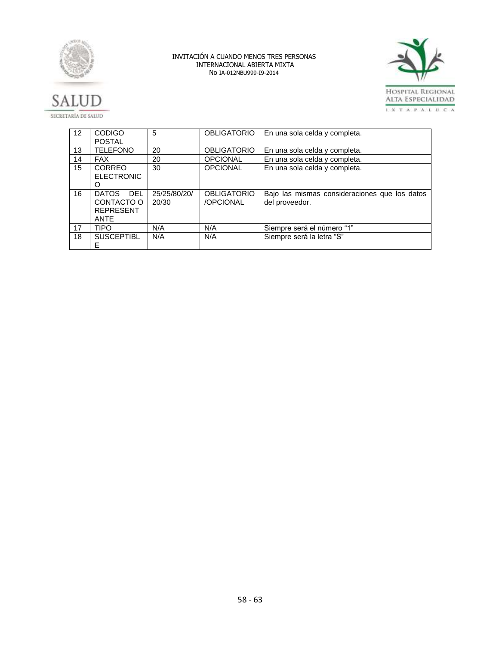





| 12 <sup>2</sup> | <b>CODIGO</b><br><b>POSTAL</b>                                       | 5                     | <b>OBLIGATORIO</b>              | En una sola celda y completa.                                   |
|-----------------|----------------------------------------------------------------------|-----------------------|---------------------------------|-----------------------------------------------------------------|
| 13              | <b>TELEFONO</b>                                                      | 20                    | <b>OBLIGATORIO</b>              | En una sola celda y completa.                                   |
| 14              | <b>FAX</b>                                                           | 20                    | <b>OPCIONAL</b>                 | En una sola celda y completa.                                   |
| 15              | <b>CORREO</b><br><b>ELECTRONIC</b><br>Ω                              | 30                    | <b>OPCIONAL</b>                 | En una sola celda y completa.                                   |
| 16              | DATOS<br><b>DEL</b><br>CONTACTO O<br><b>REPRESENT</b><br><b>ANTE</b> | 25/25/80/20/<br>20/30 | <b>OBLIGATORIO</b><br>/OPCIONAL | Bajo las mismas consideraciones que los datos<br>del proveedor. |
| 17              | <b>TIPO</b>                                                          | N/A                   | N/A                             | Siempre será el número "1"                                      |
| 18              | <b>SUSCEPTIBL</b><br>E                                               | N/A                   | N/A                             | Siempre será la letra "S"                                       |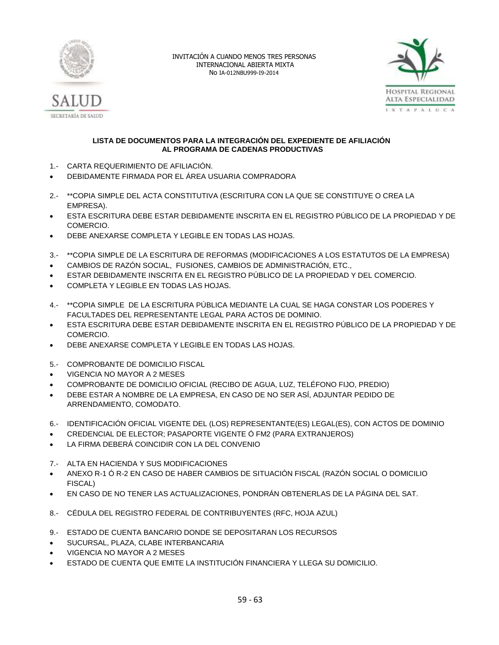



#### **LISTA DE DOCUMENTOS PARA LA INTEGRACIÓN DEL EXPEDIENTE DE AFILIACIÓN AL PROGRAMA DE CADENAS PRODUCTIVAS**

- 1.- CARTA REQUERIMIENTO DE AFILIACIÓN.
- DEBIDAMENTE FIRMADA POR EL ÁREA USUARIA COMPRADORA
- 2.- \*\*COPIA SIMPLE DEL ACTA CONSTITUTIVA (ESCRITURA CON LA QUE SE CONSTITUYE O CREA LA EMPRESA).
- ESTA ESCRITURA DEBE ESTAR DEBIDAMENTE INSCRITA EN EL REGISTRO PÚBLICO DE LA PROPIEDAD Y DE COMERCIO.
- DEBE ANEXARSE COMPLETA Y LEGIBLE EN TODAS LAS HOJAS.
- 3.- \*\*COPIA SIMPLE DE LA ESCRITURA DE REFORMAS (MODIFICACIONES A LOS ESTATUTOS DE LA EMPRESA)
- CAMBIOS DE RAZÓN SOCIAL, FUSIONES, CAMBIOS DE ADMINISTRACIÓN, ETC.,
- ESTAR DEBIDAMENTE INSCRITA EN EL REGISTRO PÚBLICO DE LA PROPIEDAD Y DEL COMERCIO.
- COMPLETA Y LEGIBLE EN TODAS LAS HOJAS.
- 4.- \*\*COPIA SIMPLE DE LA ESCRITURA PÚBLICA MEDIANTE LA CUAL SE HAGA CONSTAR LOS PODERES Y FACULTADES DEL REPRESENTANTE LEGAL PARA ACTOS DE DOMINIO.
- ESTA ESCRITURA DEBE ESTAR DEBIDAMENTE INSCRITA EN EL REGISTRO PÚBLICO DE LA PROPIEDAD Y DE COMERCIO.
- DEBE ANEXARSE COMPLETA Y LEGIBLE EN TODAS LAS HOJAS.
- 5.- COMPROBANTE DE DOMICILIO FISCAL
- VIGENCIA NO MAYOR A 2 MESES
- COMPROBANTE DE DOMICILIO OFICIAL (RECIBO DE AGUA, LUZ, TELÉFONO FIJO, PREDIO)
- DEBE ESTAR A NOMBRE DE LA EMPRESA, EN CASO DE NO SER ASÍ, ADJUNTAR PEDIDO DE ARRENDAMIENTO, COMODATO.
- 6.- IDENTIFICACIÓN OFICIAL VIGENTE DEL (LOS) REPRESENTANTE(ES) LEGAL(ES), CON ACTOS DE DOMINIO
- CREDENCIAL DE ELECTOR; PASAPORTE VIGENTE Ó FM2 (PARA EXTRANJEROS)
- LA FIRMA DEBERÁ COINCIDIR CON LA DEL CONVENIO
- 7.- ALTA EN HACIENDA Y SUS MODIFICACIONES
- ANEXO R-1 Ó R-2 EN CASO DE HABER CAMBIOS DE SITUACIÓN FISCAL (RAZÓN SOCIAL O DOMICILIO FISCAL)
- EN CASO DE NO TENER LAS ACTUALIZACIONES, PONDRÁN OBTENERLAS DE LA PÁGINA DEL SAT.
- 8.- CÉDULA DEL REGISTRO FEDERAL DE CONTRIBUYENTES (RFC, HOJA AZUL)
- 9.- ESTADO DE CUENTA BANCARIO DONDE SE DEPOSITARAN LOS RECURSOS
- SUCURSAL, PLAZA, CLABE INTERBANCARIA
- VIGENCIA NO MAYOR A 2 MESES
- ESTADO DE CUENTA QUE EMITE LA INSTITUCIÓN FINANCIERA Y LLEGA SU DOMICILIO.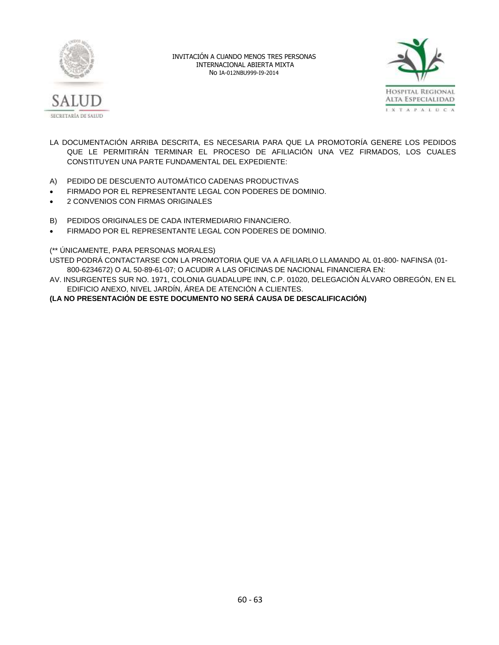



- LA DOCUMENTACIÓN ARRIBA DESCRITA, ES NECESARIA PARA QUE LA PROMOTORÍA GENERE LOS PEDIDOS QUE LE PERMITIRÁN TERMINAR EL PROCESO DE AFILIACIÓN UNA VEZ FIRMADOS, LOS CUALES CONSTITUYEN UNA PARTE FUNDAMENTAL DEL EXPEDIENTE:
- A) PEDIDO DE DESCUENTO AUTOMÁTICO CADENAS PRODUCTIVAS
- FIRMADO POR EL REPRESENTANTE LEGAL CON PODERES DE DOMINIO.
- 2 CONVENIOS CON FIRMAS ORIGINALES
- B) PEDIDOS ORIGINALES DE CADA INTERMEDIARIO FINANCIERO.
- FIRMADO POR EL REPRESENTANTE LEGAL CON PODERES DE DOMINIO.

#### (\*\* ÚNICAMENTE, PARA PERSONAS MORALES)

USTED PODRÁ CONTACTARSE CON LA PROMOTORIA QUE VA A AFILIARLO LLAMANDO AL 01-800- NAFINSA (01- 800-6234672) O AL 50-89-61-07; O ACUDIR A LAS OFICINAS DE NACIONAL FINANCIERA EN:

AV. INSURGENTES SUR NO. 1971, COLONIA GUADALUPE INN, C.P. 01020, DELEGACIÓN ÁLVARO OBREGÓN, EN EL EDIFICIO ANEXO, NIVEL JARDÍN, ÁREA DE ATENCIÓN A CLIENTES.

**(LA NO PRESENTACIÓN DE ESTE DOCUMENTO NO SERÁ CAUSA DE DESCALIFICACIÓN)**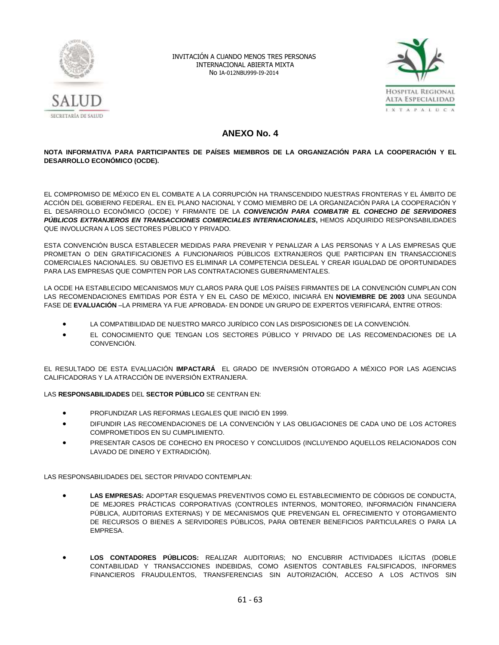



## **ANEXO No. 4**

#### **NOTA INFORMATIVA PARA PARTICIPANTES DE PAÍSES MIEMBROS DE LA ORGANIZACIÓN PARA LA COOPERACIÓN Y EL DESARROLLO ECONÓMICO (OCDE).**

EL COMPROMISO DE MÉXICO EN EL COMBATE A LA CORRUPCIÓN HA TRANSCENDIDO NUESTRAS FRONTERAS Y EL ÁMBITO DE ACCIÓN DEL GOBIERNO FEDERAL. EN EL PLANO NACIONAL Y COMO MIEMBRO DE LA ORGANIZACIÓN PARA LA COOPERACIÓN Y EL DESARROLLO ECONÓMICO (OCDE) Y FIRMANTE DE LA *CONVENCIÓN PARA COMBATIR EL COHECHO DE SERVIDORES PÚBLICOS EXTRANJEROS EN TRANSACCIONES COMERCIALES INTERNACIONALES***,** HEMOS ADQUIRIDO RESPONSABILIDADES QUE INVOLUCRAN A LOS SECTORES PÚBLICO Y PRIVADO.

ESTA CONVENCIÓN BUSCA ESTABLECER MEDIDAS PARA PREVENIR Y PENALIZAR A LAS PERSONAS Y A LAS EMPRESAS QUE PROMETAN O DEN GRATIFICACIONES A FUNCIONARIOS PÚBLICOS EXTRANJEROS QUE PARTICIPAN EN TRANSACCIONES COMERCIALES NACIONALES. SU OBJETIVO ES ELIMINAR LA COMPETENCIA DESLEAL Y CREAR IGUALDAD DE OPORTUNIDADES PARA LAS EMPRESAS QUE COMPITEN POR LAS CONTRATACIONES GUBERNAMENTALES.

LA OCDE HA ESTABLECIDO MECANISMOS MUY CLAROS PARA QUE LOS PAÍSES FIRMANTES DE LA CONVENCIÓN CUMPLAN CON LAS RECOMENDACIONES EMITIDAS POR ÉSTA Y EN EL CASO DE MÉXICO, INICIARÁ EN **NOVIEMBRE DE 2003** UNA SEGUNDA FASE DE **EVALUACIÓN** –LA PRIMERA YA FUE APROBADA- EN DONDE UN GRUPO DE EXPERTOS VERIFICARÁ, ENTRE OTROS:

- LA COMPATIBILIDAD DE NUESTRO MARCO JURÍDICO CON LAS DISPOSICIONES DE LA CONVENCIÓN.
- EL CONOCIMIENTO QUE TENGAN LOS SECTORES PÚBLICO Y PRIVADO DE LAS RECOMENDACIONES DE LA **CONVENCIÓN**

EL RESULTADO DE ESTA EVALUACIÓN **IMPACTARÁ** EL GRADO DE INVERSIÓN OTORGADO A MÉXICO POR LAS AGENCIAS CALIFICADORAS Y LA ATRACCIÓN DE INVERSIÓN EXTRANJERA.

#### LAS **RESPONSABILIDADES** DEL **SECTOR PÚBLICO** SE CENTRAN EN:

- PROFUNDIZAR LAS REFORMAS LEGALES QUE INICIÓ EN 1999.
- DIFUNDIR LAS RECOMENDACIONES DE LA CONVENCIÓN Y LAS OBLIGACIONES DE CADA UNO DE LOS ACTORES COMPROMETIDOS EN SU CUMPLIMIENTO.
- PRESENTAR CASOS DE COHECHO EN PROCESO Y CONCLUIDOS (INCLUYENDO AQUELLOS RELACIONADOS CON LAVADO DE DINERO Y EXTRADICIÓN).

LAS RESPONSABILIDADES DEL SECTOR PRIVADO CONTEMPLAN:

- **LAS EMPRESAS:** ADOPTAR ESQUEMAS PREVENTIVOS COMO EL ESTABLECIMIENTO DE CÓDIGOS DE CONDUCTA, DE MEJORES PRÁCTICAS CORPORATIVAS (CONTROLES INTERNOS, MONITOREO, INFORMACIÓN FINANCIERA PÚBLICA, AUDITORIAS EXTERNAS) Y DE MECANISMOS QUE PREVENGAN EL OFRECIMIENTO Y OTORGAMIENTO DE RECURSOS O BIENES A SERVIDORES PÚBLICOS, PARA OBTENER BENEFICIOS PARTICULARES O PARA LA EMPRESA.
- **LOS CONTADORES PÚBLICOS:** REALIZAR AUDITORIAS; NO ENCUBRIR ACTIVIDADES ILÍCITAS (DOBLE CONTABILIDAD Y TRANSACCIONES INDEBIDAS, COMO ASIENTOS CONTABLES FALSIFICADOS, INFORMES FINANCIEROS FRAUDULENTOS, TRANSFERENCIAS SIN AUTORIZACIÓN, ACCESO A LOS ACTIVOS SIN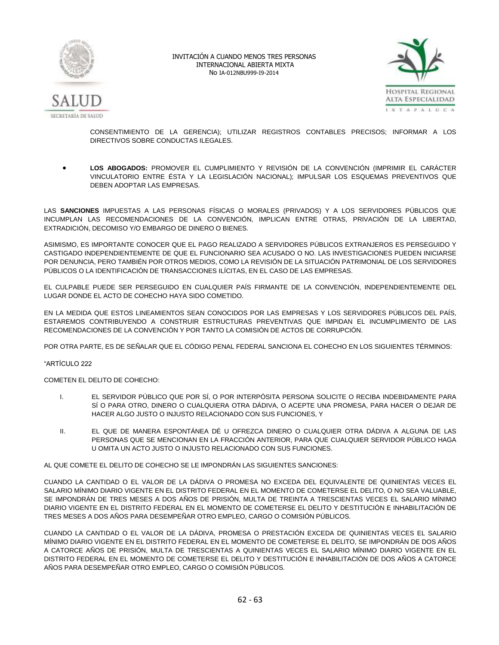



CONSENTIMIENTO DE LA GERENCIA); UTILIZAR REGISTROS CONTABLES PRECISOS; INFORMAR A LOS DIRECTIVOS SOBRE CONDUCTAS ILEGALES.

 **LOS ABOGADOS:** PROMOVER EL CUMPLIMIENTO Y REVISIÓN DE LA CONVENCIÓN (IMPRIMIR EL CARÁCTER VINCULATORIO ENTRE ÉSTA Y LA LEGISLACIÓN NACIONAL); IMPULSAR LOS ESQUEMAS PREVENTIVOS QUE DEBEN ADOPTAR LAS EMPRESAS.

LAS **SANCIONES** IMPUESTAS A LAS PERSONAS FÍSICAS O MORALES (PRIVADOS) Y A LOS SERVIDORES PÚBLICOS QUE INCUMPLAN LAS RECOMENDACIONES DE LA CONVENCIÓN, IMPLICAN ENTRE OTRAS, PRIVACIÓN DE LA LIBERTAD, EXTRADICIÓN, DECOMISO Y/O EMBARGO DE DINERO O BIENES.

ASIMISMO, ES IMPORTANTE CONOCER QUE EL PAGO REALIZADO A SERVIDORES PÚBLICOS EXTRANJEROS ES PERSEGUIDO Y CASTIGADO INDEPENDIENTEMENTE DE QUE EL FUNCIONARIO SEA ACUSADO O NO. LAS INVESTIGACIONES PUEDEN INICIARSE POR DENUNCIA, PERO TAMBIÉN POR OTROS MEDIOS, COMO LA REVISIÓN DE LA SITUACIÓN PATRIMONIAL DE LOS SERVIDORES PÚBLICOS O LA IDENTIFICACIÓN DE TRANSACCIONES ILÍCITAS, EN EL CASO DE LAS EMPRESAS.

EL CULPABLE PUEDE SER PERSEGUIDO EN CUALQUIER PAÍS FIRMANTE DE LA CONVENCIÓN, INDEPENDIENTEMENTE DEL LUGAR DONDE EL ACTO DE COHECHO HAYA SIDO COMETIDO.

EN LA MEDIDA QUE ESTOS LINEAMIENTOS SEAN CONOCIDOS POR LAS EMPRESAS Y LOS SERVIDORES PÚBLICOS DEL PAÍS, ESTAREMOS CONTRIBUYENDO A CONSTRUIR ESTRUCTURAS PREVENTIVAS QUE IMPIDAN EL INCUMPLIMIENTO DE LAS RECOMENDACIONES DE LA CONVENCIÓN Y POR TANTO LA COMISIÓN DE ACTOS DE CORRUPCIÓN.

POR OTRA PARTE, ES DE SEÑALAR QUE EL CÓDIGO PENAL FEDERAL SANCIONA EL COHECHO EN LOS SIGUIENTES TÉRMINOS:

#### "ARTÍCULO 222

COMETEN EL DELITO DE COHECHO:

- I. EL SERVIDOR PÚBLICO QUE POR SÍ, O POR INTERPÓSITA PERSONA SOLICITE O RECIBA INDEBIDAMENTE PARA SÍ O PARA OTRO, DINERO O CUALQUIERA OTRA DÁDIVA, O ACEPTE UNA PROMESA, PARA HACER O DEJAR DE HACER ALGO JUSTO O INJUSTO RELACIONADO CON SUS FUNCIONES, Y
- II. EL QUE DE MANERA ESPONTÁNEA DÉ U OFREZCA DINERO O CUALQUIER OTRA DÁDIVA A ALGUNA DE LAS PERSONAS QUE SE MENCIONAN EN LA FRACCIÓN ANTERIOR, PARA QUE CUALQUIER SERVIDOR PÚBLICO HAGA U OMITA UN ACTO JUSTO O INJUSTO RELACIONADO CON SUS FUNCIONES.

AL QUE COMETE EL DELITO DE COHECHO SE LE IMPONDRÁN LAS SIGUIENTES SANCIONES:

CUANDO LA CANTIDAD O EL VALOR DE LA DÁDIVA O PROMESA NO EXCEDA DEL EQUIVALENTE DE QUINIENTAS VECES EL SALARIO MÍNIMO DIARIO VIGENTE EN EL DISTRITO FEDERAL EN EL MOMENTO DE COMETERSE EL DELITO, O NO SEA VALUABLE, SE IMPONDRÁN DE TRES MESES A DOS AÑOS DE PRISIÓN, MULTA DE TREINTA A TRESCIENTAS VECES EL SALARIO MÍNIMO DIARIO VIGENTE EN EL DISTRITO FEDERAL EN EL MOMENTO DE COMETERSE EL DELITO Y DESTITUCIÓN E INHABILITACIÓN DE TRES MESES A DOS AÑOS PARA DESEMPEÑAR OTRO EMPLEO, CARGO O COMISIÓN PÚBLICOS.

CUANDO LA CANTIDAD O EL VALOR DE LA DÁDIVA, PROMESA O PRESTACIÓN EXCEDA DE QUINIENTAS VECES EL SALARIO MÍNIMO DIARIO VIGENTE EN EL DISTRITO FEDERAL EN EL MOMENTO DE COMETERSE EL DELITO, SE IMPONDRÁN DE DOS AÑOS A CATORCE AÑOS DE PRISIÓN, MULTA DE TRESCIENTAS A QUINIENTAS VECES EL SALARIO MÍNIMO DIARIO VIGENTE EN EL DISTRITO FEDERAL EN EL MOMENTO DE COMETERSE EL DELITO Y DESTITUCIÓN E INHABILITACIÓN DE DOS AÑOS A CATORCE AÑOS PARA DESEMPEÑAR OTRO EMPLEO, CARGO O COMISIÓN PÚBLICOS.